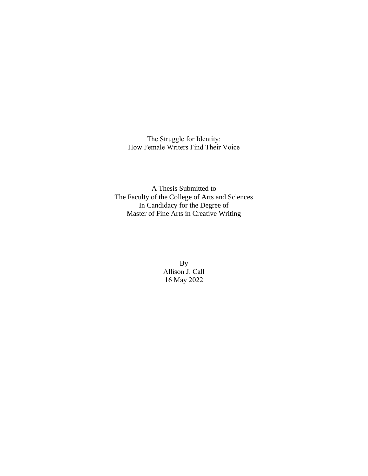The Struggle for Identity: How Female Writers Find Their Voice

A Thesis Submitted to The Faculty of the College of Arts and Sciences In Candidacy for the Degree of Master of Fine Arts in Creative Writing

> By Allison J. Call 16 May 2022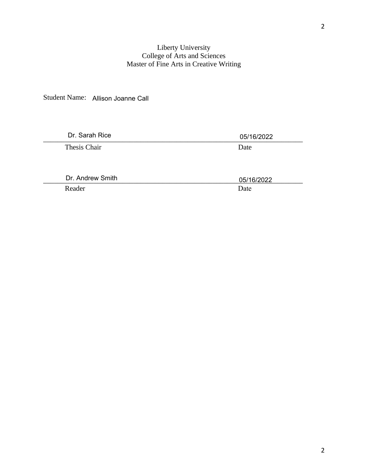# Liberty University College of Arts and Sciences Master of Fine Arts in Creative Writing

Student Name: Allison Joanne Call

| Dr. Sarah Rice   | 05/16/2022 |
|------------------|------------|
| Thesis Chair     | Date       |
|                  |            |
|                  |            |
| Dr. Andrew Smith | 05/16/2022 |
| Reader           | Date       |
|                  |            |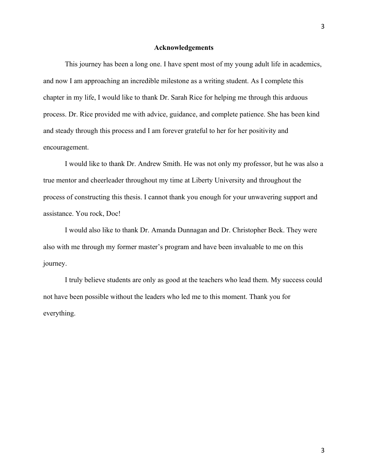#### **Acknowledgements**

This journey has been a long one. I have spent most of my young adult life in academics, and now I am approaching an incredible milestone as a writing student. As I complete this chapter in my life, I would like to thank Dr. Sarah Rice for helping me through this arduous process. Dr. Rice provided me with advice, guidance, and complete patience. She has been kind and steady through this process and I am forever grateful to her for her positivity and encouragement.

I would like to thank Dr. Andrew Smith. He was not only my professor, but he was also a true mentor and cheerleader throughout my time at Liberty University and throughout the process of constructing this thesis. I cannot thank you enough for your unwavering support and assistance. You rock, Doc!

I would also like to thank Dr. Amanda Dunnagan and Dr. Christopher Beck. They were also with me through my former master's program and have been invaluable to me on this journey.

I truly believe students are only as good at the teachers who lead them. My success could not have been possible without the leaders who led me to this moment. Thank you for everything.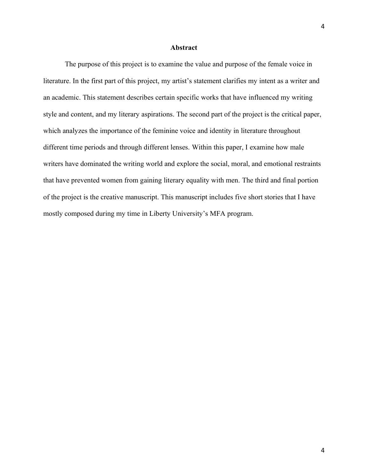## **Abstract**

The purpose of this project is to examine the value and purpose of the female voice in literature. In the first part of this project, my artist's statement clarifies my intent as a writer and an academic. This statement describes certain specific works that have influenced my writing style and content, and my literary aspirations. The second part of the project is the critical paper, which analyzes the importance of the feminine voice and identity in literature throughout different time periods and through different lenses. Within this paper, I examine how male writers have dominated the writing world and explore the social, moral, and emotional restraints that have prevented women from gaining literary equality with men. The third and final portion of the project is the creative manuscript. This manuscript includes five short stories that I have mostly composed during my time in Liberty University's MFA program.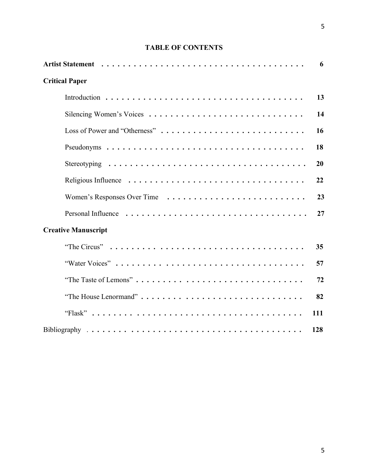# **TABLE OF CONTENTS**

|                               | 6   |
|-------------------------------|-----|
| <b>Critical Paper</b>         |     |
|                               | 13  |
|                               | 14  |
| Loss of Power and "Otherness" | 16  |
|                               | 18  |
|                               | 20  |
|                               | 22  |
|                               | 23  |
|                               | 27  |
| <b>Creative Manuscript</b>    |     |
|                               | 35  |
|                               | 57  |
|                               | 72  |
|                               | 82  |
|                               | 111 |
|                               | 128 |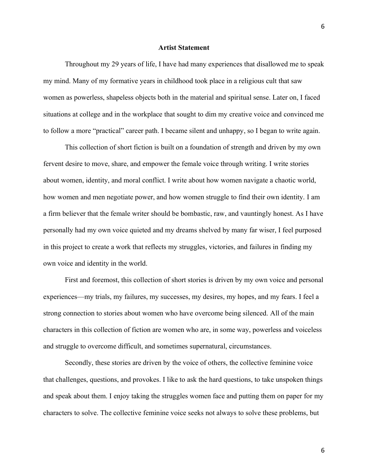#### **Artist Statement**

Throughout my 29 years of life, I have had many experiences that disallowed me to speak my mind. Many of my formative years in childhood took place in a religious cult that saw women as powerless, shapeless objects both in the material and spiritual sense. Later on, I faced situations at college and in the workplace that sought to dim my creative voice and convinced me to follow a more "practical" career path. I became silent and unhappy, so I began to write again.

This collection of short fiction is built on a foundation of strength and driven by my own fervent desire to move, share, and empower the female voice through writing. I write stories about women, identity, and moral conflict. I write about how women navigate a chaotic world, how women and men negotiate power, and how women struggle to find their own identity. I am a firm believer that the female writer should be bombastic, raw, and vauntingly honest. As I have personally had my own voice quieted and my dreams shelved by many far wiser, I feel purposed in this project to create a work that reflects my struggles, victories, and failures in finding my own voice and identity in the world.

First and foremost, this collection of short stories is driven by my own voice and personal experiences—my trials, my failures, my successes, my desires, my hopes, and my fears. I feel a strong connection to stories about women who have overcome being silenced. All of the main characters in this collection of fiction are women who are, in some way, powerless and voiceless and struggle to overcome difficult, and sometimes supernatural, circumstances.

Secondly, these stories are driven by the voice of others, the collective feminine voice that challenges, questions, and provokes. I like to ask the hard questions, to take unspoken things and speak about them. I enjoy taking the struggles women face and putting them on paper for my characters to solve. The collective feminine voice seeks not always to solve these problems, but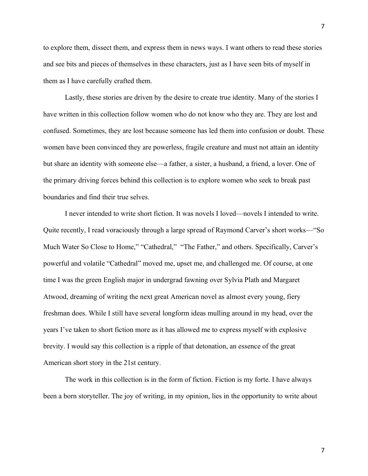to explore them, dissect them, and express them in news ways. I want others to read these stories and see bits and pieces of themselves in these characters, just as I have seen bits of myself in them as I have carefully crafted them.

Lastly, these stories are driven by the desire to create true identity. Many of the stories I have written in this collection follow women who do not know who they are. They are lost and confused. Sometimes, they are lost because someone has led them into confusion or doubt. These women have been convinced they are powerless, fragile creature and must not attain an identity but share an identity with someone else—a father, a sister, a husband, a friend, a lover. One of the primary driving forces behind this collection is to explore women who seek to break past boundaries and find their true selves.

I never intended to write short fiction. It was novels I loved—novels I intended to write. Quite recently, I read voraciously through a large spread of Raymond Carver's short works—"So Much Water So Close to Home," "Cathedral," "The Father," and others. Specifically, Carver's powerful and volatile "Cathedral" moved me, upset me, and challenged me. Of course, at one time I was the green English major in undergrad fawning over Sylvia Plath and Margaret Atwood, dreaming of writing the next great American novel as almost every young, fiery freshman does. While I still have several longform ideas mulling around in my head, over the years I've taken to short fiction more as it has allowed me to express myself with explosive brevity. I would say this collection is a ripple of that detonation, an essence of the great American short story in the 21st century.

The work in this collection is in the form of fiction. Fiction is my forte. I have always been a born storyteller. The joy of writing, in my opinion, lies in the opportunity to write about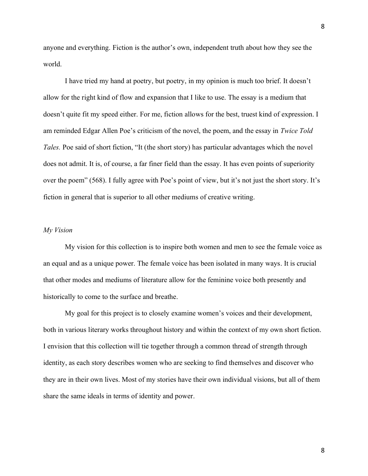anyone and everything. Fiction is the author's own, independent truth about how they see the world.

I have tried my hand at poetry, but poetry, in my opinion is much too brief. It doesn't allow for the right kind of flow and expansion that I like to use. The essay is a medium that doesn't quite fit my speed either. For me, fiction allows for the best, truest kind of expression. I am reminded Edgar Allen Poe's criticism of the novel, the poem, and the essay in *Twice Told Tales.* Poe said of short fiction, "It (the short story) has particular advantages which the novel does not admit. It is, of course, a far finer field than the essay. It has even points of superiority over the poem" (568). I fully agree with Poe's point of view, but it's not just the short story. It's fiction in general that is superior to all other mediums of creative writing.

#### *My Vision*

My vision for this collection is to inspire both women and men to see the female voice as an equal and as a unique power. The female voice has been isolated in many ways. It is crucial that other modes and mediums of literature allow for the feminine voice both presently and historically to come to the surface and breathe.

My goal for this project is to closely examine women's voices and their development, both in various literary works throughout history and within the context of my own short fiction. I envision that this collection will tie together through a common thread of strength through identity, as each story describes women who are seeking to find themselves and discover who they are in their own lives. Most of my stories have their own individual visions, but all of them share the same ideals in terms of identity and power.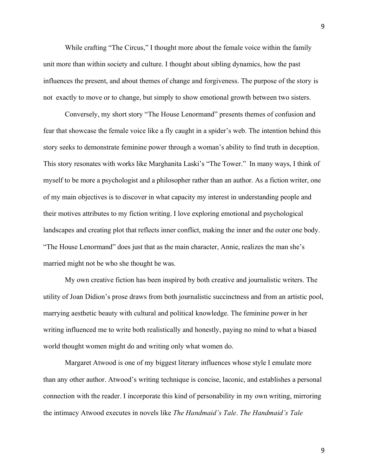While crafting "The Circus," I thought more about the female voice within the family unit more than within society and culture. I thought about sibling dynamics, how the past influences the present, and about themes of change and forgiveness. The purpose of the story is not exactly to move or to change, but simply to show emotional growth between two sisters.

Conversely, my short story "The House Lenormand" presents themes of confusion and fear that showcase the female voice like a fly caught in a spider's web. The intention behind this story seeks to demonstrate feminine power through a woman's ability to find truth in deception. This story resonates with works like Marghanita Laski's "The Tower." In many ways, I think of myself to be more a psychologist and a philosopher rather than an author. As a fiction writer, one of my main objectives is to discover in what capacity my interest in understanding people and their motives attributes to my fiction writing. I love exploring emotional and psychological landscapes and creating plot that reflects inner conflict, making the inner and the outer one body. "The House Lenormand" does just that as the main character, Annie, realizes the man she's married might not be who she thought he was.

My own creative fiction has been inspired by both creative and journalistic writers. The utility of Joan Didion's prose draws from both journalistic succinctness and from an artistic pool, marrying aesthetic beauty with cultural and political knowledge. The feminine power in her writing influenced me to write both realistically and honestly, paying no mind to what a biased world thought women might do and writing only what women do.

Margaret Atwood is one of my biggest literary influences whose style I emulate more than any other author. Atwood's writing technique is concise, laconic, and establishes a personal connection with the reader. I incorporate this kind of personability in my own writing, mirroring the intimacy Atwood executes in novels like *The Handmaid's Tale*. *The Handmaid's Tale*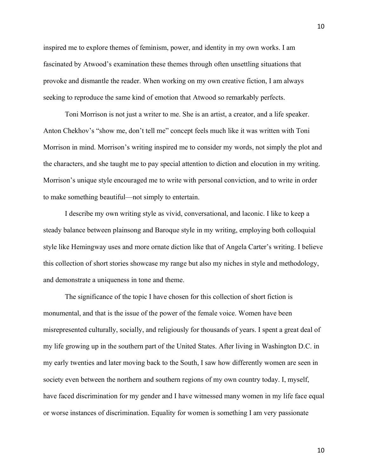inspired me to explore themes of feminism, power, and identity in my own works. I am fascinated by Atwood's examination these themes through often unsettling situations that provoke and dismantle the reader. When working on my own creative fiction, I am always seeking to reproduce the same kind of emotion that Atwood so remarkably perfects.

Toni Morrison is not just a writer to me. She is an artist, a creator, and a life speaker. Anton Chekhov's "show me, don't tell me" concept feels much like it was written with Toni Morrison in mind. Morrison's writing inspired me to consider my words, not simply the plot and the characters, and she taught me to pay special attention to diction and elocution in my writing. Morrison's unique style encouraged me to write with personal conviction, and to write in order to make something beautiful—not simply to entertain.

I describe my own writing style as vivid, conversational, and laconic. I like to keep a steady balance between plainsong and Baroque style in my writing, employing both colloquial style like Hemingway uses and more ornate diction like that of Angela Carter's writing. I believe this collection of short stories showcase my range but also my niches in style and methodology, and demonstrate a uniqueness in tone and theme.

The significance of the topic I have chosen for this collection of short fiction is monumental, and that is the issue of the power of the female voice. Women have been misrepresented culturally, socially, and religiously for thousands of years. I spent a great deal of my life growing up in the southern part of the United States. After living in Washington D.C. in my early twenties and later moving back to the South, I saw how differently women are seen in society even between the northern and southern regions of my own country today. I, myself, have faced discrimination for my gender and I have witnessed many women in my life face equal or worse instances of discrimination. Equality for women is something I am very passionate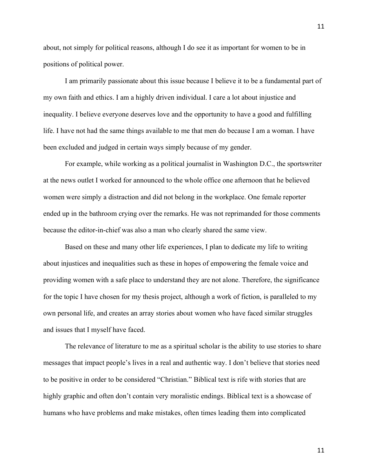about, not simply for political reasons, although I do see it as important for women to be in positions of political power.

I am primarily passionate about this issue because I believe it to be a fundamental part of my own faith and ethics. I am a highly driven individual. I care a lot about injustice and inequality. I believe everyone deserves love and the opportunity to have a good and fulfilling life. I have not had the same things available to me that men do because I am a woman. I have been excluded and judged in certain ways simply because of my gender.

For example, while working as a political journalist in Washington D.C., the sportswriter at the news outlet I worked for announced to the whole office one afternoon that he believed women were simply a distraction and did not belong in the workplace. One female reporter ended up in the bathroom crying over the remarks. He was not reprimanded for those comments because the editor-in-chief was also a man who clearly shared the same view.

Based on these and many other life experiences, I plan to dedicate my life to writing about injustices and inequalities such as these in hopes of empowering the female voice and providing women with a safe place to understand they are not alone. Therefore, the significance for the topic I have chosen for my thesis project, although a work of fiction, is paralleled to my own personal life, and creates an array stories about women who have faced similar struggles and issues that I myself have faced.

The relevance of literature to me as a spiritual scholar is the ability to use stories to share messages that impact people's lives in a real and authentic way. I don't believe that stories need to be positive in order to be considered "Christian." Biblical text is rife with stories that are highly graphic and often don't contain very moralistic endings. Biblical text is a showcase of humans who have problems and make mistakes, often times leading them into complicated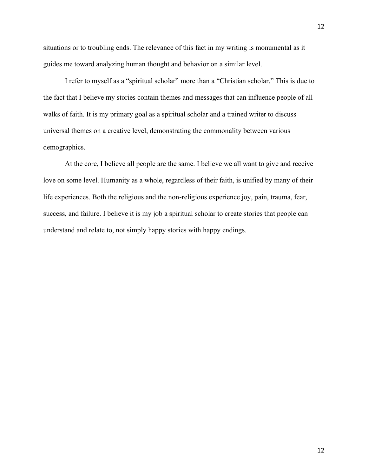situations or to troubling ends. The relevance of this fact in my writing is monumental as it guides me toward analyzing human thought and behavior on a similar level.

I refer to myself as a "spiritual scholar" more than a "Christian scholar." This is due to the fact that I believe my stories contain themes and messages that can influence people of all walks of faith. It is my primary goal as a spiritual scholar and a trained writer to discuss universal themes on a creative level, demonstrating the commonality between various demographics.

At the core, I believe all people are the same. I believe we all want to give and receive love on some level. Humanity as a whole, regardless of their faith, is unified by many of their life experiences. Both the religious and the non-religious experience joy, pain, trauma, fear, success, and failure. I believe it is my job a spiritual scholar to create stories that people can understand and relate to, not simply happy stories with happy endings.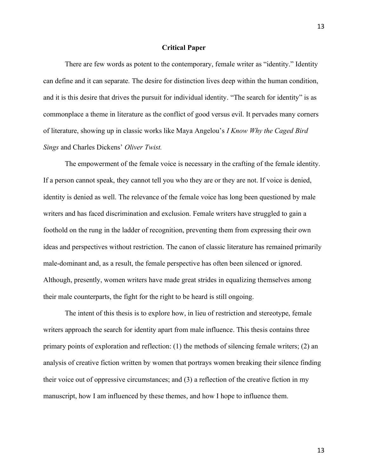#### **Critical Paper**

There are few words as potent to the contemporary, female writer as "identity." Identity can define and it can separate. The desire for distinction lives deep within the human condition, and it is this desire that drives the pursuit for individual identity. "The search for identity" is as commonplace a theme in literature as the conflict of good versus evil. It pervades many corners of literature, showing up in classic works like Maya Angelou's *I Know Why the Caged Bird Sings* and Charles Dickens' *Oliver Twist.*

The empowerment of the female voice is necessary in the crafting of the female identity. If a person cannot speak, they cannot tell you who they are or they are not. If voice is denied, identity is denied as well. The relevance of the female voice has long been questioned by male writers and has faced discrimination and exclusion. Female writers have struggled to gain a foothold on the rung in the ladder of recognition, preventing them from expressing their own ideas and perspectives without restriction. The canon of classic literature has remained primarily male-dominant and, as a result, the female perspective has often been silenced or ignored. Although, presently, women writers have made great strides in equalizing themselves among their male counterparts, the fight for the right to be heard is still ongoing.

The intent of this thesis is to explore how, in lieu of restriction and stereotype, female writers approach the search for identity apart from male influence. This thesis contains three primary points of exploration and reflection: (1) the methods of silencing female writers; (2) an analysis of creative fiction written by women that portrays women breaking their silence finding their voice out of oppressive circumstances; and (3) a reflection of the creative fiction in my manuscript, how I am influenced by these themes, and how I hope to influence them.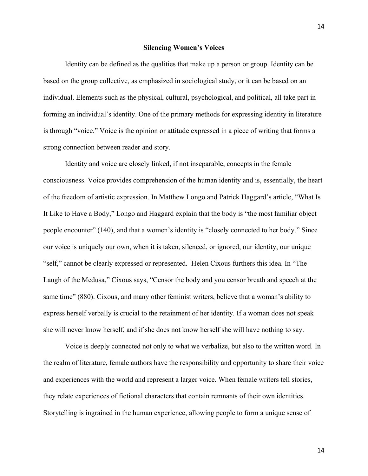#### **Silencing Women's Voices**

Identity can be defined as the qualities that make up a person or group. Identity can be based on the group collective, as emphasized in sociological study, or it can be based on an individual. Elements such as the physical, cultural, psychological, and political, all take part in forming an individual's identity. One of the primary methods for expressing identity in literature is through "voice." Voice is the opinion or attitude expressed in a piece of writing that forms a strong connection between reader and story.

Identity and voice are closely linked, if not inseparable, concepts in the female consciousness. Voice provides comprehension of the human identity and is, essentially, the heart of the freedom of artistic expression. In Matthew Longo and Patrick Haggard's article, "What Is It Like to Have a Body," Longo and Haggard explain that the body is "the most familiar object people encounter" (140), and that a women's identity is "closely connected to her body." Since our voice is uniquely our own, when it is taken, silenced, or ignored, our identity, our unique "self," cannot be clearly expressed or represented. Helen Cixous furthers this idea. In "The Laugh of the Medusa," Cixous says, "Censor the body and you censor breath and speech at the same time" (880). Cixous, and many other feminist writers, believe that a woman's ability to express herself verbally is crucial to the retainment of her identity. If a woman does not speak she will never know herself, and if she does not know herself she will have nothing to say.

Voice is deeply connected not only to what we verbalize, but also to the written word. In the realm of literature, female authors have the responsibility and opportunity to share their voice and experiences with the world and represent a larger voice. When female writers tell stories, they relate experiences of fictional characters that contain remnants of their own identities. Storytelling is ingrained in the human experience, allowing people to form a unique sense of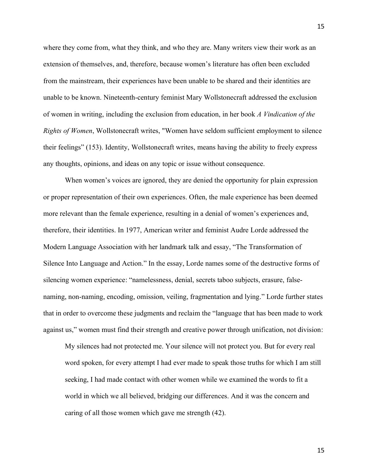where they come from, what they think, and who they are. Many writers view their work as an extension of themselves, and, therefore, because women's literature has often been excluded from the mainstream, their experiences have been unable to be shared and their identities are unable to be known. Nineteenth-century feminist Mary Wollstonecraft addressed the exclusion of women in writing, including the exclusion from education, in her book *A Vindication of the Rights of Women*, Wollstonecraft writes, "Women have seldom sufficient employment to silence their feelings" (153). Identity, Wollstonecraft writes, means having the ability to freely express any thoughts, opinions, and ideas on any topic or issue without consequence.

When women's voices are ignored, they are denied the opportunity for plain expression or proper representation of their own experiences. Often, the male experience has been deemed more relevant than the female experience, resulting in a denial of women's experiences and, therefore, their identities. In 1977, American writer and feminist Audre Lorde addressed the Modern Language Association with her landmark talk and essay, "The Transformation of Silence Into Language and Action." In the essay, Lorde names some of the destructive forms of silencing women experience: "namelessness, denial, secrets taboo subjects, erasure, falsenaming, non-naming, encoding, omission, veiling, fragmentation and lying." Lorde further states that in order to overcome these judgments and reclaim the "language that has been made to work against us," women must find their strength and creative power through unification, not division:

My silences had not protected me. Your silence will not protect you. But for every real word spoken, for every attempt I had ever made to speak those truths for which I am still seeking, I had made contact with other women while we examined the words to fit a world in which we all believed, bridging our differences. And it was the concern and caring of all those women which gave me strength (42).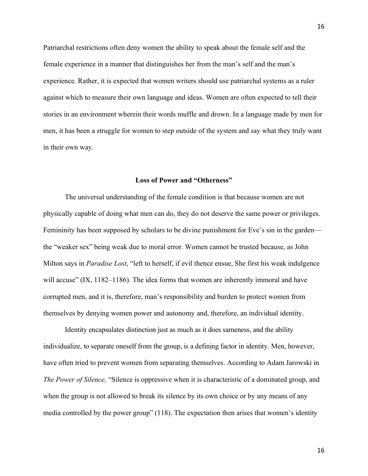Patriarchal restrictions often deny women the ability to speak about the female self and the female experience in a manner that distinguishes her from the man's self and the man's experience. Rather, it is expected that women writers should use patriarchal systems as a ruler against which to measure their own language and ideas. Women are often expected to tell their stories in an environment wherein their words muffle and drown. In a language made by men for men, it has been a struggle for women to step outside of the system and say what they truly want in their own way.

#### **Loss of Power and "Otherness"**

The universal understanding of the female condition is that because women are not physically capable of doing what men can do, they do not deserve the same power or privileges. Femininity has been supposed by scholars to be divine punishment for Eve's sin in the garden the "weaker sex" being weak due to moral error. Women cannot be trusted because, as John Milton says in *Paradise Lost*, "left to herself, if evil thence ensue, She first his weak indulgence will accuse" (IX, 1182–1186). The idea forms that women are inherently immoral and have corrupted men, and it is, therefore, man's responsibility and burden to protect women from themselves by denying women power and autonomy and, therefore, an individual identity.

Identity encapsulates distinction just as much as it does sameness, and the ability individualize, to separate oneself from the group, is a defining factor in identity. Men, however, have often tried to prevent women from separating themselves. According to Adam Jarowski in *The Power of Silence,* "Silence is oppressive when it is characteristic of a dominated group, and when the group is not allowed to break its silence by its own choice or by any means of any media controlled by the power group" (118). The expectation then arises that women's identity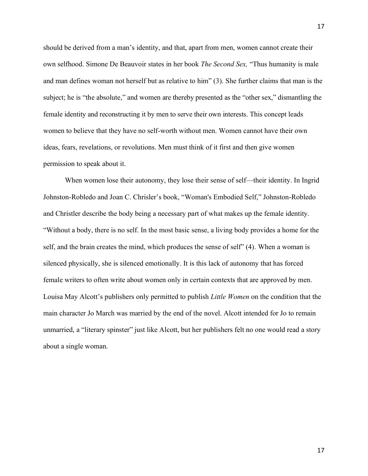should be derived from a man's identity, and that, apart from men, women cannot create their own selfhood. Simone De Beauvoir states in her book *The Second Sex,* "Thus humanity is male and man defines woman not herself but as relative to him" (3). She further claims that man is the subject; he is "the absolute," and women are thereby presented as the "other sex," dismantling the female identity and reconstructing it by men to serve their own interests. This concept leads women to believe that they have no self-worth without men. Women cannot have their own ideas, fears, revelations, or revolutions. Men must think of it first and then give women permission to speak about it.

When women lose their autonomy, they lose their sense of self—their identity. In Ingrid Johnston-Robledo and Joan C. Chrisler's book, "Woman's Embodied Self," Johnston-Robledo and Christler describe the body being a necessary part of what makes up the female identity. "Without a body, there is no self. In the most basic sense, a living body provides a home for the self, and the brain creates the mind, which produces the sense of self" (4). When a woman is silenced physically, she is silenced emotionally. It is this lack of autonomy that has forced female writers to often write about women only in certain contexts that are approved by men. Louisa May Alcott's publishers only permitted to publish *Little Women* on the condition that the main character Jo March was married by the end of the novel. Alcott intended for Jo to remain unmarried, a "literary spinster" just like Alcott, but her publishers felt no one would read a story about a single woman.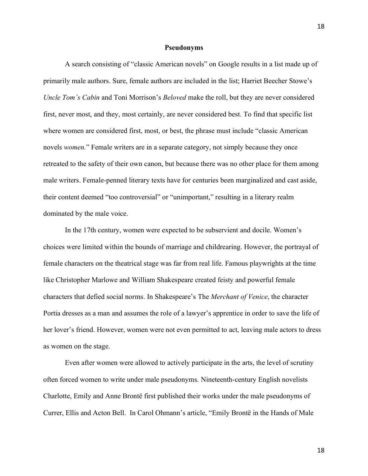#### **Pseudonyms**

A search consisting of "classic American novels" on Google results in a list made up of primarily male authors. Sure, female authors are included in the list; Harriet Beecher Stowe's *Uncle Tom's Cabin* and Toni Morrison's *Beloved* make the roll, but they are never considered first, never most, and they, most certainly, are never considered best. To find that specific list where women are considered first, most, or best, the phrase must include "classic American novels *women.*" Female writers are in a separate category, not simply because they once retreated to the safety of their own canon, but because there was no other place for them among male writers. Female-penned literary texts have for centuries been marginalized and cast aside, their content deemed "too controversial" or "unimportant," resulting in a literary realm dominated by the male voice.

In the 17th century, women were expected to be subservient and docile. Women's choices were limited within the bounds of marriage and childrearing. However, the portrayal of female characters on the theatrical stage was far from real life. Famous playwrights at the time like Christopher Marlowe and William Shakespeare created feisty and powerful female characters that defied social norms. In Shakespeare's The *Merchant of Venice*, the character Portia dresses as a man and assumes the role of a lawyer's apprentice in order to save the life of her lover's friend. However, women were not even permitted to act, leaving male actors to dress as women on the stage.

Even after women were allowed to actively participate in the arts, the level of scrutiny often forced women to write under male pseudonyms. Nineteenth-century English novelists Charlotte, Emily and Anne Brontë first published their works under the male pseudonyms of Currer, Ellis and Acton Bell. In Carol Ohmann's article, "Emily Brontë in the Hands of Male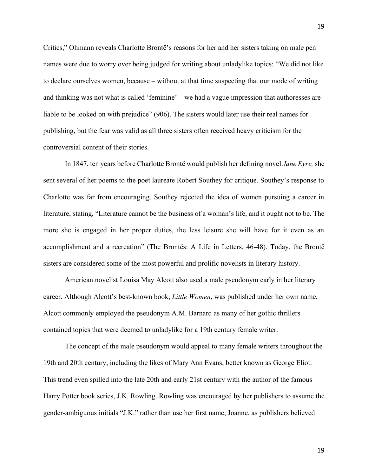Critics," Ohmann reveals Charlotte Brontë's reasons for her and her sisters taking on male pen names were due to worry over being judged for writing about unladylike topics: "We did not like to declare ourselves women, because – without at that time suspecting that our mode of writing and thinking was not what is called 'feminine' – we had a vague impression that authoresses are liable to be looked on with prejudice" (906). The sisters would later use their real names for publishing, but the fear was valid as all three sisters often received heavy criticism for the controversial content of their stories.

In 1847, ten years before Charlotte Brontë would publish her defining novel *Jane Eyre,* she sent several of her poems to the poet laureate Robert Southey for critique. Southey's response to Charlotte was far from encouraging. Southey rejected the idea of women pursuing a career in literature, stating, "Literature cannot be the business of a woman's life, and it ought not to be. The more she is engaged in her proper duties, the less leisure she will have for it even as an accomplishment and a recreation" (The Brontës: A Life in Letters, 46-48). Today, the Brontë sisters are considered some of the most powerful and prolific novelists in literary history.

American novelist Louisa May Alcott also used a male pseudonym early in her literary career. Although Alcott's best-known book, *Little Women*, was published under her own name, Alcott commonly employed the pseudonym A.M. Barnard as many of her gothic thrillers contained topics that were deemed to unladylike for a 19th century female writer.

The concept of the male pseudonym would appeal to many female writers throughout the 19th and 20th century, including the likes of Mary Ann Evans, better known as George Eliot. This trend even spilled into the late 20th and early 21st century with the author of the famous Harry Potter book series, J.K. Rowling. Rowling was encouraged by her publishers to assume the gender-ambiguous initials "J.K." rather than use her first name, Joanne, as publishers believed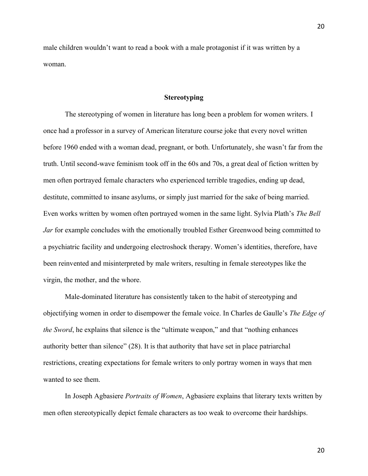male children wouldn't want to read a book with a male protagonist if it was written by a woman.

## **Stereotyping**

The stereotyping of women in literature has long been a problem for women writers. I once had a professor in a survey of American literature course joke that every novel written before 1960 ended with a woman dead, pregnant, or both. Unfortunately, she wasn't far from the truth. Until second-wave feminism took off in the 60s and 70s, a great deal of fiction written by men often portrayed female characters who experienced terrible tragedies, ending up dead, destitute, committed to insane asylums, or simply just married for the sake of being married. Even works written by women often portrayed women in the same light. Sylvia Plath's *The Bell Jar* for example concludes with the emotionally troubled Esther Greenwood being committed to a psychiatric facility and undergoing electroshock therapy. Women's identities, therefore, have been reinvented and misinterpreted by male writers, resulting in female stereotypes like the virgin, the mother, and the whore.

Male-dominated literature has consistently taken to the habit of stereotyping and objectifying women in order to disempower the female voice. In Charles de Gaulle's *The Edge of the Sword*, he explains that silence is the "ultimate weapon," and that "nothing enhances authority better than silence" (28). It is that authority that have set in place patriarchal restrictions, creating expectations for female writers to only portray women in ways that men wanted to see them.

In Joseph Agbasiere *Portraits of Women*, Agbasiere explains that literary texts written by men often stereotypically depict female characters as too weak to overcome their hardships.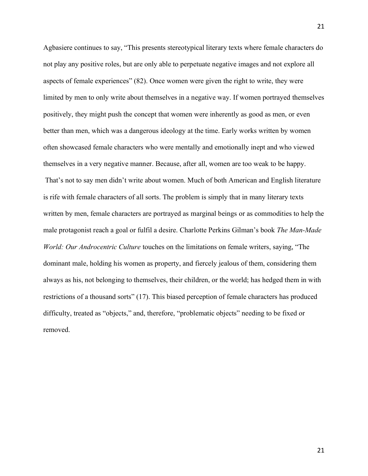Agbasiere continues to say, "This presents stereotypical literary texts where female characters do not play any positive roles, but are only able to perpetuate negative images and not explore all aspects of female experiences" (82). Once women were given the right to write, they were limited by men to only write about themselves in a negative way. If women portrayed themselves positively, they might push the concept that women were inherently as good as men, or even better than men, which was a dangerous ideology at the time. Early works written by women often showcased female characters who were mentally and emotionally inept and who viewed themselves in a very negative manner. Because, after all, women are too weak to be happy. That's not to say men didn't write about women. Much of both American and English literature is rife with female characters of all sorts. The problem is simply that in many literary texts written by men, female characters are portrayed as marginal beings or as commodities to help the male protagonist reach a goal or fulfil a desire. Charlotte Perkins Gilman's book *The Man-Made World: Our Androcentric Culture* touches on the limitations on female writers, saying, "The dominant male, holding his women as property, and fiercely jealous of them, considering them always as his, not belonging to themselves, their children, or the world; has hedged them in with restrictions of a thousand sorts" (17). This biased perception of female characters has produced difficulty, treated as "objects," and, therefore, "problematic objects" needing to be fixed or removed.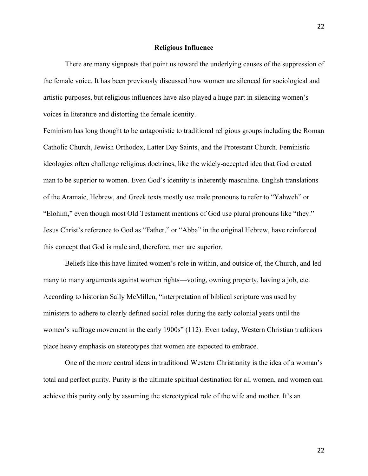#### **Religious Influence**

There are many signposts that point us toward the underlying causes of the suppression of the female voice. It has been previously discussed how women are silenced for sociological and artistic purposes, but religious influences have also played a huge part in silencing women's voices in literature and distorting the female identity.

Feminism has long thought to be antagonistic to traditional religious groups including the Roman Catholic Church, Jewish Orthodox, Latter Day Saints, and the Protestant Church. Feministic ideologies often challenge religious doctrines, like the widely-accepted idea that God created man to be superior to women. Even God's identity is inherently masculine. English translations of the Aramaic, Hebrew, and Greek texts mostly use male pronouns to refer to "Yahweh" or "Elohim," even though most Old Testament mentions of God use plural pronouns like "they." Jesus Christ's reference to God as "Father," or "Abba" in the original Hebrew, have reinforced this concept that God is male and, therefore, men are superior.

Beliefs like this have limited women's role in within, and outside of, the Church, and led many to many arguments against women rights—voting, owning property, having a job, etc. According to historian Sally McMillen, "interpretation of biblical scripture was used by ministers to adhere to clearly defined social roles during the early colonial years until the women's suffrage movement in the early 1900s" (112). Even today, Western Christian traditions place heavy emphasis on stereotypes that women are expected to embrace.

One of the more central ideas in traditional Western Christianity is the idea of a woman's total and perfect purity. Purity is the ultimate spiritual destination for all women, and women can achieve this purity only by assuming the stereotypical role of the wife and mother. It's an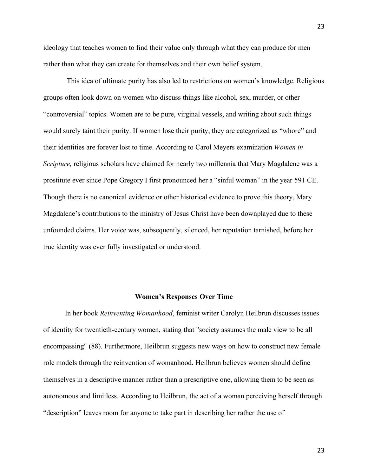ideology that teaches women to find their value only through what they can produce for men rather than what they can create for themselves and their own belief system.

This idea of ultimate purity has also led to restrictions on women's knowledge. Religious groups often look down on women who discuss things like alcohol, sex, murder, or other "controversial" topics. Women are to be pure, virginal vessels, and writing about such things would surely taint their purity. If women lose their purity, they are categorized as "whore" and their identities are forever lost to time. According to Carol Meyers examination *Women in Scripture,* religious scholars have claimed for nearly two millennia that Mary Magdalene was a prostitute ever since Pope Gregory I first pronounced her a "sinful woman" in the year 591 CE. Though there is no canonical evidence or other historical evidence to prove this theory, Mary Magdalene's contributions to the ministry of Jesus Christ have been downplayed due to these unfounded claims. Her voice was, subsequently, silenced, her reputation tarnished, before her true identity was ever fully investigated or understood.

### **Women's Responses Over Time**

In her book *Reinventing Womanhood*, feminist writer Carolyn Heilbrun discusses issues of identity for twentieth-century women, stating that "society assumes the male view to be all encompassing" (88). Furthermore, Heilbrun suggests new ways on how to construct new female role models through the reinvention of womanhood. Heilbrun believes women should define themselves in a descriptive manner rather than a prescriptive one, allowing them to be seen as autonomous and limitless. According to Heilbrun, the act of a woman perceiving herself through "description" leaves room for anyone to take part in describing her rather the use of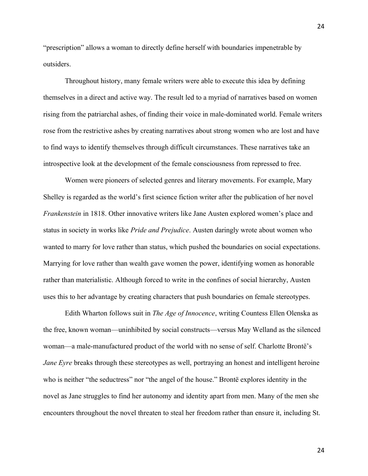"prescription" allows a woman to directly define herself with boundaries impenetrable by outsiders.

Throughout history, many female writers were able to execute this idea by defining themselves in a direct and active way. The result led to a myriad of narratives based on women rising from the patriarchal ashes, of finding their voice in male-dominated world. Female writers rose from the restrictive ashes by creating narratives about strong women who are lost and have to find ways to identify themselves through difficult circumstances. These narratives take an introspective look at the development of the female consciousness from repressed to free.

Women were pioneers of selected genres and literary movements. For example, Mary Shelley is regarded as the world's first science fiction writer after the publication of her novel *Frankenstein* in 1818. Other innovative writers like Jane Austen explored women's place and status in society in works like *Pride and Prejudice*. Austen daringly wrote about women who wanted to marry for love rather than status, which pushed the boundaries on social expectations. Marrying for love rather than wealth gave women the power, identifying women as honorable rather than materialistic. Although forced to write in the confines of social hierarchy, Austen uses this to her advantage by creating characters that push boundaries on female stereotypes.

Edith Wharton follows suit in *The Age of Innocence*, writing Countess Ellen Olenska as the free, known woman—uninhibited by social constructs—versus May Welland as the silenced woman—a male-manufactured product of the world with no sense of self. Charlotte Brontë's *Jane Eyre* breaks through these stereotypes as well, portraying an honest and intelligent heroine who is neither "the seductress" nor "the angel of the house." Brontë explores identity in the novel as Jane struggles to find her autonomy and identity apart from men. Many of the men she encounters throughout the novel threaten to steal her freedom rather than ensure it, including St.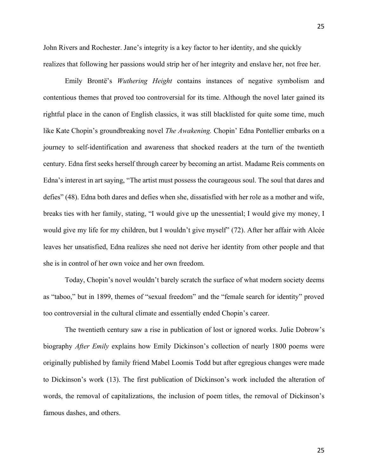John Rivers and Rochester. Jane's integrity is a key factor to her identity, and she quickly realizes that following her passions would strip her of her integrity and enslave her, not free her.

Emily Brontë's *Wuthering Height* contains instances of negative symbolism and contentious themes that proved too controversial for its time. Although the novel later gained its rightful place in the canon of English classics, it was still blacklisted for quite some time, much like Kate Chopin's groundbreaking novel *The Awakening.* Chopin' Edna Pontellier embarks on a journey to self-identification and awareness that shocked readers at the turn of the twentieth century. Edna first seeks herself through career by becoming an artist. Madame Reis comments on Edna's interest in art saying, "The artist must possess the courageous soul. The soul that dares and defies" (48). Edna both dares and defies when she, dissatisfied with her role as a mother and wife, breaks ties with her family, stating, "I would give up the unessential; I would give my money, I would give my life for my children, but I wouldn't give myself" (72). After her affair with Alcée leaves her unsatisfied, Edna realizes she need not derive her identity from other people and that she is in control of her own voice and her own freedom.

Today, Chopin's novel wouldn't barely scratch the surface of what modern society deems as "taboo," but in 1899, themes of "sexual freedom" and the "female search for identity" proved too controversial in the cultural climate and essentially ended Chopin's career.

The twentieth century saw a rise in publication of lost or ignored works. Julie Dobrow's biography *After Emily* explains how Emily Dickinson's collection of nearly 1800 poems were originally published by family friend Mabel Loomis Todd but after egregious changes were made to Dickinson's work (13). The first publication of Dickinson's work included the alteration of words, the removal of capitalizations, the inclusion of poem titles, the removal of Dickinson's famous dashes, and others.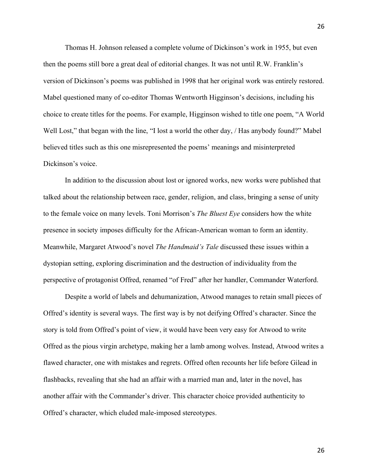Thomas H. Johnson released a complete volume of Dickinson's work in 1955, but even then the poems still bore a great deal of editorial changes. It was not until R.W. Franklin's version of Dickinson's poems was published in 1998 that her original work was entirely restored. Mabel questioned many of co-editor Thomas Wentworth Higginson's decisions, including his choice to create titles for the poems. For example, Higginson wished to title one poem, "A World Well Lost," that began with the line, "I lost a world the other day, / Has anybody found?" Mabel believed titles such as this one misrepresented the poems' meanings and misinterpreted Dickinson's voice.

In addition to the discussion about lost or ignored works, new works were published that talked about the relationship between race, gender, religion, and class, bringing a sense of unity to the female voice on many levels. Toni Morrison's *The Bluest Eye* considers how the white presence in society imposes difficulty for the African-American woman to form an identity. Meanwhile, Margaret Atwood's novel *The Handmaid's Tale* discussed these issues within a dystopian setting, exploring discrimination and the destruction of individuality from the perspective of protagonist Offred, renamed "of Fred" after her handler, Commander Waterford.

Despite a world of labels and dehumanization, Atwood manages to retain small pieces of Offred's identity is several ways. The first way is by not deifying Offred's character. Since the story is told from Offred's point of view, it would have been very easy for Atwood to write Offred as the pious virgin archetype, making her a lamb among wolves. Instead, Atwood writes a flawed character, one with mistakes and regrets. Offred often recounts her life before Gilead in flashbacks, revealing that she had an affair with a married man and, later in the novel, has another affair with the Commander's driver. This character choice provided authenticity to Offred's character, which eluded male-imposed stereotypes.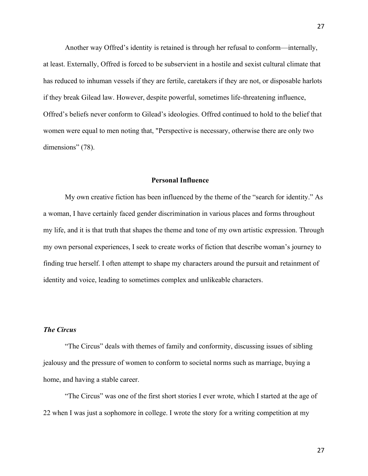Another way Offred's identity is retained is through her refusal to conform—internally, at least. Externally, Offred is forced to be subservient in a hostile and sexist cultural climate that has reduced to inhuman vessels if they are fertile, caretakers if they are not, or disposable harlots if they break Gilead law. However, despite powerful, sometimes life-threatening influence, Offred's beliefs never conform to Gilead's ideologies. Offred continued to hold to the belief that women were equal to men noting that, "Perspective is necessary, otherwise there are only two dimensions" (78).

# **Personal Influence**

My own creative fiction has been influenced by the theme of the "search for identity." As a woman, I have certainly faced gender discrimination in various places and forms throughout my life, and it is that truth that shapes the theme and tone of my own artistic expression. Through my own personal experiences, I seek to create works of fiction that describe woman's journey to finding true herself. I often attempt to shape my characters around the pursuit and retainment of identity and voice, leading to sometimes complex and unlikeable characters.

## *The Circus*

"The Circus" deals with themes of family and conformity, discussing issues of sibling jealousy and the pressure of women to conform to societal norms such as marriage, buying a home, and having a stable career.

"The Circus" was one of the first short stories I ever wrote, which I started at the age of 22 when I was just a sophomore in college. I wrote the story for a writing competition at my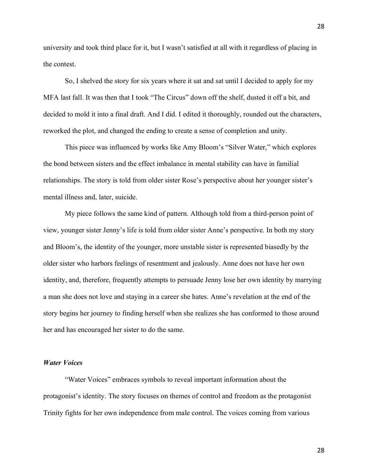university and took third place for it, but I wasn't satisfied at all with it regardless of placing in the contest.

So, I shelved the story for six years where it sat and sat until I decided to apply for my MFA last fall. It was then that I took "The Circus" down off the shelf, dusted it off a bit, and decided to mold it into a final draft. And I did. I edited it thoroughly, rounded out the characters, reworked the plot, and changed the ending to create a sense of completion and unity.

This piece was influenced by works like Amy Bloom's "Silver Water," which explores the bond between sisters and the effect imbalance in mental stability can have in familial relationships. The story is told from older sister Rose's perspective about her younger sister's mental illness and, later, suicide.

My piece follows the same kind of pattern. Although told from a third-person point of view, younger sister Jenny's life is told from older sister Anne's perspective. In both my story and Bloom's, the identity of the younger, more unstable sister is represented biasedly by the older sister who harbors feelings of resentment and jealously. Anne does not have her own identity, and, therefore, frequently attempts to persuade Jenny lose her own identity by marrying a man she does not love and staying in a career she hates. Anne's revelation at the end of the story begins her journey to finding herself when she realizes she has conformed to those around her and has encouraged her sister to do the same.

#### *Water Voices*

"Water Voices" embraces symbols to reveal important information about the protagonist's identity. The story focuses on themes of control and freedom as the protagonist Trinity fights for her own independence from male control. The voices coming from various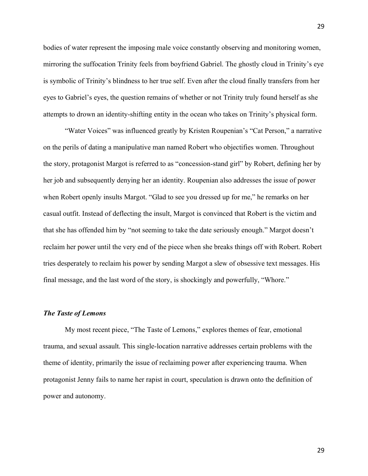bodies of water represent the imposing male voice constantly observing and monitoring women, mirroring the suffocation Trinity feels from boyfriend Gabriel. The ghostly cloud in Trinity's eye is symbolic of Trinity's blindness to her true self. Even after the cloud finally transfers from her eyes to Gabriel's eyes, the question remains of whether or not Trinity truly found herself as she attempts to drown an identity-shifting entity in the ocean who takes on Trinity's physical form.

"Water Voices" was influenced greatly by Kristen Roupenian's "Cat Person," a narrative on the perils of dating a manipulative man named Robert who objectifies women. Throughout the story, protagonist Margot is referred to as "concession-stand girl" by Robert, defining her by her job and subsequently denying her an identity. Roupenian also addresses the issue of power when Robert openly insults Margot. "Glad to see you dressed up for me," he remarks on her casual outfit. Instead of deflecting the insult, Margot is convinced that Robert is the victim and that she has offended him by "not seeming to take the date seriously enough." Margot doesn't reclaim her power until the very end of the piece when she breaks things off with Robert. Robert tries desperately to reclaim his power by sending Margot a slew of obsessive text messages. His final message, and the last word of the story, is shockingly and powerfully, "Whore."

## *The Taste of Lemons*

My most recent piece, "The Taste of Lemons," explores themes of fear, emotional trauma, and sexual assault. This single-location narrative addresses certain problems with the theme of identity, primarily the issue of reclaiming power after experiencing trauma. When protagonist Jenny fails to name her rapist in court, speculation is drawn onto the definition of power and autonomy.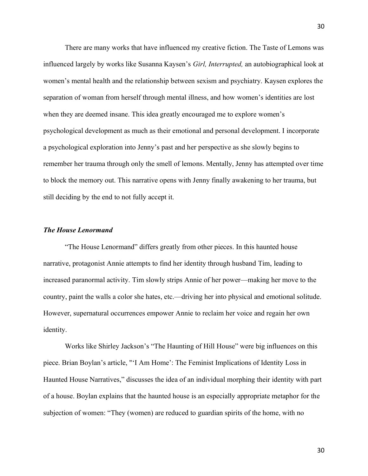There are many works that have influenced my creative fiction. The Taste of Lemons was influenced largely by works like Susanna Kaysen's *Girl, Interrupted,* an autobiographical look at women's mental health and the relationship between sexism and psychiatry. Kaysen explores the separation of woman from herself through mental illness, and how women's identities are lost when they are deemed insane. This idea greatly encouraged me to explore women's psychological development as much as their emotional and personal development. I incorporate a psychological exploration into Jenny's past and her perspective as she slowly begins to remember her trauma through only the smell of lemons. Mentally, Jenny has attempted over time to block the memory out. This narrative opens with Jenny finally awakening to her trauma, but still deciding by the end to not fully accept it.

### *The House Lenormand*

"The House Lenormand" differs greatly from other pieces. In this haunted house narrative, protagonist Annie attempts to find her identity through husband Tim, leading to increased paranormal activity. Tim slowly strips Annie of her power—making her move to the country, paint the walls a color she hates, etc.—driving her into physical and emotional solitude. However, supernatural occurrences empower Annie to reclaim her voice and regain her own identity.

Works like Shirley Jackson's "The Haunting of Hill House" were big influences on this piece. Brian Boylan's article, "'I Am Home': The Feminist Implications of Identity Loss in Haunted House Narratives," discusses the idea of an individual morphing their identity with part of a house. Boylan explains that the haunted house is an especially appropriate metaphor for the subjection of women: "They (women) are reduced to guardian spirits of the home, with no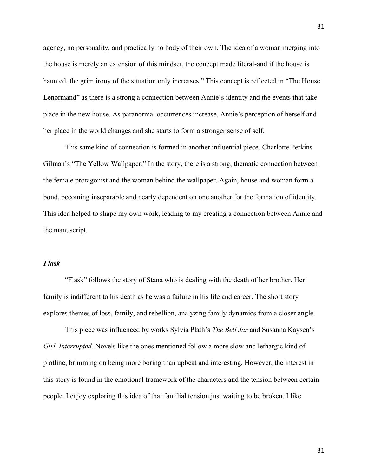agency, no personality, and practically no body of their own. The idea of a woman merging into the house is merely an extension of this mindset, the concept made literal-and if the house is haunted, the grim irony of the situation only increases." This concept is reflected in "The House Lenormand" as there is a strong a connection between Annie's identity and the events that take place in the new house. As paranormal occurrences increase, Annie's perception of herself and her place in the world changes and she starts to form a stronger sense of self.

This same kind of connection is formed in another influential piece, Charlotte Perkins Gilman's "The Yellow Wallpaper." In the story, there is a strong, thematic connection between the female protagonist and the woman behind the wallpaper. Again, house and woman form a bond, becoming inseparable and nearly dependent on one another for the formation of identity. This idea helped to shape my own work, leading to my creating a connection between Annie and the manuscript.

## *Flask*

"Flask" follows the story of Stana who is dealing with the death of her brother. Her family is indifferent to his death as he was a failure in his life and career. The short story explores themes of loss, family, and rebellion, analyzing family dynamics from a closer angle.

This piece was influenced by works Sylvia Plath's *The Bell Jar* and Susanna Kaysen's *Girl, Interrupted.* Novels like the ones mentioned follow a more slow and lethargic kind of plotline, brimming on being more boring than upbeat and interesting. However, the interest in this story is found in the emotional framework of the characters and the tension between certain people. I enjoy exploring this idea of that familial tension just waiting to be broken. I like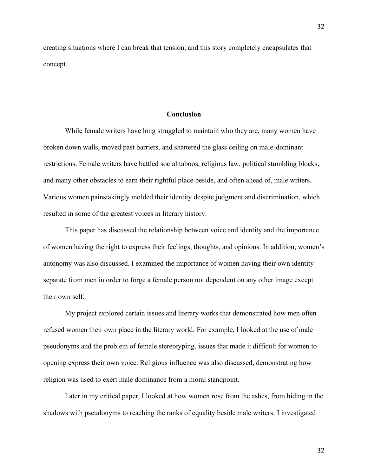creating situations where I can break that tension, and this story completely encapsulates that concept.

#### **Conclusion**

While female writers have long struggled to maintain who they are, many women have broken down walls, moved past barriers, and shattered the glass ceiling on male-dominant restrictions. Female writers have battled social taboos, religious law, political stumbling blocks, and many other obstacles to earn their rightful place beside, and often ahead of, male writers. Various women painstakingly molded their identity despite judgment and discrimination, which resulted in some of the greatest voices in literary history.

This paper has discussed the relationship between voice and identity and the importance of women having the right to express their feelings, thoughts, and opinions. In addition, women's autonomy was also discussed. I examined the importance of women having their own identity separate from men in order to forge a female person not dependent on any other image except their own self.

My project explored certain issues and literary works that demonstrated how men often refused women their own place in the literary world. For example, I looked at the use of male pseudonyms and the problem of female stereotyping, issues that made it difficult for women to opening express their own voice. Religious influence was also discussed, demonstrating how religion was used to exert male dominance from a moral standpoint.

Later in my critical paper, I looked at how women rose from the ashes, from hiding in the shadows with pseudonyms to reaching the ranks of equality beside male writers. I investigated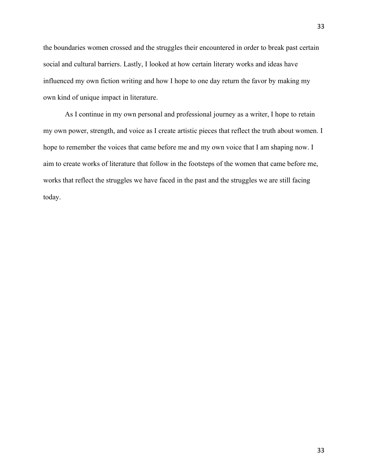the boundaries women crossed and the struggles their encountered in order to break past certain social and cultural barriers. Lastly, I looked at how certain literary works and ideas have influenced my own fiction writing and how I hope to one day return the favor by making my own kind of unique impact in literature.

As I continue in my own personal and professional journey as a writer, I hope to retain my own power, strength, and voice as I create artistic pieces that reflect the truth about women. I hope to remember the voices that came before me and my own voice that I am shaping now. I aim to create works of literature that follow in the footsteps of the women that came before me, works that reflect the struggles we have faced in the past and the struggles we are still facing today.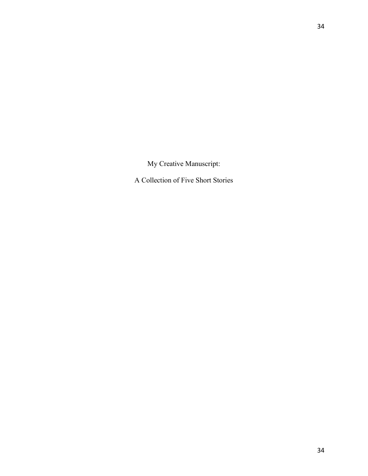My Creative Manuscript:

A Collection of Five Short Stories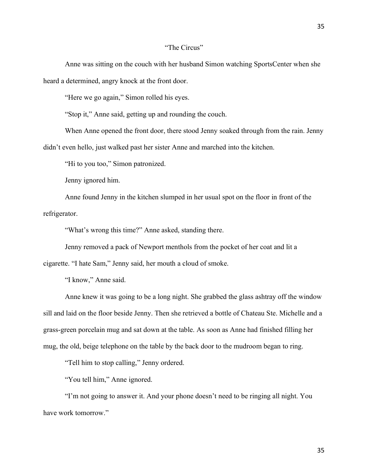## "The Circus"

Anne was sitting on the couch with her husband Simon watching SportsCenter when she heard a determined, angry knock at the front door.

"Here we go again," Simon rolled his eyes.

"Stop it," Anne said, getting up and rounding the couch.

When Anne opened the front door, there stood Jenny soaked through from the rain. Jenny didn't even hello, just walked past her sister Anne and marched into the kitchen.

"Hi to you too," Simon patronized.

Jenny ignored him.

Anne found Jenny in the kitchen slumped in her usual spot on the floor in front of the refrigerator.

"What's wrong this time?" Anne asked, standing there.

Jenny removed a pack of Newport menthols from the pocket of her coat and lit a

cigarette. "I hate Sam," Jenny said, her mouth a cloud of smoke.

"I know," Anne said.

Anne knew it was going to be a long night. She grabbed the glass ashtray off the window sill and laid on the floor beside Jenny. Then she retrieved a bottle of Chateau Ste. Michelle and a grass-green porcelain mug and sat down at the table. As soon as Anne had finished filling her mug, the old, beige telephone on the table by the back door to the mudroom began to ring.

"Tell him to stop calling," Jenny ordered.

"You tell him," Anne ignored.

"I'm not going to answer it. And your phone doesn't need to be ringing all night. You have work tomorrow."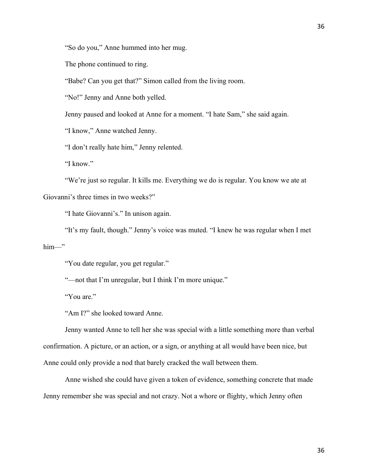"So do you," Anne hummed into her mug.

The phone continued to ring.

"Babe? Can you get that?" Simon called from the living room.

"No!" Jenny and Anne both yelled.

Jenny paused and looked at Anne for a moment. "I hate Sam," she said again.

"I know," Anne watched Jenny.

"I don't really hate him," Jenny relented.

"I know."

"We're just so regular. It kills me. Everything we do is regular. You know we ate at Giovanni's three times in two weeks?"

"I hate Giovanni's." In unison again.

"It's my fault, though." Jenny's voice was muted. "I knew he was regular when I met him—"

"You date regular, you get regular."

"-not that I'm unregular, but I think I'm more unique."

"You are."

"Am I?" she looked toward Anne.

Jenny wanted Anne to tell her she was special with a little something more than verbal confirmation. A picture, or an action, or a sign, or anything at all would have been nice, but Anne could only provide a nod that barely cracked the wall between them.

Anne wished she could have given a token of evidence, something concrete that made Jenny remember she was special and not crazy. Not a whore or flighty, which Jenny often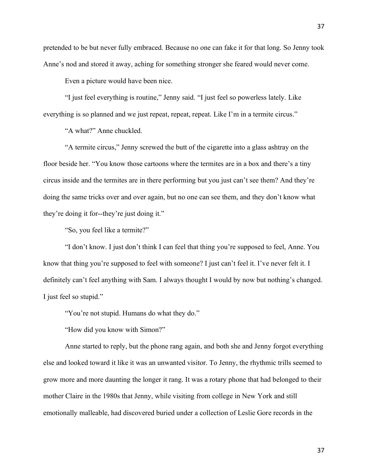pretended to be but never fully embraced. Because no one can fake it for that long. So Jenny took Anne's nod and stored it away, aching for something stronger she feared would never come.

Even a picture would have been nice.

"I just feel everything is routine," Jenny said. "I just feel so powerless lately. Like everything is so planned and we just repeat, repeat, repeat. Like I'm in a termite circus."

"A what?" Anne chuckled.

"A termite circus," Jenny screwed the butt of the cigarette into a glass ashtray on the floor beside her. "You know those cartoons where the termites are in a box and there's a tiny circus inside and the termites are in there performing but you just can't see them? And they're doing the same tricks over and over again, but no one can see them, and they don't know what they're doing it for--they're just doing it."

"So, you feel like a termite?"

"I don't know. I just don't think I can feel that thing you're supposed to feel, Anne. You know that thing you're supposed to feel with someone? I just can't feel it. I've never felt it. I definitely can't feel anything with Sam. I always thought I would by now but nothing's changed. I just feel so stupid."

"You're not stupid. Humans do what they do."

"How did you know with Simon?"

Anne started to reply, but the phone rang again, and both she and Jenny forgot everything else and looked toward it like it was an unwanted visitor. To Jenny, the rhythmic trills seemed to grow more and more daunting the longer it rang. It was a rotary phone that had belonged to their mother Claire in the 1980s that Jenny, while visiting from college in New York and still emotionally malleable, had discovered buried under a collection of Leslie Gore records in the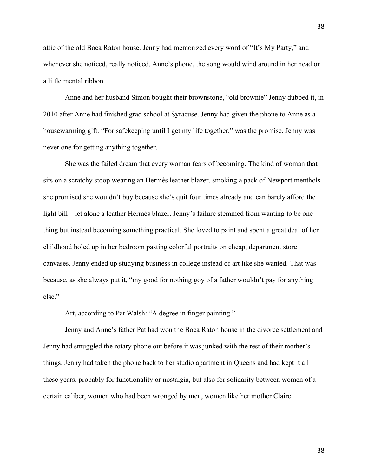attic of the old Boca Raton house. Jenny had memorized every word of "It's My Party," and whenever she noticed, really noticed, Anne's phone, the song would wind around in her head on a little mental ribbon.

Anne and her husband Simon bought their brownstone, "old brownie" Jenny dubbed it, in 2010 after Anne had finished grad school at Syracuse. Jenny had given the phone to Anne as a housewarming gift. "For safekeeping until I get my life together," was the promise. Jenny was never one for getting anything together.

She was the failed dream that every woman fears of becoming. The kind of woman that sits on a scratchy stoop wearing an Hermès leather blazer, smoking a pack of Newport menthols she promised she wouldn't buy because she's quit four times already and can barely afford the light bill—let alone a leather Hermès blazer. Jenny's failure stemmed from wanting to be one thing but instead becoming something practical. She loved to paint and spent a great deal of her childhood holed up in her bedroom pasting colorful portraits on cheap, department store canvases. Jenny ended up studying business in college instead of art like she wanted. That was because, as she always put it, "my good for nothing goy of a father wouldn't pay for anything else."

Art, according to Pat Walsh: "A degree in finger painting."

Jenny and Anne's father Pat had won the Boca Raton house in the divorce settlement and Jenny had smuggled the rotary phone out before it was junked with the rest of their mother's things. Jenny had taken the phone back to her studio apartment in Queens and had kept it all these years, probably for functionality or nostalgia, but also for solidarity between women of a certain caliber, women who had been wronged by men, women like her mother Claire.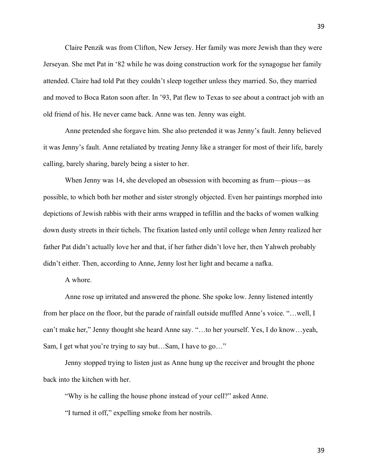Claire Penzik was from Clifton, New Jersey. Her family was more Jewish than they were Jerseyan. She met Pat in '82 while he was doing construction work for the synagogue her family attended. Claire had told Pat they couldn't sleep together unless they married. So, they married and moved to Boca Raton soon after. In '93, Pat flew to Texas to see about a contract job with an old friend of his. He never came back. Anne was ten. Jenny was eight.

Anne pretended she forgave him. She also pretended it was Jenny's fault. Jenny believed it was Jenny's fault. Anne retaliated by treating Jenny like a stranger for most of their life, barely calling, barely sharing, barely being a sister to her.

When Jenny was 14, she developed an obsession with becoming as frum—pious—as possible, to which both her mother and sister strongly objected. Even her paintings morphed into depictions of Jewish rabbis with their arms wrapped in tefillin and the backs of women walking down dusty streets in their tichels. The fixation lasted only until college when Jenny realized her father Pat didn't actually love her and that, if her father didn't love her, then Yahweh probably didn't either. Then, according to Anne, Jenny lost her light and became a nafka.

A whore.

Anne rose up irritated and answered the phone. She spoke low. Jenny listened intently from her place on the floor, but the parade of rainfall outside muffled Anne's voice. "...well, I can't make her," Jenny thought she heard Anne say. "…to her yourself. Yes, I do know…yeah, Sam, I get what you're trying to say but…Sam, I have to go…"

Jenny stopped trying to listen just as Anne hung up the receiver and brought the phone back into the kitchen with her.

"Why is he calling the house phone instead of your cell?" asked Anne.

"I turned it off," expelling smoke from her nostrils.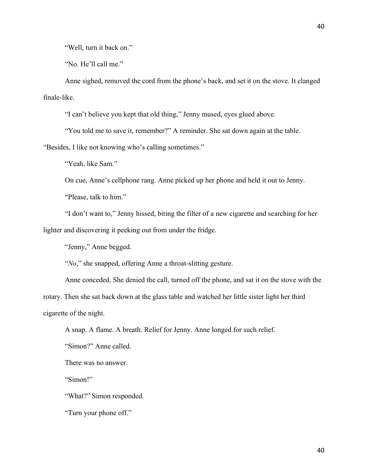"Well, turn it back on."

"No. He'll call me."

Anne sighed, removed the cord from the phone's back, and set it on the stove. It clanged finale-like.

"I can't believe you kept that old thing," Jenny mused, eyes glued above.

"You told me to save it, remember?" A reminder. She sat down again at the table.

"Besides, I like not knowing who's calling sometimes."

"Yeah, like Sam."

On cue, Anne's cellphone rang. Anne picked up her phone and held it out to Jenny.

"Please, talk to him."

"I don't want to," Jenny hissed, biting the filter of a new cigarette and searching for her lighter and discovering it peeking out from under the fridge.

"Jenny," Anne begged.

"*No*," she snapped, offering Anne a throat-slitting gesture.

Anne conceded. She denied the call, turned off the phone, and sat it on the stove with the rotary. Then she sat back down at the glass table and watched her little sister light her third cigarette of the night.

A snap. A flame. A breath. Relief for Jenny. Anne longed for such relief.

"Simon?" Anne called.

There was no answer.

"Simon!"

"What?" Simon responded.

"Turn your phone off."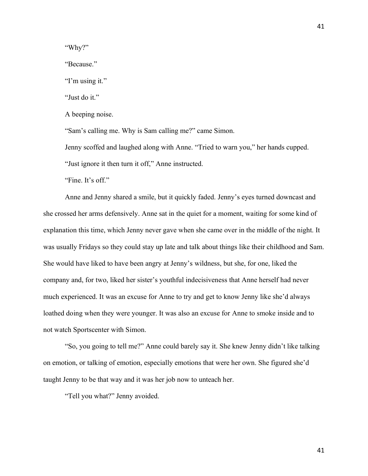"Why?"

"Because."

"I'm using it."

"Just do it."

A beeping noise.

"Sam's calling me. Why is Sam calling me?" came Simon.

Jenny scoffed and laughed along with Anne. "Tried to warn you," her hands cupped.

"Just ignore it then turn it off," Anne instructed.

"Fine. It's off."

Anne and Jenny shared a smile, but it quickly faded. Jenny's eyes turned downcast and she crossed her arms defensively. Anne sat in the quiet for a moment, waiting for some kind of explanation this time, which Jenny never gave when she came over in the middle of the night. It was usually Fridays so they could stay up late and talk about things like their childhood and Sam. She would have liked to have been angry at Jenny's wildness, but she, for one, liked the company and, for two, liked her sister's youthful indecisiveness that Anne herself had never much experienced. It was an excuse for Anne to try and get to know Jenny like she'd always loathed doing when they were younger. It was also an excuse for Anne to smoke inside and to not watch Sportscenter with Simon.

"So, you going to tell me?" Anne could barely say it. She knew Jenny didn't like talking on emotion, or talking of emotion, especially emotions that were her own. She figured she'd taught Jenny to be that way and it was her job now to unteach her.

"Tell you what?" Jenny avoided.

41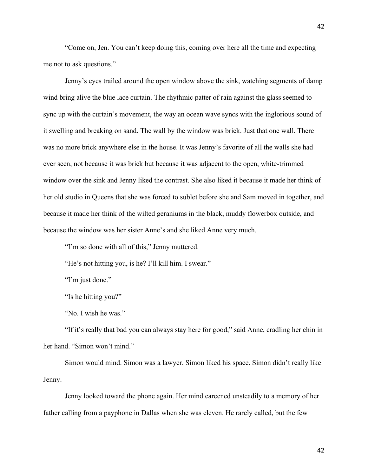"Come on, Jen. You can't keep doing this, coming over here all the time and expecting me not to ask questions."

Jenny's eyes trailed around the open window above the sink, watching segments of damp wind bring alive the blue lace curtain. The rhythmic patter of rain against the glass seemed to sync up with the curtain's movement, the way an ocean wave syncs with the inglorious sound of it swelling and breaking on sand. The wall by the window was brick. Just that one wall. There was no more brick anywhere else in the house. It was Jenny's favorite of all the walls she had ever seen, not because it was brick but because it was adjacent to the open, white-trimmed window over the sink and Jenny liked the contrast. She also liked it because it made her think of her old studio in Queens that she was forced to sublet before she and Sam moved in together, and because it made her think of the wilted geraniums in the black, muddy flowerbox outside, and because the window was her sister Anne's and she liked Anne very much.

"I'm so done with all of this," Jenny muttered.

"He's not hitting you, is he? I'll kill him. I swear."

"I'm just done."

"Is he hitting you?"

"No. I wish he was."

"If it's really that bad you can always stay here for good," said Anne, cradling her chin in her hand. "Simon won't mind."

Simon would mind. Simon was a lawyer. Simon liked his space. Simon didn't really like Jenny.

Jenny looked toward the phone again. Her mind careened unsteadily to a memory of her father calling from a payphone in Dallas when she was eleven. He rarely called, but the few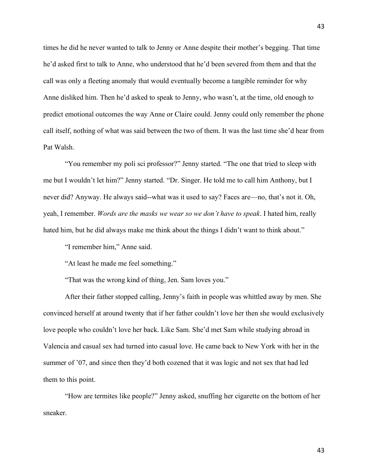times he did he never wanted to talk to Jenny or Anne despite their mother's begging. That time he'd asked first to talk to Anne, who understood that he'd been severed from them and that the call was only a fleeting anomaly that would eventually become a tangible reminder for why Anne disliked him. Then he'd asked to speak to Jenny, who wasn't, at the time, old enough to predict emotional outcomes the way Anne or Claire could. Jenny could only remember the phone call itself, nothing of what was said between the two of them. It was the last time she'd hear from Pat Walsh.

"You remember my poli sci professor?" Jenny started. "The one that tried to sleep with me but I wouldn't let him?" Jenny started. "Dr. Singer. He told me to call him Anthony, but I never did? Anyway. He always said--what was it used to say? Faces are—no, that's not it. Oh, yeah, I remember. *Words are the masks we wear so we don't have to speak*. I hated him, really hated him, but he did always make me think about the things I didn't want to think about."

"I remember him," Anne said.

"At least he made me feel something."

"That was the wrong kind of thing, Jen. Sam loves you."

After their father stopped calling, Jenny's faith in people was whittled away by men. She convinced herself at around twenty that if her father couldn't love her then she would exclusively love people who couldn't love her back. Like Sam. She'd met Sam while studying abroad in Valencia and casual sex had turned into casual love. He came back to New York with her in the summer of '07, and since then they'd both cozened that it was logic and not sex that had led them to this point.

"How are termites like people?" Jenny asked, snuffing her cigarette on the bottom of her sneaker.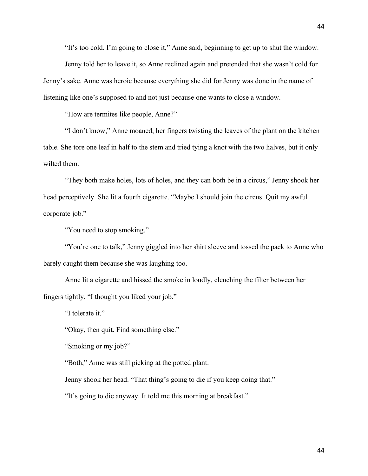"It's too cold. I'm going to close it," Anne said, beginning to get up to shut the window.

Jenny told her to leave it, so Anne reclined again and pretended that she wasn't cold for Jenny's sake. Anne was heroic because everything she did for Jenny was done in the name of listening like one's supposed to and not just because one wants to close a window.

"How are termites like people, Anne?"

"I don't know," Anne moaned, her fingers twisting the leaves of the plant on the kitchen table. She tore one leaf in half to the stem and tried tying a knot with the two halves, but it only wilted them.

"They both make holes, lots of holes, and they can both be in a circus," Jenny shook her head perceptively. She lit a fourth cigarette. "Maybe I should join the circus. Quit my awful corporate job."

"You need to stop smoking."

"You're one to talk," Jenny giggled into her shirt sleeve and tossed the pack to Anne who barely caught them because she was laughing too.

Anne lit a cigarette and hissed the smoke in loudly, clenching the filter between her fingers tightly. "I thought you liked your job."

"I tolerate it."

"Okay, then quit. Find something else."

"Smoking or my job?"

"Both," Anne was still picking at the potted plant.

Jenny shook her head. "That thing's going to die if you keep doing that."

"It's going to die anyway. It told me this morning at breakfast."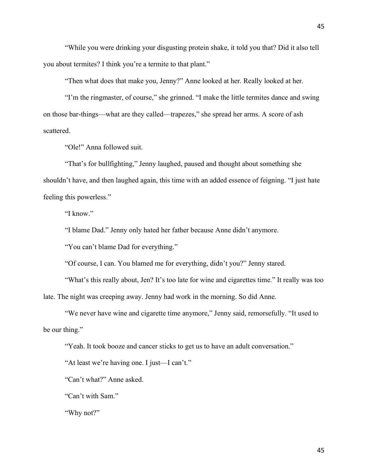"While you were drinking your disgusting protein shake, it told you that? Did it also tell you about termites? I think you're a termite to that plant."

"Then what does that make you, Jenny?" Anne looked at her. Really looked at her.

"I'm the ringmaster, of course," she grinned. "I make the little termites dance and swing on those bar-things—what are they called—trapezes," she spread her arms. A score of ash scattered.

"Ole!" Anna followed suit.

"That's for bullfighting," Jenny laughed, paused and thought about something she shouldn't have, and then laughed again, this time with an added essence of feigning. "I just hate feeling this powerless."

"I know."

"I blame Dad." Jenny only hated her father because Anne didn't anymore.

"You can't blame Dad for everything."

"Of course, I can. You blamed me for everything, didn't you?" Jenny stared.

"What's this really about, Jen? It's too late for wine and cigarettes time." It really was too

late. The night was creeping away. Jenny had work in the morning. So did Anne.

"We never have wine and cigarette time anymore," Jenny said, remorsefully. "It used to be our thing."

"Yeah. It took booze and cancer sticks to get us to have an adult conversation."

"At least we're having one. I just—I can't."

"Can't what?" Anne asked.

"Can't with Sam."

"Why not?"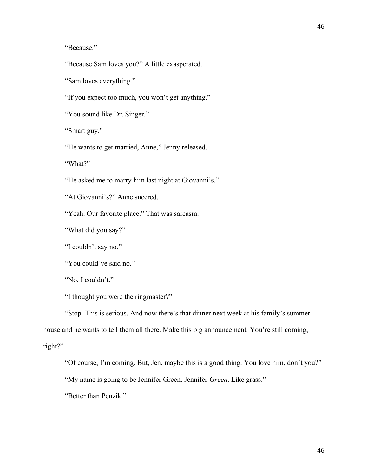46

"Because."

"Because Sam loves you?" A little exasperated.

"Sam loves everything."

"If you expect too much, you won't get anything."

"You sound like Dr. Singer."

"Smart guy."

"He wants to get married, Anne," Jenny released.

"What?"

"He asked me to marry him last night at Giovanni's."

"At Giovanni's?" Anne sneered.

"Yeah. Our favorite place." That was sarcasm.

"What did you say?"

"I couldn't say no."

"You could've said no."

"No, I couldn't."

"I thought you were the ringmaster?"

"Stop. This is serious. And now there's that dinner next week at his family's summer house and he wants to tell them all there. Make this big announcement. You're still coming, right?"

"Of course, I'm coming. But, Jen, maybe this is a good thing. You love him, don't you?"

"My name is going to be Jennifer Green. Jennifer *Green*. Like grass."

"Better than Penzik."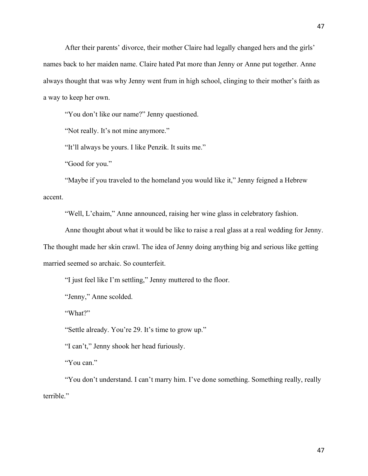After their parents' divorce, their mother Claire had legally changed hers and the girls' names back to her maiden name. Claire hated Pat more than Jenny or Anne put together. Anne always thought that was why Jenny went frum in high school, clinging to their mother's faith as a way to keep her own.

"You don't like our name?" Jenny questioned.

"Not really. It's not mine anymore."

"It'll always be yours. I like Penzik. It suits me."

"Good for you."

"Maybe if you traveled to the homeland you would like it," Jenny feigned a Hebrew accent.

"Well, L'chaim," Anne announced, raising her wine glass in celebratory fashion.

Anne thought about what it would be like to raise a real glass at a real wedding for Jenny.

The thought made her skin crawl. The idea of Jenny doing anything big and serious like getting married seemed so archaic. So counterfeit.

"I just feel like I'm settling," Jenny muttered to the floor.

"Jenny," Anne scolded.

"What?"

"Settle already. You're 29. It's time to grow up."

"I can't," Jenny shook her head furiously.

"You can."

"You don't understand. I can't marry him. I've done something. Something really, really terrible."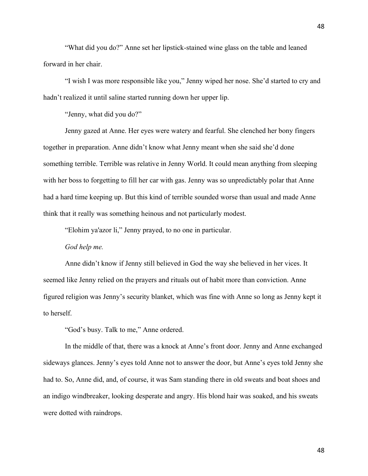"What did you do?" Anne set her lipstick-stained wine glass on the table and leaned forward in her chair.

"I wish I was more responsible like you," Jenny wiped her nose. She'd started to cry and hadn't realized it until saline started running down her upper lip.

"Jenny, what did you do?"

Jenny gazed at Anne. Her eyes were watery and fearful. She clenched her bony fingers together in preparation. Anne didn't know what Jenny meant when she said she'd done something terrible. Terrible was relative in Jenny World. It could mean anything from sleeping with her boss to forgetting to fill her car with gas. Jenny was so unpredictably polar that Anne had a hard time keeping up. But this kind of terrible sounded worse than usual and made Anne think that it really was something heinous and not particularly modest.

"Elohim ya'azor li," Jenny prayed, to no one in particular.

## *God help me.*

Anne didn't know if Jenny still believed in God the way she believed in her vices. It seemed like Jenny relied on the prayers and rituals out of habit more than conviction. Anne figured religion was Jenny's security blanket, which was fine with Anne so long as Jenny kept it to herself.

"God's busy. Talk to me," Anne ordered.

In the middle of that, there was a knock at Anne's front door. Jenny and Anne exchanged sideways glances. Jenny's eyes told Anne not to answer the door, but Anne's eyes told Jenny she had to. So, Anne did, and, of course, it was Sam standing there in old sweats and boat shoes and an indigo windbreaker, looking desperate and angry. His blond hair was soaked, and his sweats were dotted with raindrops.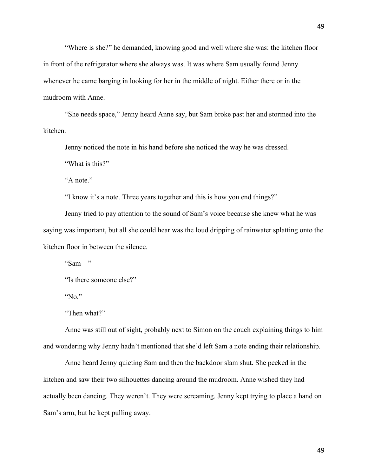"Where is she?" he demanded, knowing good and well where she was: the kitchen floor in front of the refrigerator where she always was. It was where Sam usually found Jenny whenever he came barging in looking for her in the middle of night. Either there or in the mudroom with Anne.

"She needs space," Jenny heard Anne say, but Sam broke past her and stormed into the kitchen.

Jenny noticed the note in his hand before she noticed the way he was dressed.

"What is this?"

"A note."

"I know it's a note. Three years together and this is how you end things?"

Jenny tried to pay attention to the sound of Sam's voice because she knew what he was saying was important, but all she could hear was the loud dripping of rainwater splatting onto the kitchen floor in between the silence.

" $Sam$ "

```
"Is there someone else?"
```
"No."

"Then what?"

Anne was still out of sight, probably next to Simon on the couch explaining things to him and wondering why Jenny hadn't mentioned that she'd left Sam a note ending their relationship.

Anne heard Jenny quieting Sam and then the backdoor slam shut. She peeked in the kitchen and saw their two silhouettes dancing around the mudroom. Anne wished they had actually been dancing. They weren't. They were screaming. Jenny kept trying to place a hand on Sam's arm, but he kept pulling away.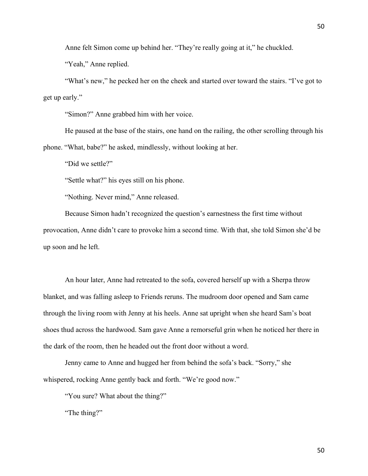Anne felt Simon come up behind her. "They're really going at it," he chuckled.

"Yeah," Anne replied.

"What's new," he pecked her on the cheek and started over toward the stairs. "I've got to get up early."

"Simon?" Anne grabbed him with her voice.

He paused at the base of the stairs, one hand on the railing, the other scrolling through his phone. "What, babe?" he asked, mindlessly, without looking at her.

"Did we settle?"

"Settle what?" his eyes still on his phone.

"Nothing. Never mind," Anne released.

Because Simon hadn't recognized the question's earnestness the first time without provocation, Anne didn't care to provoke him a second time. With that, she told Simon she'd be up soon and he left.

An hour later, Anne had retreated to the sofa, covered herself up with a Sherpa throw blanket, and was falling asleep to Friends reruns. The mudroom door opened and Sam came through the living room with Jenny at his heels. Anne sat upright when she heard Sam's boat shoes thud across the hardwood. Sam gave Anne a remorseful grin when he noticed her there in the dark of the room, then he headed out the front door without a word.

Jenny came to Anne and hugged her from behind the sofa's back. "Sorry," she whispered, rocking Anne gently back and forth. "We're good now."

"You sure? What about the thing?"

"The thing?"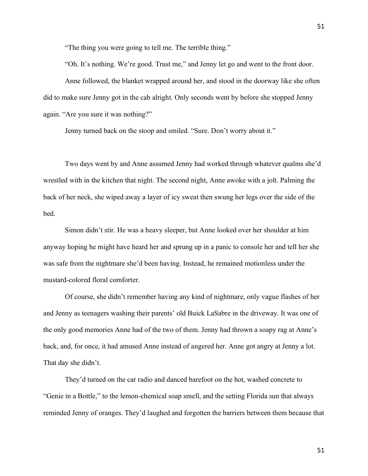"The thing you were going to tell me. The terrible thing."

"Oh. It's nothing. We're good. Trust me," and Jenny let go and went to the front door.

Anne followed, the blanket wrapped around her, and stood in the doorway like she often did to make sure Jenny got in the cab alright. Only seconds went by before she stopped Jenny again. "Are you sure it was nothing?"

Jenny turned back on the stoop and smiled. "Sure. Don't worry about it."

Two days went by and Anne assumed Jenny had worked through whatever qualms she'd wrestled with in the kitchen that night. The second night, Anne awoke with a jolt. Palming the back of her neck, she wiped away a layer of icy sweat then swung her legs over the side of the bed.

Simon didn't stir. He was a heavy sleeper, but Anne looked over her shoulder at him anyway hoping he might have heard her and sprung up in a panic to console her and tell her she was safe from the nightmare she'd been having. Instead, he remained motionless under the mustard-colored floral comforter.

Of course, she didn't remember having any kind of nightmare, only vague flashes of her and Jenny as teenagers washing their parents' old Buick LaSabre in the driveway. It was one of the only good memories Anne had of the two of them. Jenny had thrown a soapy rag at Anne's back, and, for once, it had amused Anne instead of angered her. Anne got angry at Jenny a lot. That day she didn't.

They'd turned on the car radio and danced barefoot on the hot, washed concrete to "Genie in a Bottle," to the lemon-chemical soap smell, and the setting Florida sun that always reminded Jenny of oranges. They'd laughed and forgotten the barriers between them because that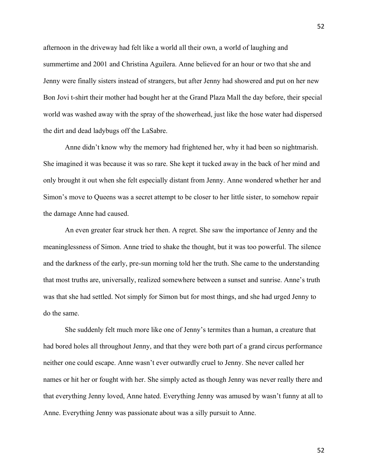afternoon in the driveway had felt like a world all their own, a world of laughing and summertime and 2001 and Christina Aguilera. Anne believed for an hour or two that she and Jenny were finally sisters instead of strangers, but after Jenny had showered and put on her new Bon Jovi t-shirt their mother had bought her at the Grand Plaza Mall the day before, their special world was washed away with the spray of the showerhead, just like the hose water had dispersed the dirt and dead ladybugs off the LaSabre.

Anne didn't know why the memory had frightened her, why it had been so nightmarish. She imagined it was because it was so rare. She kept it tucked away in the back of her mind and only brought it out when she felt especially distant from Jenny. Anne wondered whether her and Simon's move to Queens was a secret attempt to be closer to her little sister, to somehow repair the damage Anne had caused.

An even greater fear struck her then. A regret. She saw the importance of Jenny and the meaninglessness of Simon. Anne tried to shake the thought, but it was too powerful. The silence and the darkness of the early, pre-sun morning told her the truth. She came to the understanding that most truths are, universally, realized somewhere between a sunset and sunrise. Anne's truth was that she had settled. Not simply for Simon but for most things, and she had urged Jenny to do the same.

She suddenly felt much more like one of Jenny's termites than a human, a creature that had bored holes all throughout Jenny, and that they were both part of a grand circus performance neither one could escape. Anne wasn't ever outwardly cruel to Jenny. She never called her names or hit her or fought with her. She simply acted as though Jenny was never really there and that everything Jenny loved, Anne hated. Everything Jenny was amused by wasn't funny at all to Anne. Everything Jenny was passionate about was a silly pursuit to Anne.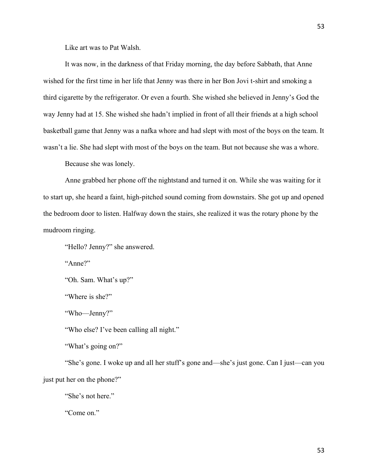Like art was to Pat Walsh.

It was now, in the darkness of that Friday morning, the day before Sabbath, that Anne wished for the first time in her life that Jenny was there in her Bon Jovi t-shirt and smoking a third cigarette by the refrigerator. Or even a fourth. She wished she believed in Jenny's God the way Jenny had at 15. She wished she hadn't implied in front of all their friends at a high school basketball game that Jenny was a nafka whore and had slept with most of the boys on the team. It wasn't a lie. She had slept with most of the boys on the team. But not because she was a whore.

Because she was lonely.

Anne grabbed her phone off the nightstand and turned it on. While she was waiting for it to start up, she heard a faint, high-pitched sound coming from downstairs. She got up and opened the bedroom door to listen. Halfway down the stairs, she realized it was the rotary phone by the mudroom ringing.

"Hello? Jenny?" she answered.

"Anne?"

"Oh. Sam. What's up?"

"Where is she?"

"Who—Jenny?"

"Who else? I've been calling all night."

"What's going on?"

"She's gone. I woke up and all her stuff's gone and—she's just gone. Can I just—can you just put her on the phone?"

"She's not here."

"Come on."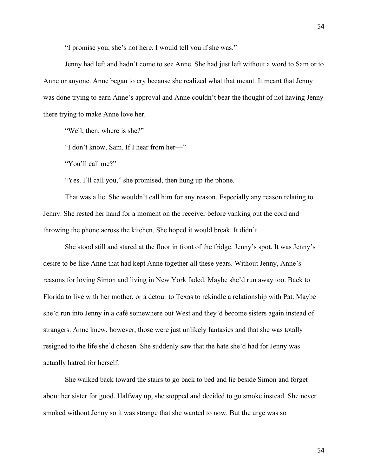"I promise you, she's not here. I would tell you if she was."

Jenny had left and hadn't come to see Anne. She had just left without a word to Sam or to Anne or anyone. Anne began to cry because she realized what that meant. It meant that Jenny was done trying to earn Anne's approval and Anne couldn't bear the thought of not having Jenny there trying to make Anne love her.

"Well, then, where is she?"

"I don't know, Sam. If I hear from her—"

"You'll call me?"

"Yes. I'll call you," she promised, then hung up the phone.

That was a lie. She wouldn't call him for any reason. Especially any reason relating to Jenny. She rested her hand for a moment on the receiver before yanking out the cord and throwing the phone across the kitchen. She hoped it would break. It didn't.

She stood still and stared at the floor in front of the fridge. Jenny's spot. It was Jenny's desire to be like Anne that had kept Anne together all these years. Without Jenny, Anne's reasons for loving Simon and living in New York faded. Maybe she'd run away too. Back to Florida to live with her mother, or a detour to Texas to rekindle a relationship with Pat. Maybe she'd run into Jenny in a café somewhere out West and they'd become sisters again instead of strangers. Anne knew, however, those were just unlikely fantasies and that she was totally resigned to the life she'd chosen. She suddenly saw that the hate she'd had for Jenny was actually hatred for herself.

She walked back toward the stairs to go back to bed and lie beside Simon and forget about her sister for good. Halfway up, she stopped and decided to go smoke instead. She never smoked without Jenny so it was strange that she wanted to now. But the urge was so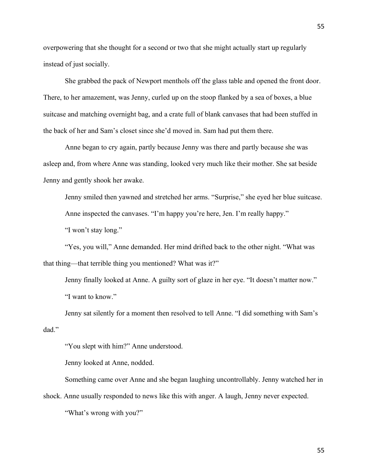overpowering that she thought for a second or two that she might actually start up regularly instead of just socially.

She grabbed the pack of Newport menthols off the glass table and opened the front door. There, to her amazement, was Jenny, curled up on the stoop flanked by a sea of boxes, a blue suitcase and matching overnight bag, and a crate full of blank canvases that had been stuffed in the back of her and Sam's closet since she'd moved in. Sam had put them there.

Anne began to cry again, partly because Jenny was there and partly because she was asleep and, from where Anne was standing, looked very much like their mother. She sat beside Jenny and gently shook her awake.

Jenny smiled then yawned and stretched her arms. "Surprise," she eyed her blue suitcase. Anne inspected the canvases. "I'm happy you're here, Jen. I'm really happy."

"I won't stay long."

"Yes, you will," Anne demanded. Her mind drifted back to the other night. "What was that thing—that terrible thing you mentioned? What was it?"

Jenny finally looked at Anne. A guilty sort of glaze in her eye. "It doesn't matter now." "I want to know."

Jenny sat silently for a moment then resolved to tell Anne. "I did something with Sam's dad."

"You slept with him?" Anne understood.

Jenny looked at Anne, nodded.

Something came over Anne and she began laughing uncontrollably. Jenny watched her in shock. Anne usually responded to news like this with anger. A laugh, Jenny never expected.

"What's wrong with you?"

55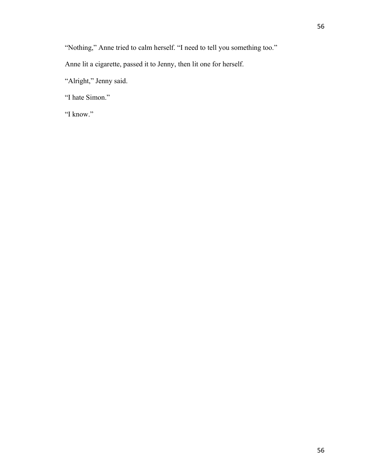"Nothing," Anne tried to calm herself. "I need to tell you something too."

Anne lit a cigarette, passed it to Jenny, then lit one for herself.

"Alright," Jenny said.

"I hate Simon."

"I know."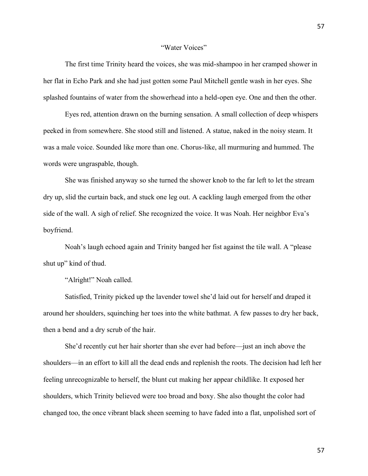## "Water Voices"

The first time Trinity heard the voices, she was mid-shampoo in her cramped shower in her flat in Echo Park and she had just gotten some Paul Mitchell gentle wash in her eyes. She splashed fountains of water from the showerhead into a held-open eye. One and then the other.

Eyes red, attention drawn on the burning sensation. A small collection of deep whispers peeked in from somewhere. She stood still and listened. A statue, naked in the noisy steam. It was a male voice. Sounded like more than one. Chorus-like, all murmuring and hummed. The words were ungraspable, though.

She was finished anyway so she turned the shower knob to the far left to let the stream dry up, slid the curtain back, and stuck one leg out. A cackling laugh emerged from the other side of the wall. A sigh of relief. She recognized the voice. It was Noah. Her neighbor Eva's boyfriend.

Noah's laugh echoed again and Trinity banged her fist against the tile wall. A "please shut up" kind of thud.

"Alright!" Noah called.

Satisfied, Trinity picked up the lavender towel she'd laid out for herself and draped it around her shoulders, squinching her toes into the white bathmat. A few passes to dry her back, then a bend and a dry scrub of the hair.

She'd recently cut her hair shorter than she ever had before—just an inch above the shoulders—in an effort to kill all the dead ends and replenish the roots. The decision had left her feeling unrecognizable to herself, the blunt cut making her appear childlike. It exposed her shoulders, which Trinity believed were too broad and boxy. She also thought the color had changed too, the once vibrant black sheen seeming to have faded into a flat, unpolished sort of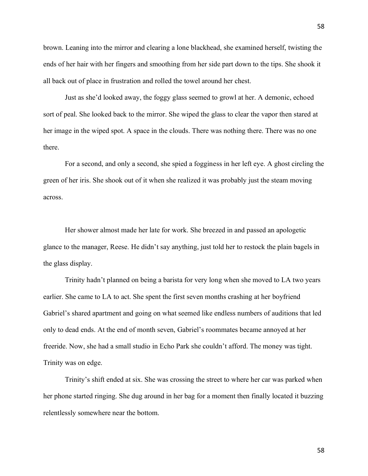brown. Leaning into the mirror and clearing a lone blackhead, she examined herself, twisting the ends of her hair with her fingers and smoothing from her side part down to the tips. She shook it all back out of place in frustration and rolled the towel around her chest.

Just as she'd looked away, the foggy glass seemed to growl at her. A demonic, echoed sort of peal. She looked back to the mirror. She wiped the glass to clear the vapor then stared at her image in the wiped spot. A space in the clouds. There was nothing there. There was no one there.

For a second, and only a second, she spied a fogginess in her left eye. A ghost circling the green of her iris. She shook out of it when she realized it was probably just the steam moving across.

Her shower almost made her late for work. She breezed in and passed an apologetic glance to the manager, Reese. He didn't say anything, just told her to restock the plain bagels in the glass display.

Trinity hadn't planned on being a barista for very long when she moved to LA two years earlier. She came to LA to act. She spent the first seven months crashing at her boyfriend Gabriel's shared apartment and going on what seemed like endless numbers of auditions that led only to dead ends. At the end of month seven, Gabriel's roommates became annoyed at her freeride. Now, she had a small studio in Echo Park she couldn't afford. The money was tight. Trinity was on edge.

Trinity's shift ended at six. She was crossing the street to where her car was parked when her phone started ringing. She dug around in her bag for a moment then finally located it buzzing relentlessly somewhere near the bottom.

58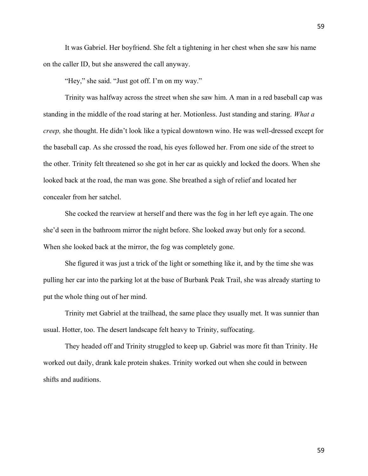It was Gabriel. Her boyfriend. She felt a tightening in her chest when she saw his name on the caller ID, but she answered the call anyway.

"Hey," she said. "Just got off. I'm on my way."

Trinity was halfway across the street when she saw him. A man in a red baseball cap was standing in the middle of the road staring at her. Motionless. Just standing and staring. *What a creep,* she thought. He didn't look like a typical downtown wino. He was well-dressed except for the baseball cap. As she crossed the road, his eyes followed her. From one side of the street to the other. Trinity felt threatened so she got in her car as quickly and locked the doors. When she looked back at the road, the man was gone. She breathed a sigh of relief and located her concealer from her satchel.

She cocked the rearview at herself and there was the fog in her left eye again. The one she'd seen in the bathroom mirror the night before. She looked away but only for a second. When she looked back at the mirror, the fog was completely gone.

She figured it was just a trick of the light or something like it, and by the time she was pulling her car into the parking lot at the base of Burbank Peak Trail, she was already starting to put the whole thing out of her mind.

Trinity met Gabriel at the trailhead, the same place they usually met. It was sunnier than usual. Hotter, too. The desert landscape felt heavy to Trinity, suffocating.

They headed off and Trinity struggled to keep up. Gabriel was more fit than Trinity. He worked out daily, drank kale protein shakes. Trinity worked out when she could in between shifts and auditions.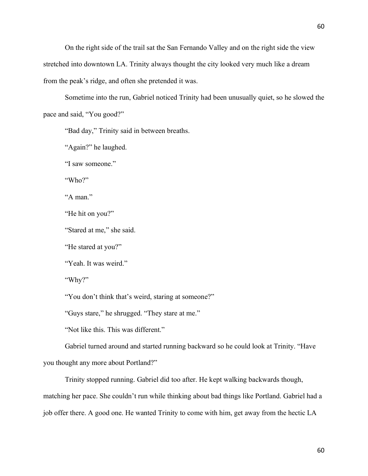On the right side of the trail sat the San Fernando Valley and on the right side the view stretched into downtown LA. Trinity always thought the city looked very much like a dream from the peak's ridge, and often she pretended it was.

Sometime into the run, Gabriel noticed Trinity had been unusually quiet, so he slowed the pace and said, "You good?"

"Bad day," Trinity said in between breaths.

"Again?" he laughed.

"I saw someone."

"Who?"

"A man."

"He hit on you?"

"Stared at me," she said.

"He stared at you?"

"Yeah. It was weird."

"Why?"

"You don't think that's weird, staring at someone?"

"Guys stare," he shrugged. "They stare at me."

"Not like this. This was different."

Gabriel turned around and started running backward so he could look at Trinity. "Have you thought any more about Portland?"

Trinity stopped running. Gabriel did too after. He kept walking backwards though,

matching her pace. She couldn't run while thinking about bad things like Portland. Gabriel had a job offer there. A good one. He wanted Trinity to come with him, get away from the hectic LA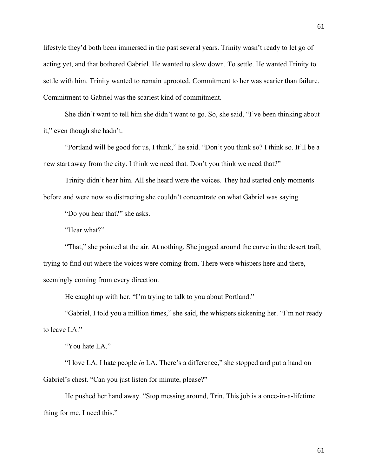lifestyle they'd both been immersed in the past several years. Trinity wasn't ready to let go of acting yet, and that bothered Gabriel. He wanted to slow down. To settle. He wanted Trinity to settle with him. Trinity wanted to remain uprooted. Commitment to her was scarier than failure. Commitment to Gabriel was the scariest kind of commitment.

She didn't want to tell him she didn't want to go. So, she said, "I've been thinking about it," even though she hadn't.

"Portland will be good for us, I think," he said. "Don't you think so? I think so. It'll be a new start away from the city. I think we need that. Don't you think we need that?"

Trinity didn't hear him. All she heard were the voices. They had started only moments before and were now so distracting she couldn't concentrate on what Gabriel was saying.

"Do you hear that?" she asks.

"Hear what?"

"That," she pointed at the air. At nothing. She jogged around the curve in the desert trail, trying to find out where the voices were coming from. There were whispers here and there, seemingly coming from every direction.

He caught up with her. "I'm trying to talk to you about Portland."

"Gabriel, I told you a million times," she said, the whispers sickening her. "I'm not ready to leave LA."

"You hate LA."

"I love LA. I hate people *in* LA. There's a difference," she stopped and put a hand on Gabriel's chest. "Can you just listen for minute, please?"

He pushed her hand away. "Stop messing around, Trin. This job is a once-in-a-lifetime thing for me. I need this."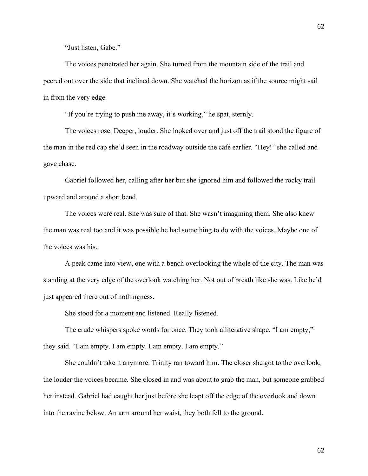The voices penetrated her again. She turned from the mountain side of the trail and peered out over the side that inclined down. She watched the horizon as if the source might sail in from the very edge.

"If you're trying to push me away, it's working," he spat, sternly.

The voices rose. Deeper, louder. She looked over and just off the trail stood the figure of the man in the red cap she'd seen in the roadway outside the café earlier. "Hey!" she called and gave chase.

Gabriel followed her, calling after her but she ignored him and followed the rocky trail upward and around a short bend.

The voices were real. She was sure of that. She wasn't imagining them. She also knew the man was real too and it was possible he had something to do with the voices. Maybe one of the voices was his.

A peak came into view, one with a bench overlooking the whole of the city. The man was standing at the very edge of the overlook watching her. Not out of breath like she was. Like he'd just appeared there out of nothingness.

She stood for a moment and listened. Really listened.

The crude whispers spoke words for once. They took alliterative shape. "I am empty," they said. "I am empty. I am empty. I am empty. I am empty."

She couldn't take it anymore. Trinity ran toward him. The closer she got to the overlook, the louder the voices became. She closed in and was about to grab the man, but someone grabbed her instead. Gabriel had caught her just before she leapt off the edge of the overlook and down into the ravine below. An arm around her waist, they both fell to the ground.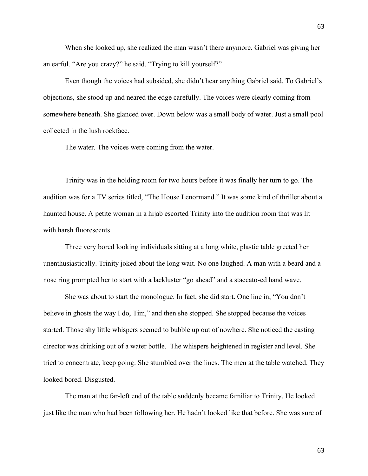When she looked up, she realized the man wasn't there anymore. Gabriel was giving her an earful. "Are you crazy?" he said. "Trying to kill yourself?"

Even though the voices had subsided, she didn't hear anything Gabriel said. To Gabriel's objections, she stood up and neared the edge carefully. The voices were clearly coming from somewhere beneath. She glanced over. Down below was a small body of water. Just a small pool collected in the lush rockface.

The water. The voices were coming from the water.

Trinity was in the holding room for two hours before it was finally her turn to go. The audition was for a TV series titled, "The House Lenormand." It was some kind of thriller about a haunted house. A petite woman in a hijab escorted Trinity into the audition room that was lit with harsh fluorescents.

Three very bored looking individuals sitting at a long white, plastic table greeted her unenthusiastically. Trinity joked about the long wait. No one laughed. A man with a beard and a nose ring prompted her to start with a lackluster "go ahead" and a staccato-ed hand wave.

She was about to start the monologue. In fact, she did start. One line in, "You don't believe in ghosts the way I do, Tim," and then she stopped. She stopped because the voices started. Those shy little whispers seemed to bubble up out of nowhere. She noticed the casting director was drinking out of a water bottle. The whispers heightened in register and level. She tried to concentrate, keep going. She stumbled over the lines. The men at the table watched. They looked bored. Disgusted.

The man at the far-left end of the table suddenly became familiar to Trinity. He looked just like the man who had been following her. He hadn't looked like that before. She was sure of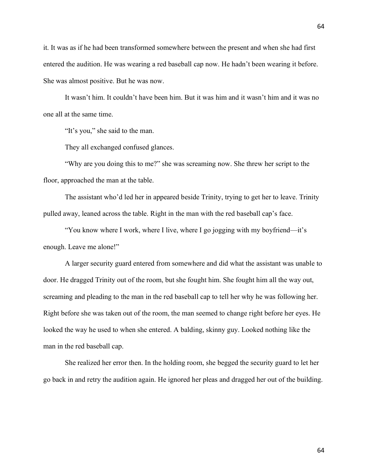it. It was as if he had been transformed somewhere between the present and when she had first entered the audition. He was wearing a red baseball cap now. He hadn't been wearing it before. She was almost positive. But he was now.

It wasn't him. It couldn't have been him. But it was him and it wasn't him and it was no one all at the same time.

"It's you," she said to the man.

They all exchanged confused glances.

"Why are you doing this to me?" she was screaming now. She threw her script to the floor, approached the man at the table.

The assistant who'd led her in appeared beside Trinity, trying to get her to leave. Trinity pulled away, leaned across the table. Right in the man with the red baseball cap's face.

"You know where I work, where I live, where I go jogging with my boyfriend—it's enough. Leave me alone!"

A larger security guard entered from somewhere and did what the assistant was unable to door. He dragged Trinity out of the room, but she fought him. She fought him all the way out, screaming and pleading to the man in the red baseball cap to tell her why he was following her. Right before she was taken out of the room, the man seemed to change right before her eyes. He looked the way he used to when she entered. A balding, skinny guy. Looked nothing like the man in the red baseball cap.

She realized her error then. In the holding room, she begged the security guard to let her go back in and retry the audition again. He ignored her pleas and dragged her out of the building.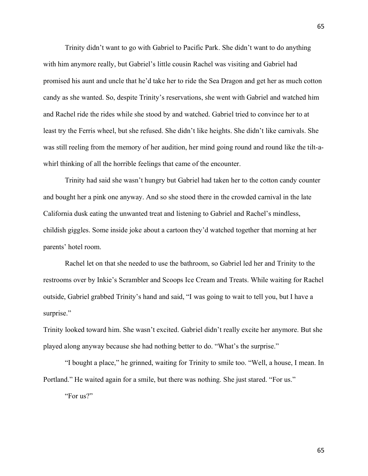Trinity didn't want to go with Gabriel to Pacific Park. She didn't want to do anything with him anymore really, but Gabriel's little cousin Rachel was visiting and Gabriel had promised his aunt and uncle that he'd take her to ride the Sea Dragon and get her as much cotton candy as she wanted. So, despite Trinity's reservations, she went with Gabriel and watched him and Rachel ride the rides while she stood by and watched. Gabriel tried to convince her to at least try the Ferris wheel, but she refused. She didn't like heights. She didn't like carnivals. She was still reeling from the memory of her audition, her mind going round and round like the tilt-awhirl thinking of all the horrible feelings that came of the encounter.

Trinity had said she wasn't hungry but Gabriel had taken her to the cotton candy counter and bought her a pink one anyway. And so she stood there in the crowded carnival in the late California dusk eating the unwanted treat and listening to Gabriel and Rachel's mindless, childish giggles. Some inside joke about a cartoon they'd watched together that morning at her parents' hotel room.

Rachel let on that she needed to use the bathroom, so Gabriel led her and Trinity to the restrooms over by Inkie's Scrambler and Scoops Ice Cream and Treats. While waiting for Rachel outside, Gabriel grabbed Trinity's hand and said, "I was going to wait to tell you, but I have a surprise."

Trinity looked toward him. She wasn't excited. Gabriel didn't really excite her anymore. But she played along anyway because she had nothing better to do. "What's the surprise."

"I bought a place," he grinned, waiting for Trinity to smile too. "Well, a house, I mean. In Portland." He waited again for a smile, but there was nothing. She just stared. "For us." "For us?"

65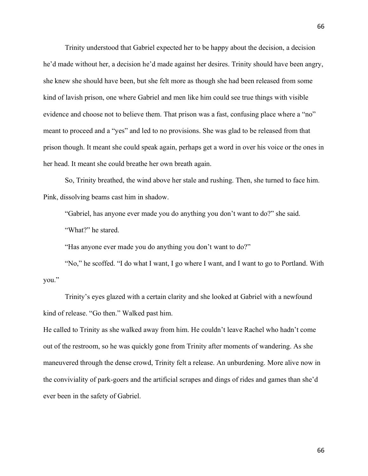Trinity understood that Gabriel expected her to be happy about the decision, a decision he'd made without her, a decision he'd made against her desires. Trinity should have been angry, she knew she should have been, but she felt more as though she had been released from some kind of lavish prison, one where Gabriel and men like him could see true things with visible evidence and choose not to believe them. That prison was a fast, confusing place where a "no" meant to proceed and a "yes" and led to no provisions. She was glad to be released from that prison though. It meant she could speak again, perhaps get a word in over his voice or the ones in her head. It meant she could breathe her own breath again.

So, Trinity breathed, the wind above her stale and rushing. Then, she turned to face him. Pink, dissolving beams cast him in shadow.

"Gabriel, has anyone ever made you do anything you don't want to do?" she said.

"What?" he stared.

"Has anyone ever made you do anything you don't want to do?"

"No," he scoffed. "I do what I want, I go where I want, and I want to go to Portland. With you."

Trinity's eyes glazed with a certain clarity and she looked at Gabriel with a newfound kind of release. "Go then." Walked past him.

He called to Trinity as she walked away from him. He couldn't leave Rachel who hadn't come out of the restroom, so he was quickly gone from Trinity after moments of wandering. As she maneuvered through the dense crowd, Trinity felt a release. An unburdening. More alive now in the conviviality of park-goers and the artificial scrapes and dings of rides and games than she'd ever been in the safety of Gabriel.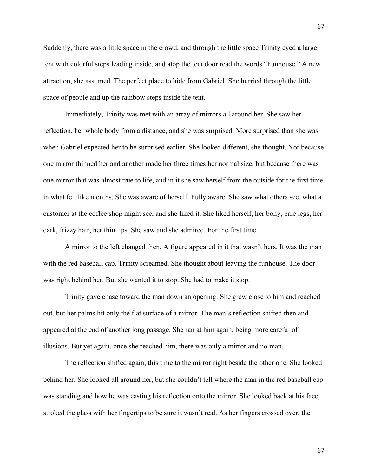Suddenly, there was a little space in the crowd, and through the little space Trinity eyed a large tent with colorful steps leading inside, and atop the tent door read the words "Funhouse." A new attraction, she assumed. The perfect place to hide from Gabriel. She hurried through the little space of people and up the rainbow steps inside the tent.

Immediately, Trinity was met with an array of mirrors all around her. She saw her reflection, her whole body from a distance, and she was surprised. More surprised than she was when Gabriel expected her to be surprised earlier. She looked different, she thought. Not because one mirror thinned her and another made her three times her normal size, but because there was one mirror that was almost true to life, and in it she saw herself from the outside for the first time in what felt like months. She was aware of herself. Fully aware. She saw what others see, what a customer at the coffee shop might see, and she liked it. She liked herself, her bony, pale legs, her dark, frizzy hair, her thin lips. She saw and she admired. For the first time.

A mirror to the left changed then. A figure appeared in it that wasn't hers. It was the man with the red baseball cap. Trinity screamed. She thought about leaving the funhouse. The door was right behind her. But she wanted it to stop. She had to make it stop.

Trinity gave chase toward the man down an opening. She grew close to him and reached out, but her palms hit only the flat surface of a mirror. The man's reflection shifted then and appeared at the end of another long passage. She ran at him again, being more careful of illusions. But yet again, once she reached him, there was only a mirror and no man.

The reflection shifted again, this time to the mirror right beside the other one. She looked behind her. She looked all around her, but she couldn't tell where the man in the red baseball cap was standing and how he was casting his reflection onto the mirror. She looked back at his face, stroked the glass with her fingertips to be sure it wasn't real. As her fingers crossed over, the

67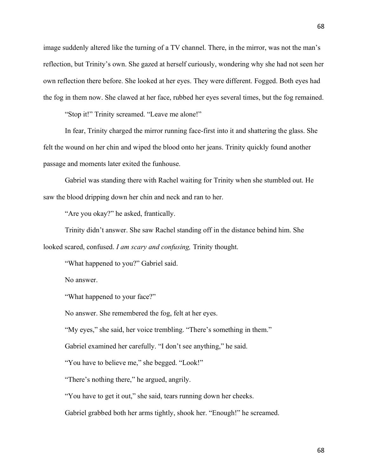image suddenly altered like the turning of a TV channel. There, in the mirror, was not the man's reflection, but Trinity's own. She gazed at herself curiously, wondering why she had not seen her own reflection there before. She looked at her eyes. They were different. Fogged. Both eyes had the fog in them now. She clawed at her face, rubbed her eyes several times, but the fog remained.

"Stop it!" Trinity screamed. "Leave me alone!"

In fear, Trinity charged the mirror running face-first into it and shattering the glass. She felt the wound on her chin and wiped the blood onto her jeans. Trinity quickly found another passage and moments later exited the funhouse.

Gabriel was standing there with Rachel waiting for Trinity when she stumbled out. He saw the blood dripping down her chin and neck and ran to her.

"Are you okay?" he asked, frantically.

Trinity didn't answer. She saw Rachel standing off in the distance behind him. She looked scared, confused. *I am scary and confusing,* Trinity thought.

"What happened to you?" Gabriel said.

No answer.

"What happened to your face?"

No answer. She remembered the fog, felt at her eyes.

"My eyes," she said, her voice trembling. "There's something in them."

Gabriel examined her carefully. "I don't see anything," he said.

"You have to believe me," she begged. "Look!"

"There's nothing there," he argued, angrily.

"You have to get it out," she said, tears running down her cheeks.

Gabriel grabbed both her arms tightly, shook her. "Enough!" he screamed.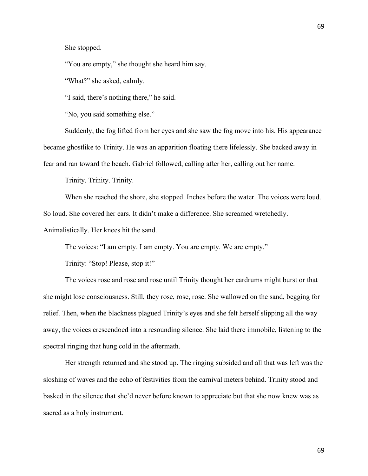She stopped.

"You are empty," she thought she heard him say.

"What?" she asked, calmly.

"I said, there's nothing there," he said.

"No, you said something else."

Suddenly, the fog lifted from her eyes and she saw the fog move into his. His appearance became ghostlike to Trinity. He was an apparition floating there lifelessly. She backed away in fear and ran toward the beach. Gabriel followed, calling after her, calling out her name.

Trinity. Trinity. Trinity.

When she reached the shore, she stopped. Inches before the water. The voices were loud. So loud. She covered her ears. It didn't make a difference. She screamed wretchedly.

Animalistically. Her knees hit the sand.

The voices: "I am empty. I am empty. You are empty. We are empty."

Trinity: "Stop! Please, stop it!"

The voices rose and rose and rose until Trinity thought her eardrums might burst or that she might lose consciousness. Still, they rose, rose, rose. She wallowed on the sand, begging for relief. Then, when the blackness plagued Trinity's eyes and she felt herself slipping all the way away, the voices crescendoed into a resounding silence. She laid there immobile, listening to the spectral ringing that hung cold in the aftermath.

Her strength returned and she stood up. The ringing subsided and all that was left was the sloshing of waves and the echo of festivities from the carnival meters behind. Trinity stood and basked in the silence that she'd never before known to appreciate but that she now knew was as sacred as a holy instrument.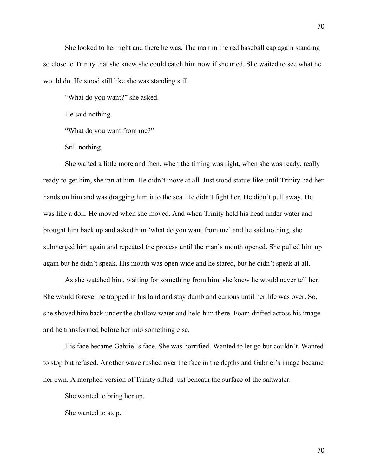She looked to her right and there he was. The man in the red baseball cap again standing so close to Trinity that she knew she could catch him now if she tried. She waited to see what he would do. He stood still like she was standing still.

"What do you want?" she asked.

He said nothing.

"What do you want from me?"

Still nothing.

She waited a little more and then, when the timing was right, when she was ready, really ready to get him, she ran at him. He didn't move at all. Just stood statue-like until Trinity had her hands on him and was dragging him into the sea. He didn't fight her. He didn't pull away. He was like a doll. He moved when she moved. And when Trinity held his head under water and brought him back up and asked him 'what do you want from me' and he said nothing, she submerged him again and repeated the process until the man's mouth opened. She pulled him up again but he didn't speak. His mouth was open wide and he stared, but he didn't speak at all.

As she watched him, waiting for something from him, she knew he would never tell her. She would forever be trapped in his land and stay dumb and curious until her life was over. So, she shoved him back under the shallow water and held him there. Foam drifted across his image and he transformed before her into something else.

His face became Gabriel's face. She was horrified. Wanted to let go but couldn't. Wanted to stop but refused. Another wave rushed over the face in the depths and Gabriel's image became her own. A morphed version of Trinity sifted just beneath the surface of the saltwater.

She wanted to bring her up.

She wanted to stop.

70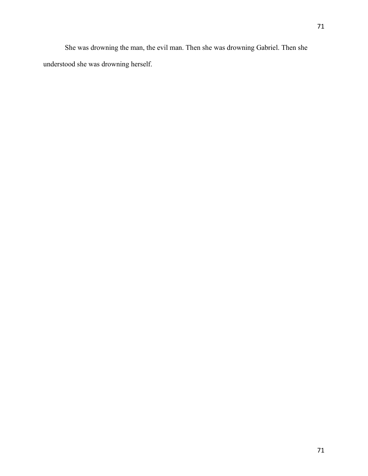She was drowning the man, the evil man. Then she was drowning Gabriel. Then she understood she was drowning herself.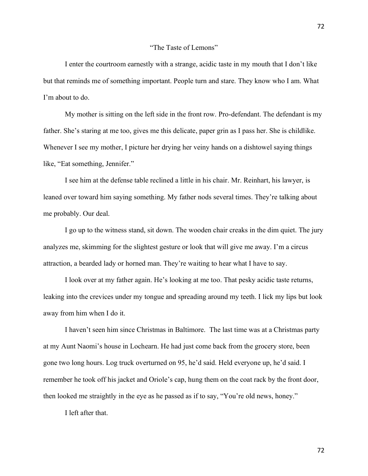I enter the courtroom earnestly with a strange, acidic taste in my mouth that I don't like but that reminds me of something important. People turn and stare. They know who I am. What I'm about to do.

My mother is sitting on the left side in the front row. Pro-defendant. The defendant is my father. She's staring at me too, gives me this delicate, paper grin as I pass her. She is childlike. Whenever I see my mother, I picture her drying her veiny hands on a dishtowel saying things like, "Eat something, Jennifer."

I see him at the defense table reclined a little in his chair. Mr. Reinhart, his lawyer, is leaned over toward him saying something. My father nods several times. They're talking about me probably. Our deal.

I go up to the witness stand, sit down. The wooden chair creaks in the dim quiet. The jury analyzes me, skimming for the slightest gesture or look that will give me away. I'm a circus attraction, a bearded lady or horned man. They're waiting to hear what I have to say.

I look over at my father again. He's looking at me too. That pesky acidic taste returns, leaking into the crevices under my tongue and spreading around my teeth. I lick my lips but look away from him when I do it.

I haven't seen him since Christmas in Baltimore. The last time was at a Christmas party at my Aunt Naomi's house in Lochearn. He had just come back from the grocery store, been gone two long hours. Log truck overturned on 95, he'd said. Held everyone up, he'd said. I remember he took off his jacket and Oriole's cap, hung them on the coat rack by the front door, then looked me straightly in the eye as he passed as if to say, "You're old news, honey."

I left after that.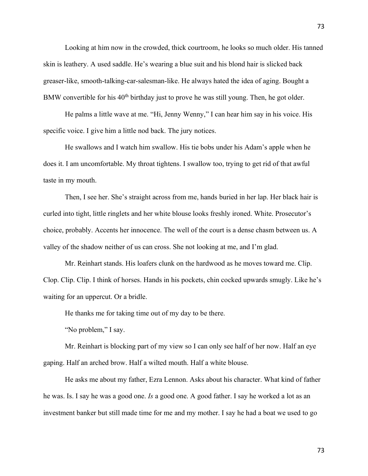Looking at him now in the crowded, thick courtroom, he looks so much older. His tanned skin is leathery. A used saddle. He's wearing a blue suit and his blond hair is slicked back greaser-like, smooth-talking-car-salesman-like. He always hated the idea of aging. Bought a BMW convertible for his  $40<sup>th</sup>$  birthday just to prove he was still young. Then, he got older.

He palms a little wave at me. "Hi, Jenny Wenny," I can hear him say in his voice. His specific voice. I give him a little nod back. The jury notices.

He swallows and I watch him swallow. His tie bobs under his Adam's apple when he does it. I am uncomfortable. My throat tightens. I swallow too, trying to get rid of that awful taste in my mouth.

Then, I see her. She's straight across from me, hands buried in her lap. Her black hair is curled into tight, little ringlets and her white blouse looks freshly ironed. White. Prosecutor's choice, probably. Accents her innocence. The well of the court is a dense chasm between us. A valley of the shadow neither of us can cross. She not looking at me, and I'm glad.

Mr. Reinhart stands. His loafers clunk on the hardwood as he moves toward me. Clip. Clop. Clip. Clip. I think of horses. Hands in his pockets, chin cocked upwards smugly. Like he's waiting for an uppercut. Or a bridle.

He thanks me for taking time out of my day to be there.

"No problem," I say.

Mr. Reinhart is blocking part of my view so I can only see half of her now. Half an eye gaping. Half an arched brow. Half a wilted mouth. Half a white blouse.

He asks me about my father, Ezra Lennon. Asks about his character. What kind of father he was. Is. I say he was a good one. *Is* a good one. A good father. I say he worked a lot as an investment banker but still made time for me and my mother. I say he had a boat we used to go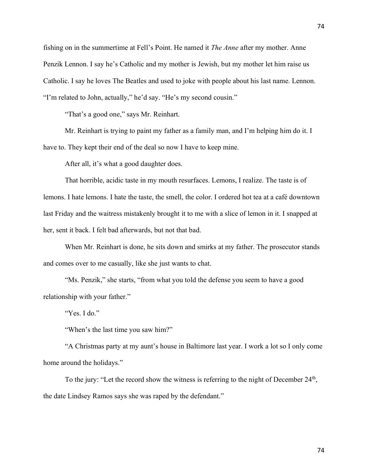fishing on in the summertime at Fell's Point. He named it *The Anne* after my mother. Anne Penzik Lennon. I say he's Catholic and my mother is Jewish, but my mother let him raise us Catholic. I say he loves The Beatles and used to joke with people about his last name. Lennon. "I'm related to John, actually," he'd say. "He's my second cousin."

"That's a good one," says Mr. Reinhart.

Mr. Reinhart is trying to paint my father as a family man, and I'm helping him do it. I have to. They kept their end of the deal so now I have to keep mine.

After all, it's what a good daughter does.

That horrible, acidic taste in my mouth resurfaces. Lemons, I realize. The taste is of lemons. I hate lemons. I hate the taste, the smell, the color. I ordered hot tea at a café downtown last Friday and the waitress mistakenly brought it to me with a slice of lemon in it. I snapped at her, sent it back. I felt bad afterwards, but not that bad.

When Mr. Reinhart is done, he sits down and smirks at my father. The prosecutor stands and comes over to me casually, like she just wants to chat.

"Ms. Penzik," she starts, "from what you told the defense you seem to have a good relationship with your father."

"Yes. I do."

"When's the last time you saw him?"

"A Christmas party at my aunt's house in Baltimore last year. I work a lot so I only come home around the holidays."

To the jury: "Let the record show the witness is referring to the night of December 24<sup>th</sup>, the date Lindsey Ramos says she was raped by the defendant."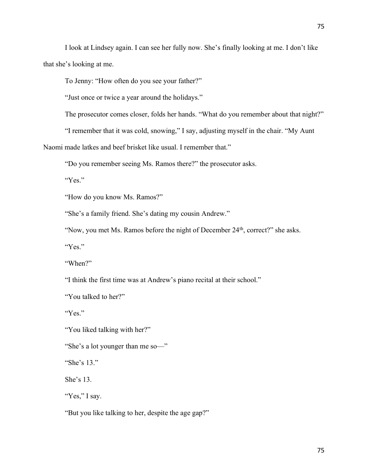I look at Lindsey again. I can see her fully now. She's finally looking at me. I don't like that she's looking at me.

To Jenny: "How often do you see your father?"

"Just once or twice a year around the holidays."

The prosecutor comes closer, folds her hands. "What do you remember about that night?"

"I remember that it was cold, snowing," I say, adjusting myself in the chair. "My Aunt

Naomi made latkes and beef brisket like usual. I remember that."

"Do you remember seeing Ms. Ramos there?" the prosecutor asks.

"Yes."

"How do you know Ms. Ramos?"

"She's a family friend. She's dating my cousin Andrew."

"Now, you met Ms. Ramos before the night of December 24<sup>th</sup>, correct?" she asks.

"Yes."

"When?"

"I think the first time was at Andrew's piano recital at their school."

"You talked to her?"

"Yes."

"You liked talking with her?"

"She's a lot younger than me so—"

"She's 13."

She's 13.

"Yes," I say.

"But you like talking to her, despite the age gap?"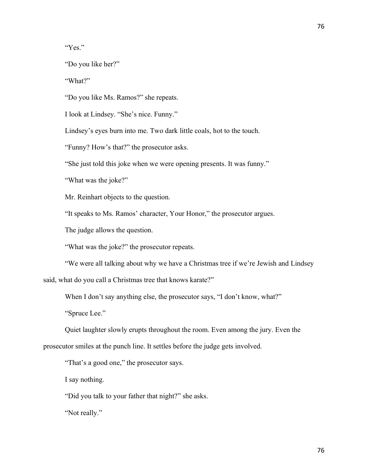"Yes."

"Do you like her?"

"What?"

"Do you like Ms. Ramos?" she repeats.

I look at Lindsey. "She's nice. Funny."

Lindsey's eyes burn into me. Two dark little coals, hot to the touch.

"Funny? How's that?" the prosecutor asks.

"She just told this joke when we were opening presents. It was funny."

"What was the joke?"

Mr. Reinhart objects to the question.

"It speaks to Ms. Ramos' character, Your Honor," the prosecutor argues.

The judge allows the question.

"What was the joke?" the prosecutor repeats.

"We were all talking about why we have a Christmas tree if we're Jewish and Lindsey

said, what do you call a Christmas tree that knows karate?"

When I don't say anything else, the prosecutor says, "I don't know, what?"

"Spruce Lee."

Quiet laughter slowly erupts throughout the room. Even among the jury. Even the

prosecutor smiles at the punch line. It settles before the judge gets involved.

"That's a good one," the prosecutor says.

I say nothing.

"Did you talk to your father that night?" she asks.

"Not really."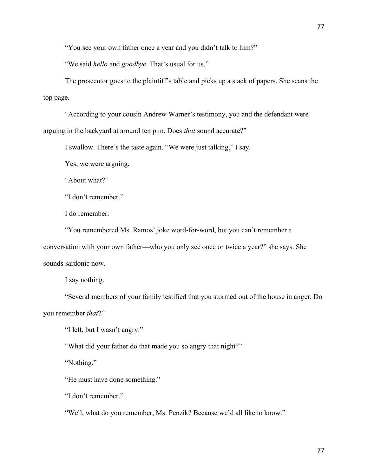77

"You see your own father once a year and you didn't talk to him?"

"We said *hello* and *goodbye*. That's usual for us."

The prosecutor goes to the plaintiff's table and picks up a stack of papers. She scans the top page.

"According to your cousin Andrew Warner's testimony, you and the defendant were arguing in the backyard at around ten p.m. Does *that* sound accurate?"

I swallow. There's the taste again. "We were just talking," I say.

Yes, we were arguing.

"About what?"

"I don't remember."

I do remember.

"You remembered Ms. Ramos' joke word-for-word, but you can't remember a conversation with your own father—who you only see once or twice a year?" she says. She sounds sardonic now.

I say nothing.

"Several members of your family testified that you stormed out of the house in anger. Do you remember *that*?"

"I left, but I wasn't angry."

"What did your father do that made you so angry that night?"

"Nothing."

"He must have done something."

"I don't remember."

"Well, what do you remember, Ms. Penzik? Because we'd all like to know."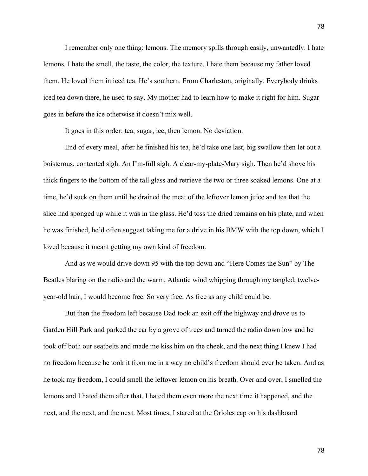I remember only one thing: lemons. The memory spills through easily, unwantedly. I hate lemons. I hate the smell, the taste, the color, the texture. I hate them because my father loved them. He loved them in iced tea. He's southern. From Charleston, originally. Everybody drinks iced tea down there, he used to say. My mother had to learn how to make it right for him. Sugar goes in before the ice otherwise it doesn't mix well.

It goes in this order: tea, sugar, ice, then lemon. No deviation.

End of every meal, after he finished his tea, he'd take one last, big swallow then let out a boisterous, contented sigh. An I'm-full sigh. A clear-my-plate-Mary sigh. Then he'd shove his thick fingers to the bottom of the tall glass and retrieve the two or three soaked lemons. One at a time, he'd suck on them until he drained the meat of the leftover lemon juice and tea that the slice had sponged up while it was in the glass. He'd toss the dried remains on his plate, and when he was finished, he'd often suggest taking me for a drive in his BMW with the top down, which I loved because it meant getting my own kind of freedom.

And as we would drive down 95 with the top down and "Here Comes the Sun" by The Beatles blaring on the radio and the warm, Atlantic wind whipping through my tangled, twelveyear-old hair, I would become free. So very free. As free as any child could be.

But then the freedom left because Dad took an exit off the highway and drove us to Garden Hill Park and parked the car by a grove of trees and turned the radio down low and he took off both our seatbelts and made me kiss him on the cheek, and the next thing I knew I had no freedom because he took it from me in a way no child's freedom should ever be taken. And as he took my freedom, I could smell the leftover lemon on his breath. Over and over, I smelled the lemons and I hated them after that. I hated them even more the next time it happened, and the next, and the next, and the next. Most times, I stared at the Orioles cap on his dashboard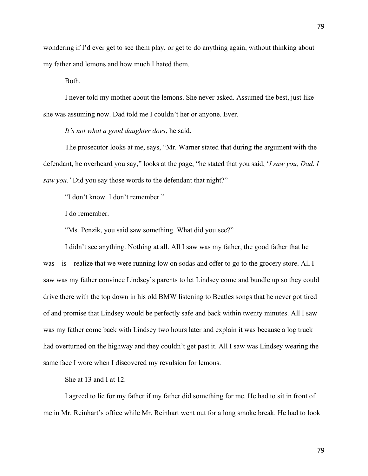wondering if I'd ever get to see them play, or get to do anything again, without thinking about my father and lemons and how much I hated them.

Both.

I never told my mother about the lemons. She never asked. Assumed the best, just like she was assuming now. Dad told me I couldn't her or anyone. Ever.

*It's not what a good daughter does*, he said.

The prosecutor looks at me, says, "Mr. Warner stated that during the argument with the defendant, he overheard you say," looks at the page, "he stated that you said, '*I saw you, Dad. I saw you.'* Did you say those words to the defendant that night?"

"I don't know. I don't remember."

I do remember.

"Ms. Penzik, you said saw something. What did you see?"

I didn't see anything. Nothing at all. All I saw was my father, the good father that he was—is—realize that we were running low on sodas and offer to go to the grocery store. All I saw was my father convince Lindsey's parents to let Lindsey come and bundle up so they could drive there with the top down in his old BMW listening to Beatles songs that he never got tired of and promise that Lindsey would be perfectly safe and back within twenty minutes. All I saw was my father come back with Lindsey two hours later and explain it was because a log truck had overturned on the highway and they couldn't get past it. All I saw was Lindsey wearing the same face I wore when I discovered my revulsion for lemons.

She at 13 and I at 12.

I agreed to lie for my father if my father did something for me. He had to sit in front of me in Mr. Reinhart's office while Mr. Reinhart went out for a long smoke break. He had to look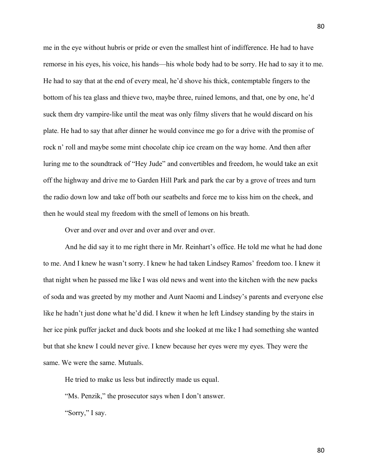me in the eye without hubris or pride or even the smallest hint of indifference. He had to have remorse in his eyes, his voice, his hands—his whole body had to be sorry. He had to say it to me. He had to say that at the end of every meal, he'd shove his thick, contemptable fingers to the bottom of his tea glass and thieve two, maybe three, ruined lemons, and that, one by one, he'd suck them dry vampire-like until the meat was only filmy slivers that he would discard on his plate. He had to say that after dinner he would convince me go for a drive with the promise of rock n' roll and maybe some mint chocolate chip ice cream on the way home. And then after luring me to the soundtrack of "Hey Jude" and convertibles and freedom, he would take an exit off the highway and drive me to Garden Hill Park and park the car by a grove of trees and turn the radio down low and take off both our seatbelts and force me to kiss him on the cheek, and then he would steal my freedom with the smell of lemons on his breath.

Over and over and over and over and over and over.

And he did say it to me right there in Mr. Reinhart's office. He told me what he had done to me. And I knew he wasn't sorry. I knew he had taken Lindsey Ramos' freedom too. I knew it that night when he passed me like I was old news and went into the kitchen with the new packs of soda and was greeted by my mother and Aunt Naomi and Lindsey's parents and everyone else like he hadn't just done what he'd did. I knew it when he left Lindsey standing by the stairs in her ice pink puffer jacket and duck boots and she looked at me like I had something she wanted but that she knew I could never give. I knew because her eyes were my eyes. They were the same. We were the same. Mutuals.

He tried to make us less but indirectly made us equal.

"Ms. Penzik," the prosecutor says when I don't answer.

"Sorry," I say.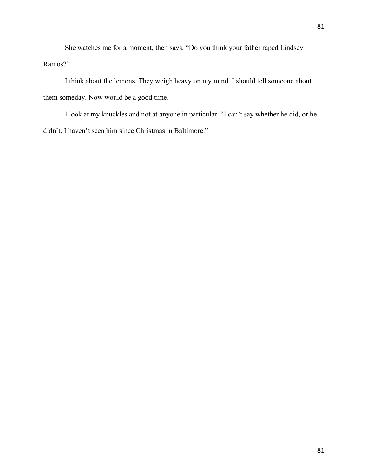She watches me for a moment, then says, "Do you think your father raped Lindsey

Ramos?"

I think about the lemons. They weigh heavy on my mind. I should tell someone about them someday. Now would be a good time.

I look at my knuckles and not at anyone in particular. "I can't say whether he did, or he didn't. I haven't seen him since Christmas in Baltimore."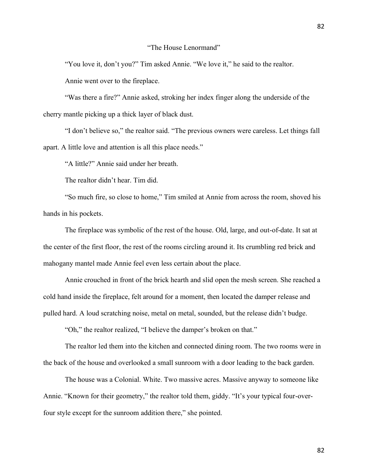82

## "The House Lenormand"

"You love it, don't you?" Tim asked Annie. "We love it," he said to the realtor.

Annie went over to the fireplace.

"Was there a fire?" Annie asked, stroking her index finger along the underside of the cherry mantle picking up a thick layer of black dust.

"I don't believe so," the realtor said. "The previous owners were careless. Let things fall apart. A little love and attention is all this place needs."

"A little?" Annie said under her breath.

The realtor didn't hear. Tim did.

"So much fire, so close to home," Tim smiled at Annie from across the room, shoved his hands in his pockets.

The fireplace was symbolic of the rest of the house. Old, large, and out-of-date. It sat at the center of the first floor, the rest of the rooms circling around it. Its crumbling red brick and mahogany mantel made Annie feel even less certain about the place.

Annie crouched in front of the brick hearth and slid open the mesh screen. She reached a cold hand inside the fireplace, felt around for a moment, then located the damper release and pulled hard. A loud scratching noise, metal on metal, sounded, but the release didn't budge.

"Oh," the realtor realized, "I believe the damper's broken on that."

The realtor led them into the kitchen and connected dining room. The two rooms were in the back of the house and overlooked a small sunroom with a door leading to the back garden.

The house was a Colonial. White. Two massive acres. Massive anyway to someone like Annie. "Known for their geometry," the realtor told them, giddy. "It's your typical four-overfour style except for the sunroom addition there," she pointed.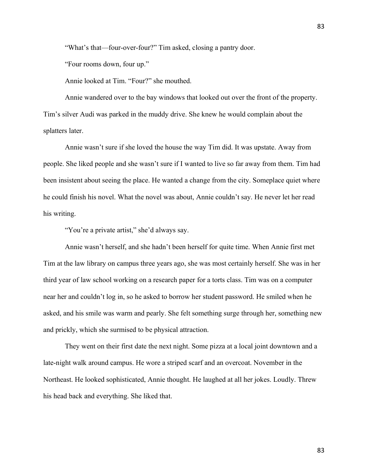"What's that—four-over-four?" Tim asked, closing a pantry door.

"Four rooms down, four up."

Annie looked at Tim. "Four?" she mouthed.

Annie wandered over to the bay windows that looked out over the front of the property. Tim's silver Audi was parked in the muddy drive. She knew he would complain about the splatters later.

Annie wasn't sure if she loved the house the way Tim did. It was upstate. Away from people. She liked people and she wasn't sure if I wanted to live so far away from them. Tim had been insistent about seeing the place. He wanted a change from the city. Someplace quiet where he could finish his novel. What the novel was about, Annie couldn't say. He never let her read his writing.

"You're a private artist," she'd always say.

Annie wasn't herself, and she hadn't been herself for quite time. When Annie first met Tim at the law library on campus three years ago, she was most certainly herself. She was in her third year of law school working on a research paper for a torts class. Tim was on a computer near her and couldn't log in, so he asked to borrow her student password. He smiled when he asked, and his smile was warm and pearly. She felt something surge through her, something new and prickly, which she surmised to be physical attraction.

They went on their first date the next night. Some pizza at a local joint downtown and a late-night walk around campus. He wore a striped scarf and an overcoat. November in the Northeast. He looked sophisticated, Annie thought. He laughed at all her jokes. Loudly. Threw his head back and everything. She liked that.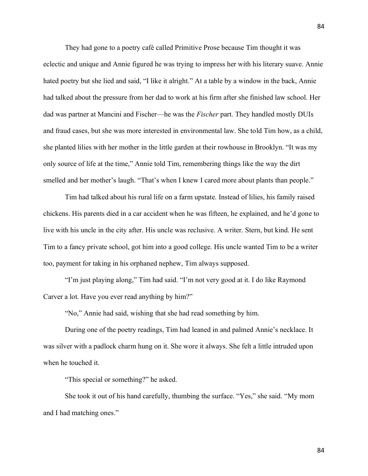They had gone to a poetry café called Primitive Prose because Tim thought it was eclectic and unique and Annie figured he was trying to impress her with his literary suave. Annie hated poetry but she lied and said, "I like it alright." At a table by a window in the back, Annie had talked about the pressure from her dad to work at his firm after she finished law school. Her dad was partner at Mancini and Fischer—he was the *Fischer* part. They handled mostly DUIs and fraud cases, but she was more interested in environmental law. She told Tim how, as a child, she planted lilies with her mother in the little garden at their rowhouse in Brooklyn. "It was my only source of life at the time," Annie told Tim, remembering things like the way the dirt smelled and her mother's laugh. "That's when I knew I cared more about plants than people."

Tim had talked about his rural life on a farm upstate. Instead of lilies, his family raised chickens. His parents died in a car accident when he was fifteen, he explained, and he'd gone to live with his uncle in the city after. His uncle was reclusive. A writer. Stern, but kind. He sent Tim to a fancy private school, got him into a good college. His uncle wanted Tim to be a writer too, payment for taking in his orphaned nephew, Tim always supposed.

"I'm just playing along," Tim had said. "I'm not very good at it. I do like Raymond Carver a lot. Have you ever read anything by him?"

"No," Annie had said, wishing that she had read something by him.

During one of the poetry readings, Tim had leaned in and palmed Annie's necklace. It was silver with a padlock charm hung on it. She wore it always. She felt a little intruded upon when he touched it.

"This special or something?" he asked.

She took it out of his hand carefully, thumbing the surface. "Yes," she said. "My mom and I had matching ones."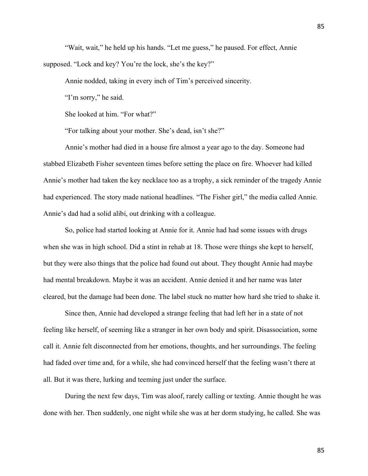"Wait, wait," he held up his hands. "Let me guess," he paused. For effect, Annie supposed. "Lock and key? You're the lock, she's the key?"

Annie nodded, taking in every inch of Tim's perceived sincerity.

"I'm sorry," he said.

She looked at him. "For what?"

"For talking about your mother. She's dead, isn't she?"

Annie's mother had died in a house fire almost a year ago to the day. Someone had stabbed Elizabeth Fisher seventeen times before setting the place on fire. Whoever had killed Annie's mother had taken the key necklace too as a trophy, a sick reminder of the tragedy Annie had experienced. The story made national headlines. "The Fisher girl," the media called Annie. Annie's dad had a solid alibi, out drinking with a colleague.

So, police had started looking at Annie for it. Annie had had some issues with drugs when she was in high school. Did a stint in rehab at 18. Those were things she kept to herself, but they were also things that the police had found out about. They thought Annie had maybe had mental breakdown. Maybe it was an accident. Annie denied it and her name was later cleared, but the damage had been done. The label stuck no matter how hard she tried to shake it.

Since then, Annie had developed a strange feeling that had left her in a state of not feeling like herself, of seeming like a stranger in her own body and spirit. Disassociation, some call it. Annie felt disconnected from her emotions, thoughts, and her surroundings. The feeling had faded over time and, for a while, she had convinced herself that the feeling wasn't there at all. But it was there, lurking and teeming just under the surface.

During the next few days, Tim was aloof, rarely calling or texting. Annie thought he was done with her. Then suddenly, one night while she was at her dorm studying, he called. She was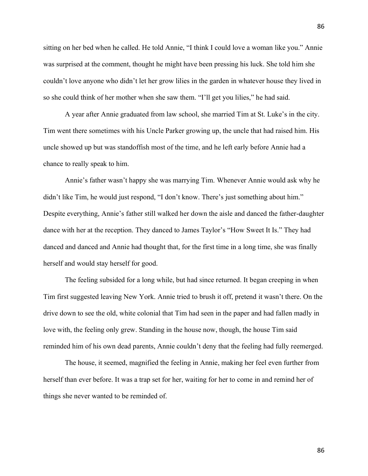sitting on her bed when he called. He told Annie, "I think I could love a woman like you." Annie was surprised at the comment, thought he might have been pressing his luck. She told him she couldn't love anyone who didn't let her grow lilies in the garden in whatever house they lived in so she could think of her mother when she saw them. "I'll get you lilies," he had said.

A year after Annie graduated from law school, she married Tim at St. Luke's in the city. Tim went there sometimes with his Uncle Parker growing up, the uncle that had raised him. His uncle showed up but was standoffish most of the time, and he left early before Annie had a chance to really speak to him.

Annie's father wasn't happy she was marrying Tim. Whenever Annie would ask why he didn't like Tim, he would just respond, "I don't know. There's just something about him." Despite everything, Annie's father still walked her down the aisle and danced the father-daughter dance with her at the reception. They danced to James Taylor's "How Sweet It Is." They had danced and danced and Annie had thought that, for the first time in a long time, she was finally herself and would stay herself for good.

The feeling subsided for a long while, but had since returned. It began creeping in when Tim first suggested leaving New York. Annie tried to brush it off, pretend it wasn't there. On the drive down to see the old, white colonial that Tim had seen in the paper and had fallen madly in love with, the feeling only grew. Standing in the house now, though, the house Tim said reminded him of his own dead parents, Annie couldn't deny that the feeling had fully reemerged.

The house, it seemed, magnified the feeling in Annie, making her feel even further from herself than ever before. It was a trap set for her, waiting for her to come in and remind her of things she never wanted to be reminded of.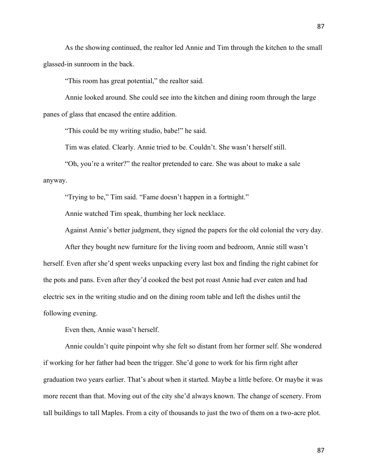As the showing continued, the realtor led Annie and Tim through the kitchen to the small glassed-in sunroom in the back.

"This room has great potential," the realtor said.

Annie looked around. She could see into the kitchen and dining room through the large panes of glass that encased the entire addition.

"This could be my writing studio, babe!" he said.

Tim was elated. Clearly. Annie tried to be. Couldn't. She wasn't herself still.

"Oh, you're a writer?" the realtor pretended to care. She was about to make a sale anyway.

"Trying to be," Tim said. "Fame doesn't happen in a fortnight."

Annie watched Tim speak, thumbing her lock necklace.

Against Annie's better judgment, they signed the papers for the old colonial the very day.

After they bought new furniture for the living room and bedroom, Annie still wasn't herself. Even after she'd spent weeks unpacking every last box and finding the right cabinet for the pots and pans. Even after they'd cooked the best pot roast Annie had ever eaten and had electric sex in the writing studio and on the dining room table and left the dishes until the following evening.

Even then, Annie wasn't herself.

Annie couldn't quite pinpoint why she felt so distant from her former self. She wondered if working for her father had been the trigger. She'd gone to work for his firm right after graduation two years earlier. That's about when it started. Maybe a little before. Or maybe it was more recent than that. Moving out of the city she'd always known. The change of scenery. From tall buildings to tall Maples. From a city of thousands to just the two of them on a two-acre plot.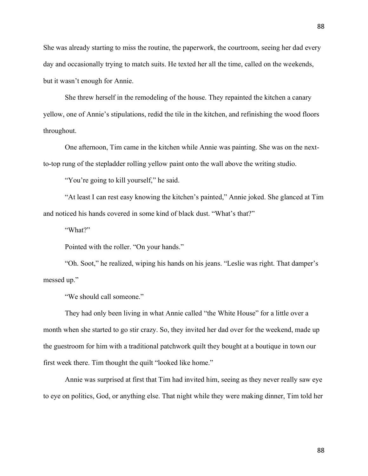She was already starting to miss the routine, the paperwork, the courtroom, seeing her dad every day and occasionally trying to match suits. He texted her all the time, called on the weekends, but it wasn't enough for Annie.

She threw herself in the remodeling of the house. They repainted the kitchen a canary yellow, one of Annie's stipulations, redid the tile in the kitchen, and refinishing the wood floors throughout.

One afternoon, Tim came in the kitchen while Annie was painting. She was on the nextto-top rung of the stepladder rolling yellow paint onto the wall above the writing studio.

"You're going to kill yourself," he said.

"At least I can rest easy knowing the kitchen's painted," Annie joked. She glanced at Tim and noticed his hands covered in some kind of black dust. "What's that?"

"What?"

Pointed with the roller. "On your hands."

"Oh. Soot," he realized, wiping his hands on his jeans. "Leslie was right. That damper's messed up."

"We should call someone."

They had only been living in what Annie called "the White House" for a little over a month when she started to go stir crazy. So, they invited her dad over for the weekend, made up the guestroom for him with a traditional patchwork quilt they bought at a boutique in town our first week there. Tim thought the quilt "looked like home."

Annie was surprised at first that Tim had invited him, seeing as they never really saw eye to eye on politics, God, or anything else. That night while they were making dinner, Tim told her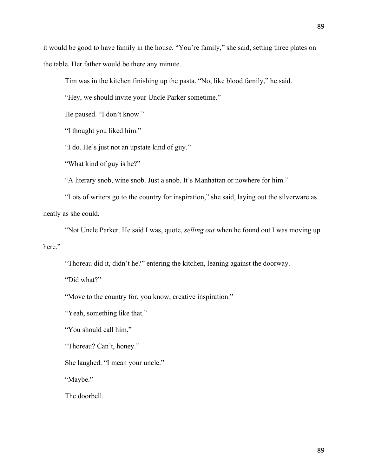it would be good to have family in the house. "You're family," she said, setting three plates on the table. Her father would be there any minute.

Tim was in the kitchen finishing up the pasta. "No, like blood family," he said.

"Hey, we should invite your Uncle Parker sometime."

He paused. "I don't know."

"I thought you liked him."

"I do. He's just not an upstate kind of guy."

"What kind of guy is he?"

"A literary snob, wine snob. Just a snob. It's Manhattan or nowhere for him."

"Lots of writers go to the country for inspiration," she said, laying out the silverware as neatly as she could.

"Not Uncle Parker. He said I was, quote, *selling out* when he found out I was moving up here."

"Thoreau did it, didn't he?" entering the kitchen, leaning against the doorway.

"Did what?"

"Move to the country for, you know, creative inspiration."

"Yeah, something like that."

"You should call him."

"Thoreau? Can't, honey."

She laughed. "I mean your uncle."

"Maybe."

The doorbell.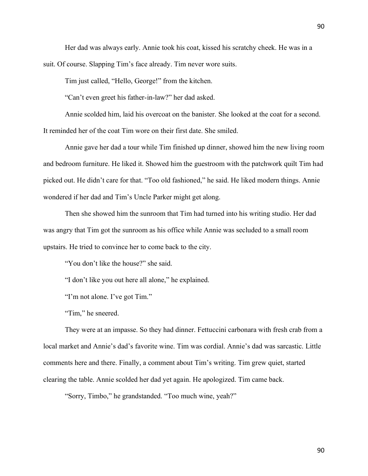Her dad was always early. Annie took his coat, kissed his scratchy cheek. He was in a suit. Of course. Slapping Tim's face already. Tim never wore suits.

Tim just called, "Hello, George!" from the kitchen.

"Can't even greet his father-in-law?" her dad asked.

Annie scolded him, laid his overcoat on the banister. She looked at the coat for a second. It reminded her of the coat Tim wore on their first date. She smiled.

Annie gave her dad a tour while Tim finished up dinner, showed him the new living room and bedroom furniture. He liked it. Showed him the guestroom with the patchwork quilt Tim had picked out. He didn't care for that. "Too old fashioned," he said. He liked modern things. Annie wondered if her dad and Tim's Uncle Parker might get along.

Then she showed him the sunroom that Tim had turned into his writing studio. Her dad was angry that Tim got the sunroom as his office while Annie was secluded to a small room upstairs. He tried to convince her to come back to the city.

"You don't like the house?" she said.

"I don't like you out here all alone," he explained.

"I'm not alone. I've got Tim."

"Tim," he sneered.

They were at an impasse. So they had dinner. Fettuccini carbonara with fresh crab from a local market and Annie's dad's favorite wine. Tim was cordial. Annie's dad was sarcastic. Little comments here and there. Finally, a comment about Tim's writing. Tim grew quiet, started clearing the table. Annie scolded her dad yet again. He apologized. Tim came back.

"Sorry, Timbo," he grandstanded. "Too much wine, yeah?"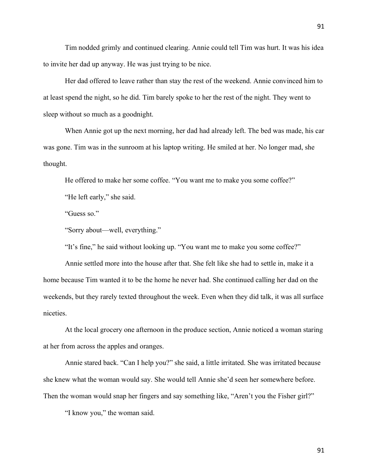Tim nodded grimly and continued clearing. Annie could tell Tim was hurt. It was his idea to invite her dad up anyway. He was just trying to be nice.

Her dad offered to leave rather than stay the rest of the weekend. Annie convinced him to at least spend the night, so he did. Tim barely spoke to her the rest of the night. They went to sleep without so much as a goodnight.

When Annie got up the next morning, her dad had already left. The bed was made, his car was gone. Tim was in the sunroom at his laptop writing. He smiled at her. No longer mad, she thought.

He offered to make her some coffee. "You want me to make you some coffee?"

"He left early," she said.

"Guess so."

"Sorry about—well, everything."

"It's fine," he said without looking up. "You want me to make you some coffee?"

Annie settled more into the house after that. She felt like she had to settle in, make it a home because Tim wanted it to be the home he never had. She continued calling her dad on the weekends, but they rarely texted throughout the week. Even when they did talk, it was all surface niceties.

At the local grocery one afternoon in the produce section, Annie noticed a woman staring at her from across the apples and oranges.

Annie stared back. "Can I help you?" she said, a little irritated. She was irritated because she knew what the woman would say. She would tell Annie she'd seen her somewhere before. Then the woman would snap her fingers and say something like, "Aren't you the Fisher girl?"

"I know you," the woman said.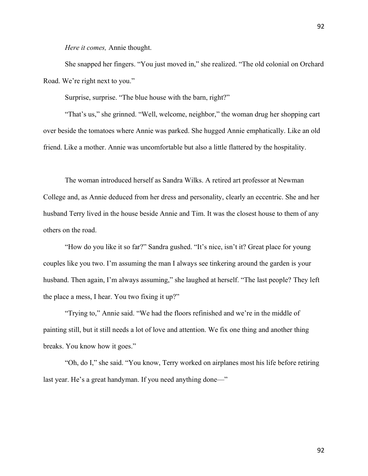*Here it comes,* Annie thought.

She snapped her fingers. "You just moved in," she realized. "The old colonial on Orchard Road. We're right next to you."

Surprise, surprise. "The blue house with the barn, right?"

"That's us," she grinned. "Well, welcome, neighbor," the woman drug her shopping cart over beside the tomatoes where Annie was parked. She hugged Annie emphatically. Like an old friend. Like a mother. Annie was uncomfortable but also a little flattered by the hospitality.

The woman introduced herself as Sandra Wilks. A retired art professor at Newman College and, as Annie deduced from her dress and personality, clearly an eccentric. She and her husband Terry lived in the house beside Annie and Tim. It was the closest house to them of any others on the road.

"How do you like it so far?" Sandra gushed. "It's nice, isn't it? Great place for young couples like you two. I'm assuming the man I always see tinkering around the garden is your husband. Then again, I'm always assuming," she laughed at herself. "The last people? They left the place a mess, I hear. You two fixing it up?"

"Trying to," Annie said. "We had the floors refinished and we're in the middle of painting still, but it still needs a lot of love and attention. We fix one thing and another thing breaks. You know how it goes."

"Oh, do I," she said. "You know, Terry worked on airplanes most his life before retiring last year. He's a great handyman. If you need anything done—"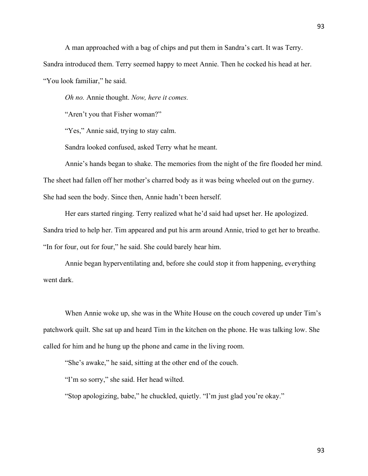A man approached with a bag of chips and put them in Sandra's cart. It was Terry.

Sandra introduced them. Terry seemed happy to meet Annie. Then he cocked his head at her.

"You look familiar," he said.

*Oh no.* Annie thought. *Now, here it comes.*

"Aren't you that Fisher woman?"

"Yes," Annie said, trying to stay calm.

Sandra looked confused, asked Terry what he meant.

Annie's hands began to shake. The memories from the night of the fire flooded her mind. The sheet had fallen off her mother's charred body as it was being wheeled out on the gurney. She had seen the body. Since then, Annie hadn't been herself.

Her ears started ringing. Terry realized what he'd said had upset her. He apologized. Sandra tried to help her. Tim appeared and put his arm around Annie, tried to get her to breathe. "In for four, out for four," he said. She could barely hear him.

Annie began hyperventilating and, before she could stop it from happening, everything went dark.

When Annie woke up, she was in the White House on the couch covered up under Tim's patchwork quilt. She sat up and heard Tim in the kitchen on the phone. He was talking low. She called for him and he hung up the phone and came in the living room.

"She's awake," he said, sitting at the other end of the couch.

"I'm so sorry," she said. Her head wilted.

"Stop apologizing, babe," he chuckled, quietly. "I'm just glad you're okay."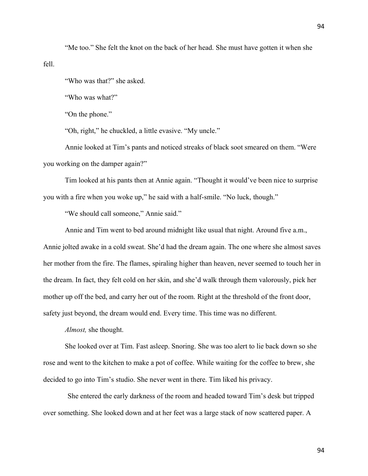"Me too." She felt the knot on the back of her head. She must have gotten it when she fell.

"Who was that?" she asked.

"Who was what?"

"On the phone."

"Oh, right," he chuckled, a little evasive. "My uncle."

Annie looked at Tim's pants and noticed streaks of black soot smeared on them. "Were you working on the damper again?"

Tim looked at his pants then at Annie again. "Thought it would've been nice to surprise you with a fire when you woke up," he said with a half-smile. "No luck, though."

"We should call someone," Annie said."

Annie and Tim went to bed around midnight like usual that night. Around five a.m.,

Annie jolted awake in a cold sweat. She'd had the dream again. The one where she almost saves her mother from the fire. The flames, spiraling higher than heaven, never seemed to touch her in the dream. In fact, they felt cold on her skin, and she'd walk through them valorously, pick her mother up off the bed, and carry her out of the room. Right at the threshold of the front door, safety just beyond, the dream would end. Every time. This time was no different.

*Almost,* she thought.

She looked over at Tim. Fast asleep. Snoring. She was too alert to lie back down so she rose and went to the kitchen to make a pot of coffee. While waiting for the coffee to brew, she decided to go into Tim's studio. She never went in there. Tim liked his privacy.

She entered the early darkness of the room and headed toward Tim's desk but tripped over something. She looked down and at her feet was a large stack of now scattered paper. A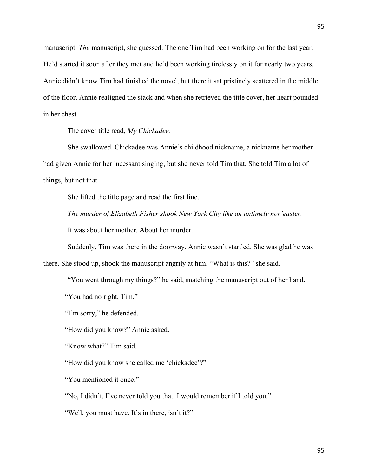manuscript. *The* manuscript, she guessed. The one Tim had been working on for the last year. He'd started it soon after they met and he'd been working tirelessly on it for nearly two years. Annie didn't know Tim had finished the novel, but there it sat pristinely scattered in the middle of the floor. Annie realigned the stack and when she retrieved the title cover, her heart pounded in her chest.

The cover title read, *My Chickadee.*

She swallowed. Chickadee was Annie's childhood nickname, a nickname her mother had given Annie for her incessant singing, but she never told Tim that. She told Tim a lot of things, but not that.

She lifted the title page and read the first line.

*The murder of Elizabeth Fisher shook New York City like an untimely nor'easter.*

It was about her mother. About her murder.

Suddenly, Tim was there in the doorway. Annie wasn't startled. She was glad he was

there. She stood up, shook the manuscript angrily at him. "What is this?" she said.

"You went through my things?" he said, snatching the manuscript out of her hand.

"You had no right, Tim."

"I'm sorry," he defended.

"How did you know?" Annie asked.

"Know what?" Tim said.

"How did you know she called me 'chickadee'?"

"You mentioned it once."

"No, I didn't. I've never told you that. I would remember if I told you."

"Well, you must have. It's in there, isn't it?"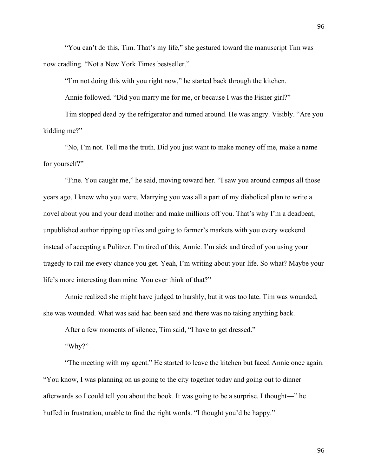"You can't do this, Tim. That's my life," she gestured toward the manuscript Tim was now cradling. "Not a New York Times bestseller."

"I'm not doing this with you right now," he started back through the kitchen.

Annie followed. "Did you marry me for me, or because I was the Fisher girl?"

Tim stopped dead by the refrigerator and turned around. He was angry. Visibly. "Are you kidding me?"

"No, I'm not. Tell me the truth. Did you just want to make money off me, make a name for yourself?"

"Fine. You caught me," he said, moving toward her. "I saw you around campus all those years ago. I knew who you were. Marrying you was all a part of my diabolical plan to write a novel about you and your dead mother and make millions off you. That's why I'm a deadbeat, unpublished author ripping up tiles and going to farmer's markets with you every weekend instead of accepting a Pulitzer. I'm tired of this, Annie. I'm sick and tired of you using your tragedy to rail me every chance you get. Yeah, I'm writing about your life. So what? Maybe your life's more interesting than mine. You ever think of that?"

Annie realized she might have judged to harshly, but it was too late. Tim was wounded, she was wounded. What was said had been said and there was no taking anything back.

After a few moments of silence, Tim said, "I have to get dressed."

"Why?"

"The meeting with my agent." He started to leave the kitchen but faced Annie once again. "You know, I was planning on us going to the city together today and going out to dinner afterwards so I could tell you about the book. It was going to be a surprise. I thought—" he huffed in frustration, unable to find the right words. "I thought you'd be happy."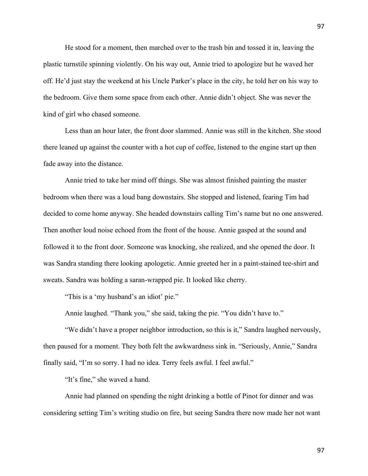He stood for a moment, then marched over to the trash bin and tossed it in, leaving the plastic turnstile spinning violently. On his way out, Annie tried to apologize but he waved her off. He'd just stay the weekend at his Uncle Parker's place in the city, he told her on his way to the bedroom. Give them some space from each other. Annie didn't object. She was never the kind of girl who chased someone.

Less than an hour later, the front door slammed. Annie was still in the kitchen. She stood there leaned up against the counter with a hot cup of coffee, listened to the engine start up then fade away into the distance.

Annie tried to take her mind off things. She was almost finished painting the master bedroom when there was a loud bang downstairs. She stopped and listened, fearing Tim had decided to come home anyway. She headed downstairs calling Tim's name but no one answered. Then another loud noise echoed from the front of the house. Annie gasped at the sound and followed it to the front door. Someone was knocking, she realized, and she opened the door. It was Sandra standing there looking apologetic. Annie greeted her in a paint-stained tee-shirt and sweats. Sandra was holding a saran-wrapped pie. It looked like cherry.

"This is a 'my husband's an idiot' pie."

Annie laughed. "Thank you," she said, taking the pie. "You didn't have to."

"We didn't have a proper neighbor introduction, so this is it," Sandra laughed nervously, then paused for a moment. They both felt the awkwardness sink in. "Seriously, Annie," Sandra finally said, "I'm so sorry. I had no idea. Terry feels awful. I feel awful."

"It's fine," she waved a hand.

Annie had planned on spending the night drinking a bottle of Pinot for dinner and was considering setting Tim's writing studio on fire, but seeing Sandra there now made her not want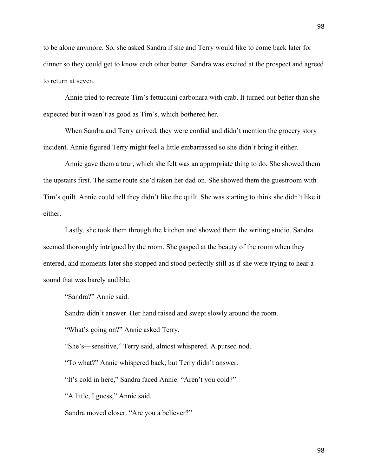to be alone anymore. So, she asked Sandra if she and Terry would like to come back later for dinner so they could get to know each other better. Sandra was excited at the prospect and agreed to return at seven.

Annie tried to recreate Tim's fettuccini carbonara with crab. It turned out better than she expected but it wasn't as good as Tim's, which bothered her.

When Sandra and Terry arrived, they were cordial and didn't mention the grocery story incident. Annie figured Terry might feel a little embarrassed so she didn't bring it either.

Annie gave them a tour, which she felt was an appropriate thing to do. She showed them the upstairs first. The same route she'd taken her dad on. She showed them the guestroom with Tim's quilt. Annie could tell they didn't like the quilt. She was starting to think she didn't like it either.

Lastly, she took them through the kitchen and showed them the writing studio. Sandra seemed thoroughly intrigued by the room. She gasped at the beauty of the room when they entered, and moments later she stopped and stood perfectly still as if she were trying to hear a sound that was barely audible.

"Sandra?" Annie said.

Sandra didn't answer. Her hand raised and swept slowly around the room.

"What's going on?" Annie asked Terry.

"She's—sensitive," Terry said, almost whispered. A pursed nod.

"To what?" Annie whispered back, but Terry didn't answer.

"It's cold in here," Sandra faced Annie. "Aren't you cold?"

"A little, I guess," Annie said.

Sandra moved closer. "Are you a believer?"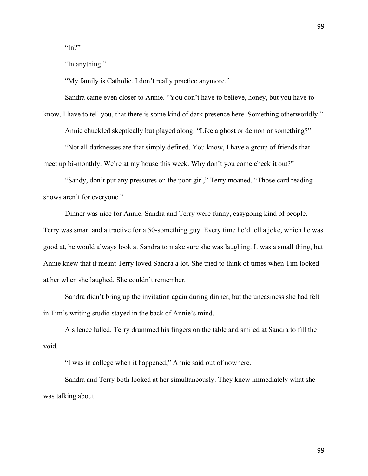" $In?$ "

"In anything."

"My family is Catholic. I don't really practice anymore."

Sandra came even closer to Annie. "You don't have to believe, honey, but you have to

know, I have to tell you, that there is some kind of dark presence here. Something otherworldly."

Annie chuckled skeptically but played along. "Like a ghost or demon or something?"

"Not all darknesses are that simply defined. You know, I have a group of friends that meet up bi-monthly. We're at my house this week. Why don't you come check it out?"

"Sandy, don't put any pressures on the poor girl," Terry moaned. "Those card reading shows aren't for everyone."

Dinner was nice for Annie. Sandra and Terry were funny, easygoing kind of people. Terry was smart and attractive for a 50-something guy. Every time he'd tell a joke, which he was good at, he would always look at Sandra to make sure she was laughing. It was a small thing, but Annie knew that it meant Terry loved Sandra a lot. She tried to think of times when Tim looked at her when she laughed. She couldn't remember.

Sandra didn't bring up the invitation again during dinner, but the uneasiness she had felt in Tim's writing studio stayed in the back of Annie's mind.

A silence lulled. Terry drummed his fingers on the table and smiled at Sandra to fill the void.

"I was in college when it happened," Annie said out of nowhere.

Sandra and Terry both looked at her simultaneously. They knew immediately what she was talking about.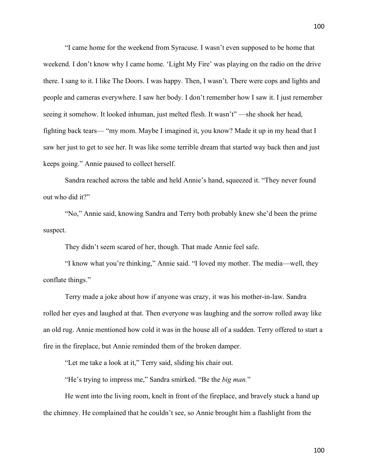"I came home for the weekend from Syracuse. I wasn't even supposed to be home that weekend. I don't know why I came home. 'Light My Fire' was playing on the radio on the drive there. I sang to it. I like The Doors. I was happy. Then, I wasn't. There were cops and lights and people and cameras everywhere. I saw her body. I don't remember how I saw it. I just remember seeing it somehow. It looked inhuman, just melted flesh. It wasn't" —she shook her head, fighting back tears— "my mom. Maybe I imagined it, you know? Made it up in my head that I saw her just to get to see her. It was like some terrible dream that started way back then and just keeps going." Annie paused to collect herself.

Sandra reached across the table and held Annie's hand, squeezed it. "They never found out who did it?"

"No," Annie said, knowing Sandra and Terry both probably knew she'd been the prime suspect.

They didn't seem scared of her, though. That made Annie feel safe.

"I know what you're thinking," Annie said. "I loved my mother. The media—well, they conflate things."

Terry made a joke about how if anyone was crazy, it was his mother-in-law. Sandra rolled her eyes and laughed at that. Then everyone was laughing and the sorrow rolled away like an old rug. Annie mentioned how cold it was in the house all of a sudden. Terry offered to start a fire in the fireplace, but Annie reminded them of the broken damper.

"Let me take a look at it," Terry said, sliding his chair out.

"He's trying to impress me," Sandra smirked. "Be the *big man.*"

He went into the living room, knelt in front of the fireplace, and bravely stuck a hand up the chimney. He complained that he couldn't see, so Annie brought him a flashlight from the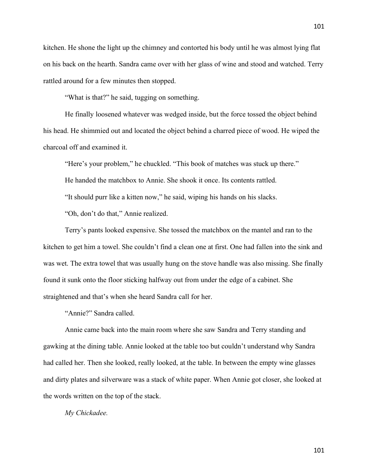kitchen. He shone the light up the chimney and contorted his body until he was almost lying flat on his back on the hearth. Sandra came over with her glass of wine and stood and watched. Terry rattled around for a few minutes then stopped.

"What is that?" he said, tugging on something.

He finally loosened whatever was wedged inside, but the force tossed the object behind his head. He shimmied out and located the object behind a charred piece of wood. He wiped the charcoal off and examined it.

"Here's your problem," he chuckled. "This book of matches was stuck up there." He handed the matchbox to Annie. She shook it once. Its contents rattled. "It should purr like a kitten now," he said, wiping his hands on his slacks. "Oh, don't do that," Annie realized.

Terry's pants looked expensive. She tossed the matchbox on the mantel and ran to the kitchen to get him a towel. She couldn't find a clean one at first. One had fallen into the sink and was wet. The extra towel that was usually hung on the stove handle was also missing. She finally found it sunk onto the floor sticking halfway out from under the edge of a cabinet. She straightened and that's when she heard Sandra call for her.

"Annie?" Sandra called.

Annie came back into the main room where she saw Sandra and Terry standing and gawking at the dining table. Annie looked at the table too but couldn't understand why Sandra had called her. Then she looked, really looked, at the table. In between the empty wine glasses and dirty plates and silverware was a stack of white paper. When Annie got closer, she looked at the words written on the top of the stack.

*My Chickadee.*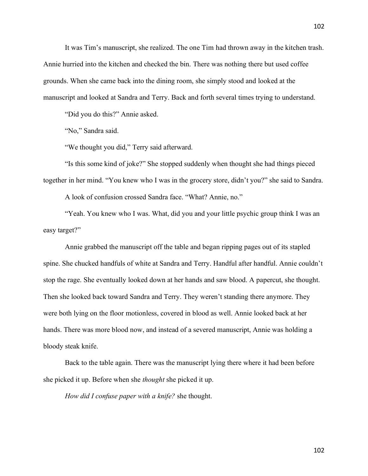It was Tim's manuscript, she realized. The one Tim had thrown away in the kitchen trash. Annie hurried into the kitchen and checked the bin. There was nothing there but used coffee grounds. When she came back into the dining room, she simply stood and looked at the manuscript and looked at Sandra and Terry. Back and forth several times trying to understand.

"Did you do this?" Annie asked.

"No," Sandra said.

"We thought you did," Terry said afterward.

"Is this some kind of joke?" She stopped suddenly when thought she had things pieced together in her mind. "You knew who I was in the grocery store, didn't you?" she said to Sandra.

A look of confusion crossed Sandra face. "What? Annie, no."

"Yeah. You knew who I was. What, did you and your little psychic group think I was an easy target?"

Annie grabbed the manuscript off the table and began ripping pages out of its stapled spine. She chucked handfuls of white at Sandra and Terry. Handful after handful. Annie couldn't stop the rage. She eventually looked down at her hands and saw blood. A papercut, she thought. Then she looked back toward Sandra and Terry. They weren't standing there anymore. They were both lying on the floor motionless, covered in blood as well. Annie looked back at her hands. There was more blood now, and instead of a severed manuscript, Annie was holding a bloody steak knife.

Back to the table again. There was the manuscript lying there where it had been before she picked it up. Before when she *thought* she picked it up.

*How did I confuse paper with a knife?* she thought.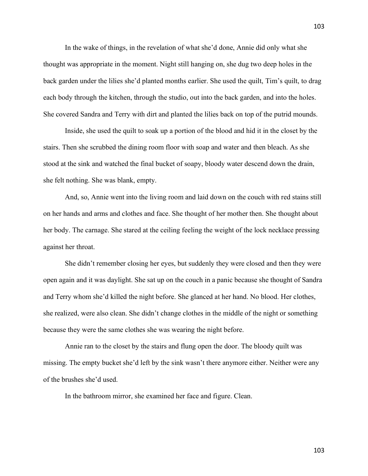In the wake of things, in the revelation of what she'd done, Annie did only what she thought was appropriate in the moment. Night still hanging on, she dug two deep holes in the back garden under the lilies she'd planted months earlier. She used the quilt, Tim's quilt, to drag each body through the kitchen, through the studio, out into the back garden, and into the holes. She covered Sandra and Terry with dirt and planted the lilies back on top of the putrid mounds.

Inside, she used the quilt to soak up a portion of the blood and hid it in the closet by the stairs. Then she scrubbed the dining room floor with soap and water and then bleach. As she stood at the sink and watched the final bucket of soapy, bloody water descend down the drain, she felt nothing. She was blank, empty.

And, so, Annie went into the living room and laid down on the couch with red stains still on her hands and arms and clothes and face. She thought of her mother then. She thought about her body. The carnage. She stared at the ceiling feeling the weight of the lock necklace pressing against her throat.

She didn't remember closing her eyes, but suddenly they were closed and then they were open again and it was daylight. She sat up on the couch in a panic because she thought of Sandra and Terry whom she'd killed the night before. She glanced at her hand. No blood. Her clothes, she realized, were also clean. She didn't change clothes in the middle of the night or something because they were the same clothes she was wearing the night before.

Annie ran to the closet by the stairs and flung open the door. The bloody quilt was missing. The empty bucket she'd left by the sink wasn't there anymore either. Neither were any of the brushes she'd used.

In the bathroom mirror, she examined her face and figure. Clean.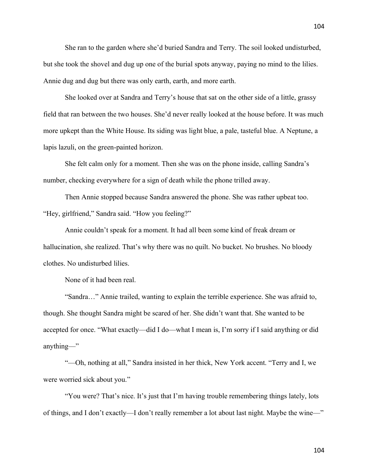She ran to the garden where she'd buried Sandra and Terry. The soil looked undisturbed, but she took the shovel and dug up one of the burial spots anyway, paying no mind to the lilies. Annie dug and dug but there was only earth, earth, and more earth.

She looked over at Sandra and Terry's house that sat on the other side of a little, grassy field that ran between the two houses. She'd never really looked at the house before. It was much more upkept than the White House. Its siding was light blue, a pale, tasteful blue. A Neptune, a lapis lazuli, on the green-painted horizon.

She felt calm only for a moment. Then she was on the phone inside, calling Sandra's number, checking everywhere for a sign of death while the phone trilled away.

Then Annie stopped because Sandra answered the phone. She was rather upbeat too. "Hey, girlfriend," Sandra said. "How you feeling?"

Annie couldn't speak for a moment. It had all been some kind of freak dream or hallucination, she realized. That's why there was no quilt. No bucket. No brushes. No bloody clothes. No undisturbed lilies.

None of it had been real.

"Sandra…" Annie trailed, wanting to explain the terrible experience. She was afraid to, though. She thought Sandra might be scared of her. She didn't want that. She wanted to be accepted for once. "What exactly—did I do—what I mean is, I'm sorry if I said anything or did anything—"

"—Oh, nothing at all," Sandra insisted in her thick, New York accent. "Terry and I, we were worried sick about you."

"You were? That's nice. It's just that I'm having trouble remembering things lately, lots of things, and I don't exactly—I don't really remember a lot about last night. Maybe the wine—"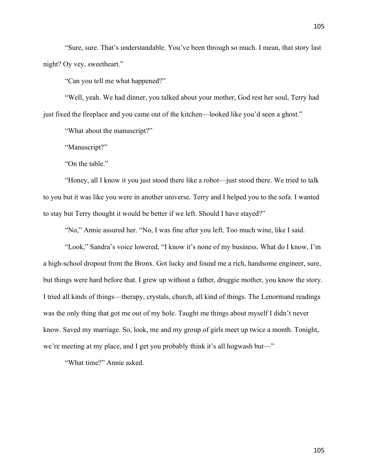"Sure, sure. That's understandable. You've been through so much. I mean, that story last night? Oy vey, sweetheart."

"Can you tell me what happened?"

"Well, yeah. We had dinner, you talked about your mother, God rest her soul, Terry had just fixed the fireplace and you came out of the kitchen—looked like you'd seen a ghost."

"What about the manuscript?"

"Manuscript?"

"On the table."

"Honey, all I know it you just stood there like a robot—just stood there. We tried to talk to you but it was like you were in another universe. Terry and I helped you to the sofa. I wanted to stay but Terry thought it would be better if we left. Should I have stayed?"

"No," Annie assured her. "No, I was fine after you left. Too much wine, like I said.

"Look," Sandra's voice lowered, "I know it's none of my business. What do I know, I'm a high-school dropout from the Bronx. Got lucky and found me a rich, handsome engineer, sure, but things were hard before that. I grew up without a father, druggie mother, you know the story. I tried all kinds of things—therapy, crystals, church, all kind of things. The Lenormand readings was the only thing that got me out of my hole. Taught me things about myself I didn't never know. Saved my marriage. So, look, me and my group of girls meet up twice a month. Tonight, we're meeting at my place, and I get you probably think it's all hogwash but—"

"What time?" Annie asked.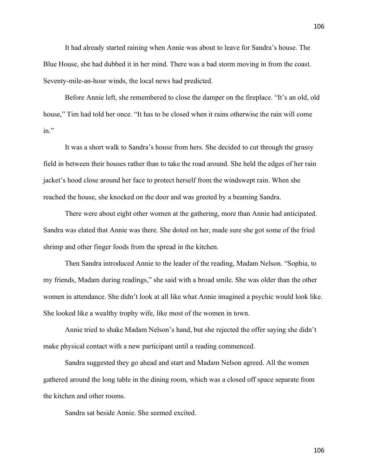It had already started raining when Annie was about to leave for Sandra's house. The Blue House, she had dubbed it in her mind. There was a bad storm moving in from the coast. Seventy-mile-an-hour winds, the local news had predicted.

Before Annie left, she remembered to close the damper on the fireplace. "It's an old, old house," Tim had told her once. "It has to be closed when it rains otherwise the rain will come in."

It was a short walk to Sandra's house from hers. She decided to cut through the grassy field in between their houses rather than to take the road around. She held the edges of her rain jacket's hood close around her face to protect herself from the windswept rain. When she reached the house, she knocked on the door and was greeted by a beaming Sandra.

There were about eight other women at the gathering, more than Annie had anticipated. Sandra was elated that Annie was there. She doted on her, made sure she got some of the fried shrimp and other finger foods from the spread in the kitchen.

Then Sandra introduced Annie to the leader of the reading, Madam Nelson. "Sophia, to my friends, Madam during readings," she said with a broad smile. She was older than the other women in attendance. She didn't look at all like what Annie imagined a psychic would look like. She looked like a wealthy trophy wife, like most of the women in town.

Annie tried to shake Madam Nelson's hand, but she rejected the offer saying she didn't make physical contact with a new participant until a reading commenced.

Sandra suggested they go ahead and start and Madam Nelson agreed. All the women gathered around the long table in the dining room, which was a closed off space separate from the kitchen and other rooms.

Sandra sat beside Annie. She seemed excited.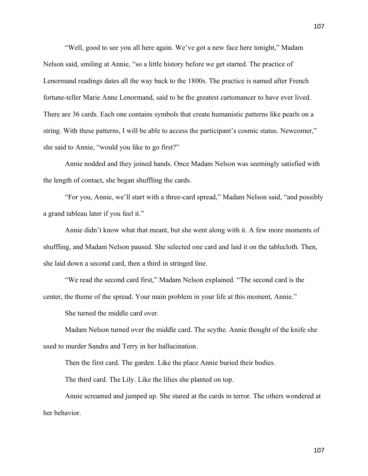"Well, good to see you all here again. We've got a new face here tonight," Madam Nelson said, smiling at Annie, "so a little history before we get started. The practice of Lenormand readings dates all the way back to the 1800s. The practice is named after French fortune-teller Marie Anne Lenormand, said to be the greatest cartomancer to have ever lived. There are 36 cards. Each one contains symbols that create humanistic patterns like pearls on a string. With these patterns, I will be able to access the participant's cosmic status. Newcomer," she said to Annie, "would you like to go first?"

Annie nodded and they joined hands. Once Madam Nelson was seemingly satisfied with the length of contact, she began shuffling the cards.

"For you, Annie, we'll start with a three-card spread," Madam Nelson said, "and possibly a grand tableau later if you feel it."

Annie didn't know what that meant, but she went along with it. A few more moments of shuffling, and Madam Nelson paused. She selected one card and laid it on the tablecloth. Then, she laid down a second card, then a third in stringed line.

"We read the second card first," Madam Nelson explained. "The second card is the center, the theme of the spread. Your main problem in your life at this moment, Annie."

She turned the middle card over.

Madam Nelson turned over the middle card. The scythe. Annie thought of the knife she used to murder Sandra and Terry in her hallucination.

Then the first card. The garden. Like the place Annie buried their bodies.

The third card. The Lily. Like the lilies she planted on top.

Annie screamed and jumped up. She stared at the cards in terror. The others wondered at her behavior.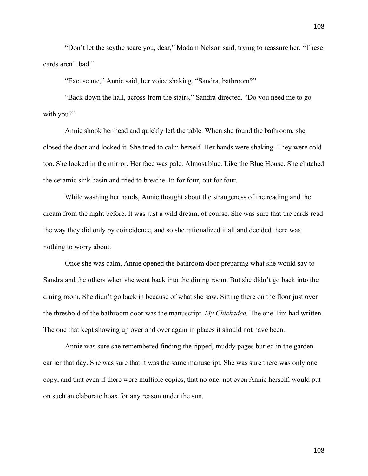"Don't let the scythe scare you, dear," Madam Nelson said, trying to reassure her. "These cards aren't bad."

"Excuse me," Annie said, her voice shaking. "Sandra, bathroom?"

"Back down the hall, across from the stairs," Sandra directed. "Do you need me to go with you?"

Annie shook her head and quickly left the table. When she found the bathroom, she closed the door and locked it. She tried to calm herself. Her hands were shaking. They were cold too. She looked in the mirror. Her face was pale. Almost blue. Like the Blue House. She clutched the ceramic sink basin and tried to breathe. In for four, out for four.

While washing her hands, Annie thought about the strangeness of the reading and the dream from the night before. It was just a wild dream, of course. She was sure that the cards read the way they did only by coincidence, and so she rationalized it all and decided there was nothing to worry about.

Once she was calm, Annie opened the bathroom door preparing what she would say to Sandra and the others when she went back into the dining room. But she didn't go back into the dining room. She didn't go back in because of what she saw. Sitting there on the floor just over the threshold of the bathroom door was the manuscript. *My Chickadee.* The one Tim had written. The one that kept showing up over and over again in places it should not have been.

Annie was sure she remembered finding the ripped, muddy pages buried in the garden earlier that day. She was sure that it was the same manuscript. She was sure there was only one copy, and that even if there were multiple copies, that no one, not even Annie herself, would put on such an elaborate hoax for any reason under the sun.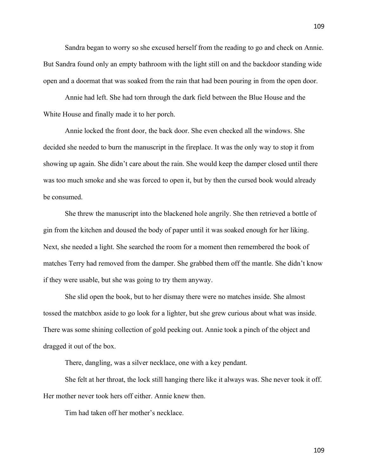Sandra began to worry so she excused herself from the reading to go and check on Annie. But Sandra found only an empty bathroom with the light still on and the backdoor standing wide open and a doormat that was soaked from the rain that had been pouring in from the open door.

Annie had left. She had torn through the dark field between the Blue House and the White House and finally made it to her porch.

Annie locked the front door, the back door. She even checked all the windows. She decided she needed to burn the manuscript in the fireplace. It was the only way to stop it from showing up again. She didn't care about the rain. She would keep the damper closed until there was too much smoke and she was forced to open it, but by then the cursed book would already be consumed.

She threw the manuscript into the blackened hole angrily. She then retrieved a bottle of gin from the kitchen and doused the body of paper until it was soaked enough for her liking. Next, she needed a light. She searched the room for a moment then remembered the book of matches Terry had removed from the damper. She grabbed them off the mantle. She didn't know if they were usable, but she was going to try them anyway.

She slid open the book, but to her dismay there were no matches inside. She almost tossed the matchbox aside to go look for a lighter, but she grew curious about what was inside. There was some shining collection of gold peeking out. Annie took a pinch of the object and dragged it out of the box.

There, dangling, was a silver necklace, one with a key pendant.

She felt at her throat, the lock still hanging there like it always was. She never took it off. Her mother never took hers off either. Annie knew then.

Tim had taken off her mother's necklace.

109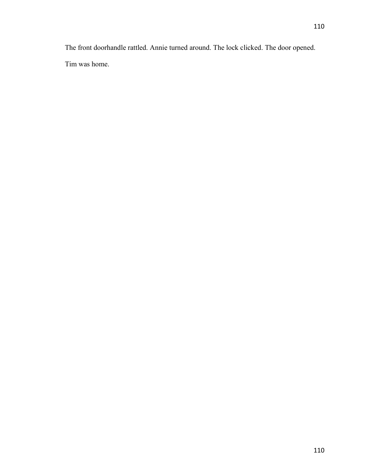The front doorhandle rattled. Annie turned around. The lock clicked. The door opened. Tim was home.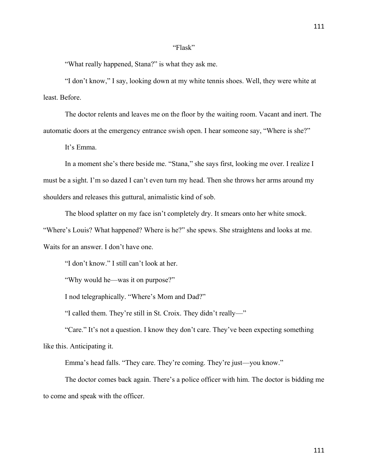## "Flask"

"What really happened, Stana?" is what they ask me.

"I don't know," I say, looking down at my white tennis shoes. Well, they were white at least. Before.

The doctor relents and leaves me on the floor by the waiting room. Vacant and inert. The automatic doors at the emergency entrance swish open. I hear someone say, "Where is she?"

It's Emma.

In a moment she's there beside me. "Stana," she says first, looking me over. I realize I must be a sight. I'm so dazed I can't even turn my head. Then she throws her arms around my shoulders and releases this guttural, animalistic kind of sob.

The blood splatter on my face isn't completely dry. It smears onto her white smock. "Where's Louis? What happened? Where is he?" she spews. She straightens and looks at me. Waits for an answer. I don't have one.

"I don't know." I still can't look at her.

"Why would he—was it on purpose?"

I nod telegraphically. "Where's Mom and Dad?"

"I called them. They're still in St. Croix. They didn't really—"

"Care." It's not a question. I know they don't care. They've been expecting something like this. Anticipating it.

Emma's head falls. "They care. They're coming. They're just—you know."

The doctor comes back again. There's a police officer with him. The doctor is bidding me to come and speak with the officer.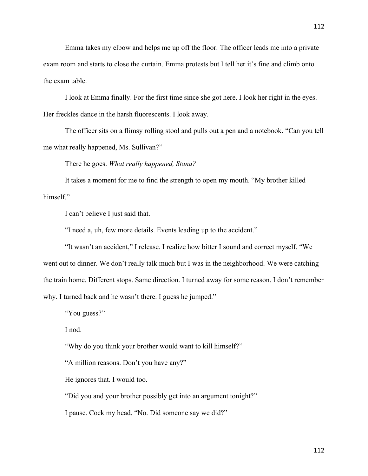Emma takes my elbow and helps me up off the floor. The officer leads me into a private exam room and starts to close the curtain. Emma protests but I tell her it's fine and climb onto the exam table.

I look at Emma finally. For the first time since she got here. I look her right in the eyes. Her freckles dance in the harsh fluorescents. I look away.

The officer sits on a flimsy rolling stool and pulls out a pen and a notebook. "Can you tell me what really happened, Ms. Sullivan?"

There he goes. *What really happened, Stana?*

It takes a moment for me to find the strength to open my mouth. "My brother killed himself."

I can't believe I just said that.

"I need a, uh, few more details. Events leading up to the accident."

"It wasn't an accident," I release. I realize how bitter I sound and correct myself. "We went out to dinner. We don't really talk much but I was in the neighborhood. We were catching the train home. Different stops. Same direction. I turned away for some reason. I don't remember why. I turned back and he wasn't there. I guess he jumped."

"You guess?"

I nod.

"Why do you think your brother would want to kill himself?"

"A million reasons. Don't you have any?"

He ignores that. I would too.

"Did you and your brother possibly get into an argument tonight?"

I pause. Cock my head. "No. Did someone say we did?"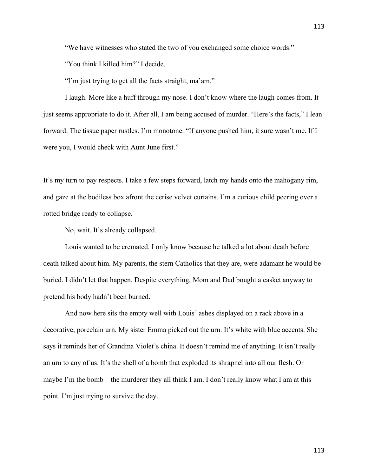"We have witnesses who stated the two of you exchanged some choice words."

"You think I killed him?" I decide.

"I'm just trying to get all the facts straight, ma'am."

I laugh. More like a huff through my nose. I don't know where the laugh comes from. It just seems appropriate to do it. After all, I am being accused of murder. "Here's the facts," I lean forward. The tissue paper rustles. I'm monotone. "If anyone pushed him, it sure wasn't me. If I were you, I would check with Aunt June first."

It's my turn to pay respects. I take a few steps forward, latch my hands onto the mahogany rim, and gaze at the bodiless box afront the cerise velvet curtains. I'm a curious child peering over a rotted bridge ready to collapse.

No, wait. It's already collapsed.

Louis wanted to be cremated. I only know because he talked a lot about death before death talked about him. My parents, the stern Catholics that they are, were adamant he would be buried. I didn't let that happen. Despite everything, Mom and Dad bought a casket anyway to pretend his body hadn't been burned.

And now here sits the empty well with Louis' ashes displayed on a rack above in a decorative, porcelain urn. My sister Emma picked out the urn. It's white with blue accents. She says it reminds her of Grandma Violet's china. It doesn't remind me of anything. It isn't really an urn to any of us. It's the shell of a bomb that exploded its shrapnel into all our flesh. Or maybe I'm the bomb—the murderer they all think I am. I don't really know what I am at this point. I'm just trying to survive the day.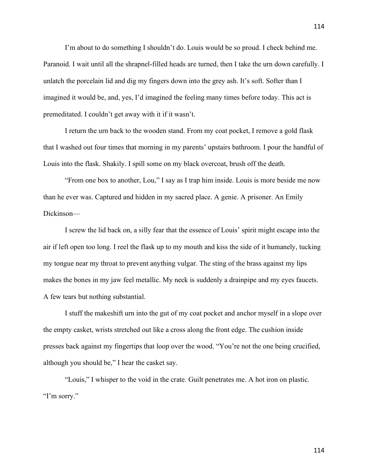I'm about to do something I shouldn't do. Louis would be so proud. I check behind me. Paranoid. I wait until all the shrapnel-filled heads are turned, then I take the urn down carefully. I unlatch the porcelain lid and dig my fingers down into the grey ash. It's soft. Softer than I imagined it would be, and, yes, I'd imagined the feeling many times before today. This act is premeditated. I couldn't get away with it if it wasn't.

I return the urn back to the wooden stand. From my coat pocket, I remove a gold flask that I washed out four times that morning in my parents' upstairs bathroom. I pour the handful of Louis into the flask. Shakily. I spill some on my black overcoat, brush off the death.

"From one box to another, Lou," I say as I trap him inside. Louis is more beside me now than he ever was. Captured and hidden in my sacred place. A genie. A prisoner. An Emily Dickinson—

I screw the lid back on, a silly fear that the essence of Louis' spirit might escape into the air if left open too long. I reel the flask up to my mouth and kiss the side of it humanely, tucking my tongue near my throat to prevent anything vulgar. The sting of the brass against my lips makes the bones in my jaw feel metallic. My neck is suddenly a drainpipe and my eyes faucets. A few tears but nothing substantial.

I stuff the makeshift urn into the gut of my coat pocket and anchor myself in a slope over the empty casket, wrists stretched out like a cross along the front edge. The cushion inside presses back against my fingertips that loop over the wood. "You're not the one being crucified, although you should be," I hear the casket say.

"Louis," I whisper to the void in the crate. Guilt penetrates me. A hot iron on plastic. "I'm sorry."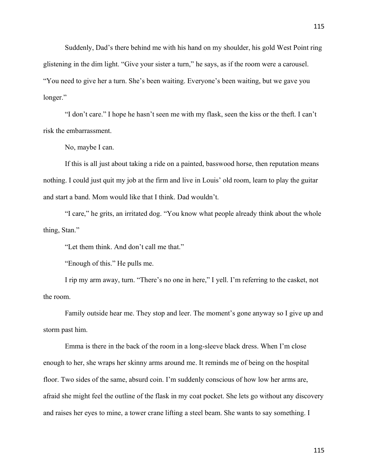Suddenly, Dad's there behind me with his hand on my shoulder, his gold West Point ring glistening in the dim light. "Give your sister a turn," he says, as if the room were a carousel. "You need to give her a turn. She's been waiting. Everyone's been waiting, but we gave you longer."

"I don't care." I hope he hasn't seen me with my flask, seen the kiss or the theft. I can't risk the embarrassment.

No, maybe I can.

If this is all just about taking a ride on a painted, basswood horse, then reputation means nothing. I could just quit my job at the firm and live in Louis' old room, learn to play the guitar and start a band. Mom would like that I think. Dad wouldn't.

"I care," he grits, an irritated dog. "You know what people already think about the whole thing, Stan."

"Let them think. And don't call me that."

"Enough of this." He pulls me.

I rip my arm away, turn. "There's no one in here," I yell. I'm referring to the casket, not the room.

Family outside hear me. They stop and leer. The moment's gone anyway so I give up and storm past him.

Emma is there in the back of the room in a long-sleeve black dress. When I'm close enough to her, she wraps her skinny arms around me. It reminds me of being on the hospital floor. Two sides of the same, absurd coin. I'm suddenly conscious of how low her arms are, afraid she might feel the outline of the flask in my coat pocket. She lets go without any discovery and raises her eyes to mine, a tower crane lifting a steel beam. She wants to say something. I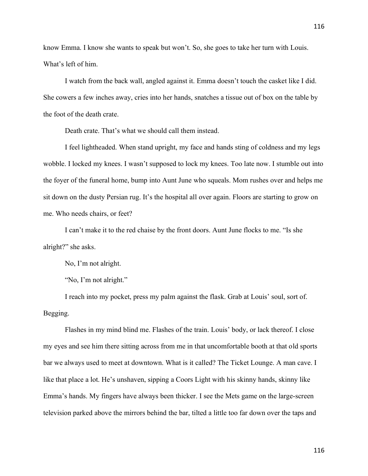know Emma. I know she wants to speak but won't. So, she goes to take her turn with Louis. What's left of him.

I watch from the back wall, angled against it. Emma doesn't touch the casket like I did. She cowers a few inches away, cries into her hands, snatches a tissue out of box on the table by the foot of the death crate.

Death crate. That's what we should call them instead.

I feel lightheaded. When stand upright, my face and hands sting of coldness and my legs wobble. I locked my knees. I wasn't supposed to lock my knees. Too late now. I stumble out into the foyer of the funeral home, bump into Aunt June who squeals. Mom rushes over and helps me sit down on the dusty Persian rug. It's the hospital all over again. Floors are starting to grow on me. Who needs chairs, or feet?

I can't make it to the red chaise by the front doors. Aunt June flocks to me. "Is she alright?" she asks.

No, I'm not alright.

"No, I'm not alright."

I reach into my pocket, press my palm against the flask. Grab at Louis' soul, sort of. Begging.

Flashes in my mind blind me. Flashes of the train. Louis' body, or lack thereof. I close my eyes and see him there sitting across from me in that uncomfortable booth at that old sports bar we always used to meet at downtown. What is it called? The Ticket Lounge. A man cave. I like that place a lot. He's unshaven, sipping a Coors Light with his skinny hands, skinny like Emma's hands. My fingers have always been thicker. I see the Mets game on the large-screen television parked above the mirrors behind the bar, tilted a little too far down over the taps and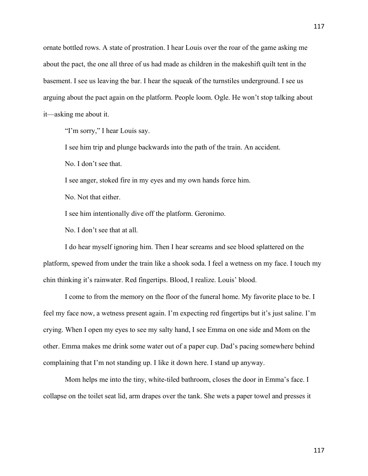ornate bottled rows. A state of prostration. I hear Louis over the roar of the game asking me about the pact, the one all three of us had made as children in the makeshift quilt tent in the basement. I see us leaving the bar. I hear the squeak of the turnstiles underground. I see us arguing about the pact again on the platform. People loom. Ogle. He won't stop talking about it—asking me about it.

"I'm sorry," I hear Louis say.

I see him trip and plunge backwards into the path of the train. An accident.

No. I don't see that.

I see anger, stoked fire in my eyes and my own hands force him.

No. Not that either.

I see him intentionally dive off the platform. Geronimo.

No. I don't see that at all.

I do hear myself ignoring him. Then I hear screams and see blood splattered on the platform, spewed from under the train like a shook soda. I feel a wetness on my face. I touch my chin thinking it's rainwater. Red fingertips. Blood, I realize. Louis' blood.

I come to from the memory on the floor of the funeral home. My favorite place to be. I feel my face now, a wetness present again. I'm expecting red fingertips but it's just saline. I'm crying. When I open my eyes to see my salty hand, I see Emma on one side and Mom on the other. Emma makes me drink some water out of a paper cup. Dad's pacing somewhere behind complaining that I'm not standing up. I like it down here. I stand up anyway.

Mom helps me into the tiny, white-tiled bathroom, closes the door in Emma's face. I collapse on the toilet seat lid, arm drapes over the tank. She wets a paper towel and presses it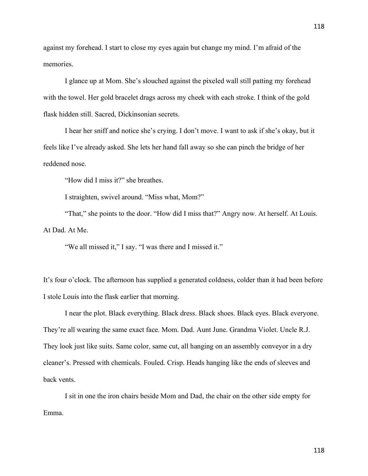against my forehead. I start to close my eyes again but change my mind. I'm afraid of the memories.

I glance up at Mom. She's slouched against the pixeled wall still patting my forehead with the towel. Her gold bracelet drags across my cheek with each stroke. I think of the gold flask hidden still. Sacred, Dickinsonian secrets.

I hear her sniff and notice she's crying. I don't move. I want to ask if she's okay, but it feels like I've already asked. She lets her hand fall away so she can pinch the bridge of her reddened nose.

"How did I miss it?" she breathes.

I straighten, swivel around. "Miss what, Mom?"

"That," she points to the door. "How did I miss that?" Angry now. At herself. At Louis. At Dad. At Me.

"We all missed it," I say. "I was there and I missed it."

It's four o'clock. The afternoon has supplied a generated coldness, colder than it had been before I stole Louis into the flask earlier that morning.

I near the plot. Black everything. Black dress. Black shoes. Black eyes. Black everyone. They're all wearing the same exact face. Mom. Dad. Aunt June. Grandma Violet. Uncle R.J. They look just like suits. Same color, same cut, all hanging on an assembly conveyor in a dry cleaner's. Pressed with chemicals. Fouled. Crisp. Heads hanging like the ends of sleeves and back vents.

I sit in one the iron chairs beside Mom and Dad, the chair on the other side empty for Emma.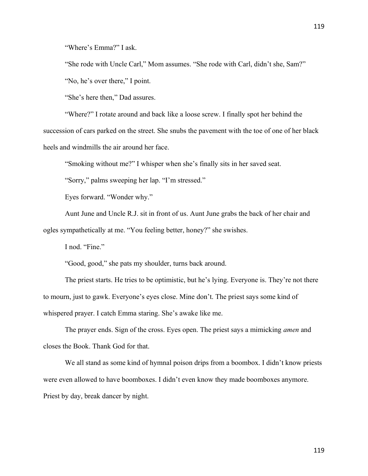"Where's Emma?" I ask.

"She rode with Uncle Carl," Mom assumes. "She rode with Carl, didn't she, Sam?"

"No, he's over there," I point.

"She's here then," Dad assures.

"Where?" I rotate around and back like a loose screw. I finally spot her behind the succession of cars parked on the street. She snubs the pavement with the toe of one of her black heels and windmills the air around her face.

"Smoking without me?" I whisper when she's finally sits in her saved seat.

"Sorry," palms sweeping her lap. "I'm stressed."

Eyes forward. "Wonder why."

Aunt June and Uncle R.J. sit in front of us. Aunt June grabs the back of her chair and ogles sympathetically at me. "You feeling better, honey?" she swishes.

I nod. "Fine."

"Good, good," she pats my shoulder, turns back around.

The priest starts. He tries to be optimistic, but he's lying. Everyone is. They're not there to mourn, just to gawk. Everyone's eyes close. Mine don't. The priest says some kind of whispered prayer. I catch Emma staring. She's awake like me.

The prayer ends. Sign of the cross. Eyes open. The priest says a mimicking *amen* and closes the Book. Thank God for that.

We all stand as some kind of hymnal poison drips from a boombox. I didn't know priests were even allowed to have boomboxes. I didn't even know they made boomboxes anymore. Priest by day, break dancer by night.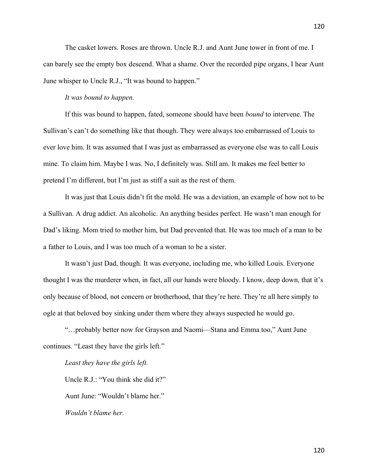The casket lowers. Roses are thrown. Uncle R.J. and Aunt June tower in front of me. I can barely see the empty box descend. What a shame. Over the recorded pipe organs, I hear Aunt June whisper to Uncle R.J., "It was bound to happen."

## *It was bound to happen.*

If this was bound to happen, fated, someone should have been *bound* to intervene. The Sullivan's can't do something like that though. They were always too embarrassed of Louis to ever love him. It was assumed that I was just as embarrassed as everyone else was to call Louis mine. To claim him. Maybe I was. No, I definitely was. Still am. It makes me feel better to pretend I'm different, but I'm just as stiff a suit as the rest of them.

It was just that Louis didn't fit the mold. He was a deviation, an example of how not to be a Sullivan. A drug addict. An alcoholic. An anything besides perfect. He wasn't man enough for Dad's liking. Mom tried to mother him, but Dad prevented that. He was too much of a man to be a father to Louis, and I was too much of a woman to be a sister.

It wasn't just Dad, though. It was everyone, including me, who killed Louis. Everyone thought I was the murderer when, in fact, all our hands were bloody. I know, deep down, that it's only because of blood, not concern or brotherhood, that they're here. They're all here simply to ogle at that beloved boy sinking under them where they always suspected he would go.

"…probably better now for Grayson and Naomi—Stana and Emma too," Aunt June continues. "Least they have the girls left."

*Least they have the girls left.*

Uncle R.J.: "You think she did it?" Aunt June: "Wouldn't blame her." *Wouldn't blame her.*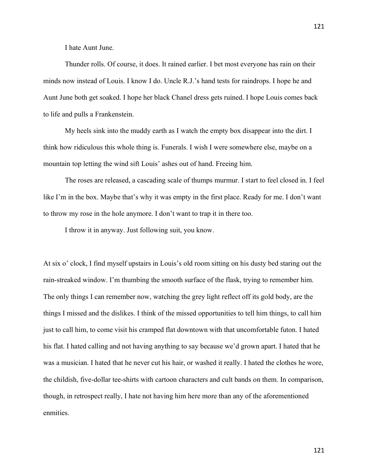Thunder rolls. Of course, it does. It rained earlier. I bet most everyone has rain on their minds now instead of Louis. I know I do. Uncle R.J.'s hand tests for raindrops. I hope he and Aunt June both get soaked. I hope her black Chanel dress gets ruined. I hope Louis comes back to life and pulls a Frankenstein.

My heels sink into the muddy earth as I watch the empty box disappear into the dirt. I think how ridiculous this whole thing is. Funerals. I wish I were somewhere else, maybe on a mountain top letting the wind sift Louis' ashes out of hand. Freeing him.

The roses are released, a cascading scale of thumps murmur. I start to feel closed in. I feel like I'm in the box. Maybe that's why it was empty in the first place. Ready for me. I don't want to throw my rose in the hole anymore. I don't want to trap it in there too.

I throw it in anyway. Just following suit, you know.

At six o' clock, I find myself upstairs in Louis's old room sitting on his dusty bed staring out the rain-streaked window. I'm thumbing the smooth surface of the flask, trying to remember him. The only things I can remember now, watching the grey light reflect off its gold body, are the things I missed and the dislikes. I think of the missed opportunities to tell him things, to call him just to call him, to come visit his cramped flat downtown with that uncomfortable futon. I hated his flat. I hated calling and not having anything to say because we'd grown apart. I hated that he was a musician. I hated that he never cut his hair, or washed it really. I hated the clothes he wore, the childish, five-dollar tee-shirts with cartoon characters and cult bands on them. In comparison, though, in retrospect really, I hate not having him here more than any of the aforementioned enmities.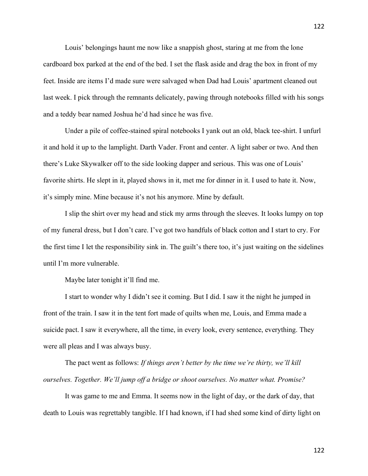Louis' belongings haunt me now like a snappish ghost, staring at me from the lone cardboard box parked at the end of the bed. I set the flask aside and drag the box in front of my feet. Inside are items I'd made sure were salvaged when Dad had Louis' apartment cleaned out last week. I pick through the remnants delicately, pawing through notebooks filled with his songs and a teddy bear named Joshua he'd had since he was five.

Under a pile of coffee-stained spiral notebooks I yank out an old, black tee-shirt. I unfurl it and hold it up to the lamplight. Darth Vader. Front and center. A light saber or two. And then there's Luke Skywalker off to the side looking dapper and serious. This was one of Louis' favorite shirts. He slept in it, played shows in it, met me for dinner in it. I used to hate it. Now, it's simply mine. Mine because it's not his anymore. Mine by default.

I slip the shirt over my head and stick my arms through the sleeves. It looks lumpy on top of my funeral dress, but I don't care. I've got two handfuls of black cotton and I start to cry. For the first time I let the responsibility sink in. The guilt's there too, it's just waiting on the sidelines until I'm more vulnerable.

Maybe later tonight it'll find me.

I start to wonder why I didn't see it coming. But I did. I saw it the night he jumped in front of the train. I saw it in the tent fort made of quilts when me, Louis, and Emma made a suicide pact. I saw it everywhere, all the time, in every look, every sentence, everything. They were all pleas and I was always busy.

The pact went as follows: *If things aren't better by the time we're thirty, we'll kill ourselves. Together. We'll jump off a bridge or shoot ourselves. No matter what. Promise?*

It was game to me and Emma. It seems now in the light of day, or the dark of day, that death to Louis was regrettably tangible. If I had known, if I had shed some kind of dirty light on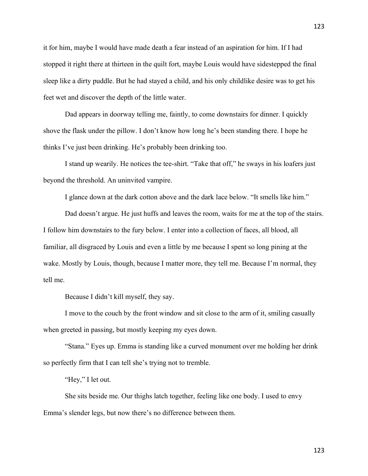it for him, maybe I would have made death a fear instead of an aspiration for him. If I had stopped it right there at thirteen in the quilt fort, maybe Louis would have sidestepped the final sleep like a dirty puddle. But he had stayed a child, and his only childlike desire was to get his feet wet and discover the depth of the little water.

Dad appears in doorway telling me, faintly, to come downstairs for dinner. I quickly shove the flask under the pillow. I don't know how long he's been standing there. I hope he thinks I've just been drinking. He's probably been drinking too.

I stand up wearily. He notices the tee-shirt. "Take that off," he sways in his loafers just beyond the threshold. An uninvited vampire.

I glance down at the dark cotton above and the dark lace below. "It smells like him."

Dad doesn't argue. He just huffs and leaves the room, waits for me at the top of the stairs. I follow him downstairs to the fury below. I enter into a collection of faces, all blood, all familiar, all disgraced by Louis and even a little by me because I spent so long pining at the wake. Mostly by Louis, though, because I matter more, they tell me. Because I'm normal, they tell me.

Because I didn't kill myself, they say.

I move to the couch by the front window and sit close to the arm of it, smiling casually when greeted in passing, but mostly keeping my eyes down.

"Stana." Eyes up. Emma is standing like a curved monument over me holding her drink so perfectly firm that I can tell she's trying not to tremble.

"Hey," I let out.

She sits beside me. Our thighs latch together, feeling like one body. I used to envy Emma's slender legs, but now there's no difference between them.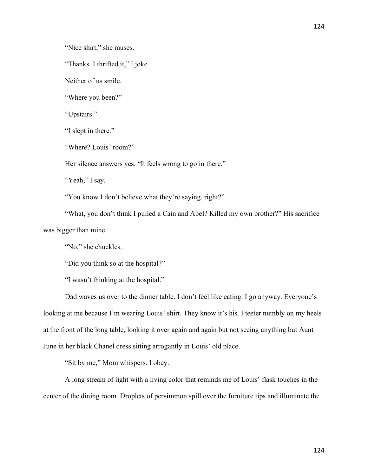"Nice shirt," she muses.

"Thanks. I thrifted it," I joke.

Neither of us smile.

"Where you been?"

"Upstairs."

"I slept in there."

"Where? Louis' room?"

Her silence answers yes. "It feels wrong to go in there."

"Yeah," I say.

"You know I don't believe what they're saying, right?"

"What, you don't think I pulled a Cain and Abel? Killed my own brother?" His sacrifice was bigger than mine.

"No," she chuckles.

"Did you think so at the hospital?"

"I wasn't thinking at the hospital."

Dad waves us over to the dinner table. I don't feel like eating. I go anyway. Everyone's looking at me because I'm wearing Louis' shirt. They know it's his. I teeter numbly on my heels at the front of the long table, looking it over again and again but not seeing anything but Aunt June in her black Chanel dress sitting arrogantly in Louis' old place.

"Sit by me," Mom whispers. I obey.

A long stream of light with a living color that reminds me of Louis' flask touches in the center of the dining room. Droplets of persimmon spill over the furniture tips and illuminate the

124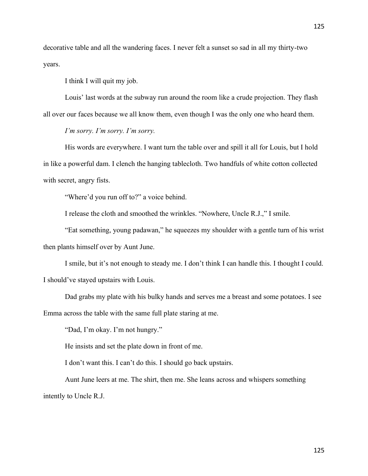decorative table and all the wandering faces. I never felt a sunset so sad in all my thirty-two years.

I think I will quit my job.

Louis' last words at the subway run around the room like a crude projection. They flash all over our faces because we all know them, even though I was the only one who heard them.

*I'm sorry. I'm sorry. I'm sorry.*

His words are everywhere. I want turn the table over and spill it all for Louis, but I hold in like a powerful dam. I clench the hanging tablecloth. Two handfuls of white cotton collected with secret, angry fists.

"Where'd you run off to?" a voice behind.

I release the cloth and smoothed the wrinkles. "Nowhere, Uncle R.J.," I smile.

"Eat something, young padawan," he squeezes my shoulder with a gentle turn of his wrist then plants himself over by Aunt June.

I smile, but it's not enough to steady me. I don't think I can handle this. I thought I could. I should've stayed upstairs with Louis.

Dad grabs my plate with his bulky hands and serves me a breast and some potatoes. I see Emma across the table with the same full plate staring at me.

"Dad, I'm okay. I'm not hungry."

He insists and set the plate down in front of me.

I don't want this. I can't do this. I should go back upstairs.

Aunt June leers at me. The shirt, then me. She leans across and whispers something intently to Uncle R.J.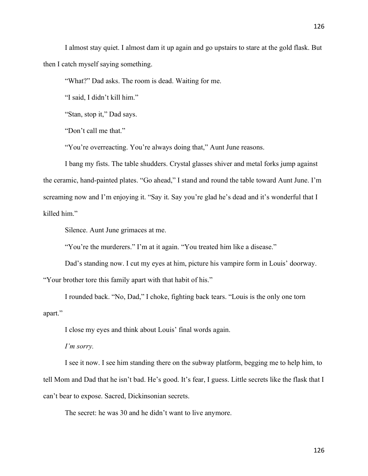I almost stay quiet. I almost dam it up again and go upstairs to stare at the gold flask. But then I catch myself saying something.

"What?" Dad asks. The room is dead. Waiting for me.

"I said, I didn't kill him."

"Stan, stop it," Dad says.

"Don't call me that."

"You're overreacting. You're always doing that," Aunt June reasons.

I bang my fists. The table shudders. Crystal glasses shiver and metal forks jump against the ceramic, hand-painted plates. "Go ahead," I stand and round the table toward Aunt June. I'm screaming now and I'm enjoying it. "Say it. Say you're glad he's dead and it's wonderful that I killed him."

Silence. Aunt June grimaces at me.

"You're the murderers." I'm at it again. "You treated him like a disease."

Dad's standing now. I cut my eyes at him, picture his vampire form in Louis' doorway. "Your brother tore this family apart with that habit of his."

I rounded back. "No, Dad," I choke, fighting back tears. "Louis is the only one torn apart."

I close my eyes and think about Louis' final words again.

*I'm sorry.*

I see it now. I see him standing there on the subway platform, begging me to help him, to tell Mom and Dad that he isn't bad. He's good. It's fear, I guess. Little secrets like the flask that I can't bear to expose. Sacred, Dickinsonian secrets.

The secret: he was 30 and he didn't want to live anymore.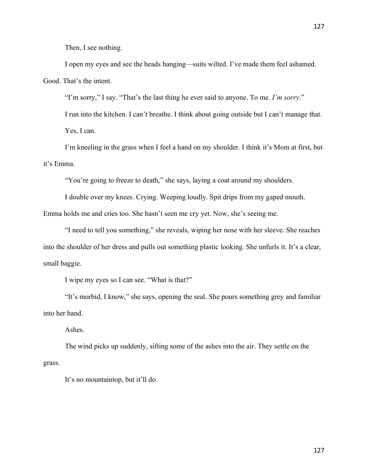Then, I see nothing.

I open my eyes and see the heads hanging—suits wilted. I've made them feel ashamed. Good. That's the intent.

"I'm sorry," I say. "That's the last thing he ever said to anyone. To me. *I'm sorry*."

I run into the kitchen. I can't breathe. I think about going outside but I can't manage that. Yes, I can.

I'm kneeling in the grass when I feel a hand on my shoulder. I think it's Mom at first, but it's Emma.

"You're going to freeze to death," she says, laying a coat around my shoulders.

I double over my knees. Crying. Weeping loudly. Spit drips from my gaped mouth.

Emma holds me and cries too. She hasn't seen me cry yet. Now, she's seeing me.

"I need to tell you something," she reveals, wiping her nose with her sleeve. She reaches into the shoulder of her dress and pulls out something plastic looking. She unfurls it. It's a clear, small baggie.

I wipe my eyes so I can see. "What is that?"

"It's morbid, I know," she says, opening the seal. She pours something grey and familiar into her hand.

Ashes.

The wind picks up suddenly, sifting some of the ashes into the air. They settle on the grass.

It's no mountaintop, but it'll do.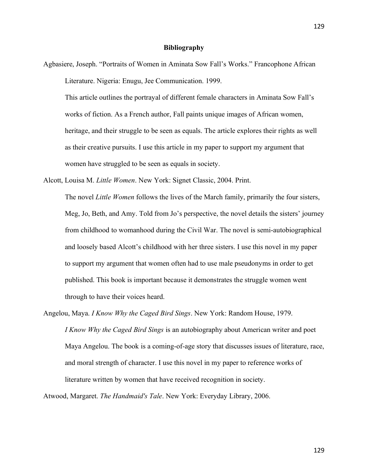## **Bibliography**

Agbasiere, Joseph. "Portraits of Women in Aminata Sow Fall's Works." Francophone African Literature. Nigeria: Enugu, Jee Communication. 1999.

This article outlines the portrayal of different female characters in Aminata Sow Fall's works of fiction. As a French author, Fall paints unique images of African women, heritage, and their struggle to be seen as equals. The article explores their rights as well as their creative pursuits. I use this article in my paper to support my argument that women have struggled to be seen as equals in society.

Alcott, Louisa M. *Little Women*. New York: Signet Classic, 2004. Print.

The novel *Little Women* follows the lives of the March family, primarily the four sisters, Meg, Jo, Beth, and Amy. Told from Jo's perspective, the novel details the sisters' journey from childhood to womanhood during the Civil War. The novel is semi-autobiographical and loosely based Alcott's childhood with her three sisters. I use this novel in my paper to support my argument that women often had to use male pseudonyms in order to get published. This book is important because it demonstrates the struggle women went through to have their voices heard.

Angelou, Maya. *I Know Why the Caged Bird Sings*. New York: Random House, 1979. *I Know Why the Caged Bird Sings* is an autobiography about American writer and poet Maya Angelou. The book is a coming-of-age story that discusses issues of literature, race, and moral strength of character. I use this novel in my paper to reference works of literature written by women that have received recognition in society.

Atwood, Margaret. *The Handmaid's Tale*. New York: Everyday Library, 2006.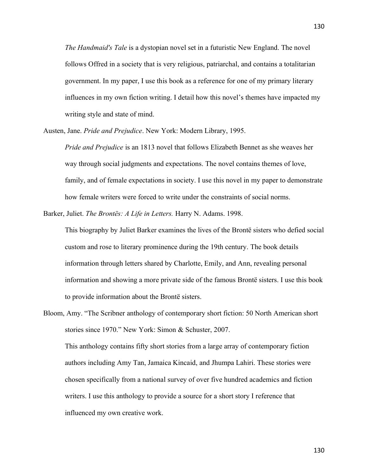*The Handmaid's Tale* is a dystopian novel set in a futuristic New England. The novel follows Offred in a society that is very religious, patriarchal, and contains a totalitarian government. In my paper, I use this book as a reference for one of my primary literary influences in my own fiction writing. I detail how this novel's themes have impacted my writing style and state of mind.

Austen, Jane. *Pride and Prejudice*. New York: Modern Library, 1995.

*Pride and Prejudice* is an 1813 novel that follows Elizabeth Bennet as she weaves her way through social judgments and expectations. The novel contains themes of love, family, and of female expectations in society. I use this novel in my paper to demonstrate how female writers were forced to write under the constraints of social norms.

Barker, Juliet. *The Brontës: A Life in Letters.* Harry N. Adams. 1998.

This biography by Juliet Barker examines the lives of the Brontë sisters who defied social custom and rose to literary prominence during the 19th century. The book details information through letters shared by Charlotte, Emily, and Ann, revealing personal information and showing a more private side of the famous Brontë sisters. I use this book to provide information about the Brontë sisters.

Bloom, Amy. "The Scribner anthology of contemporary short fiction: 50 North American short stories since 1970." New York: Simon & Schuster, 2007. This anthology contains fifty short stories from a large array of contemporary fiction authors including Amy Tan, Jamaica Kincaid, and Jhumpa Lahiri. These stories were chosen specifically from a national survey of over five hundred academics and fiction writers. I use this anthology to provide a source for a short story I reference that influenced my own creative work.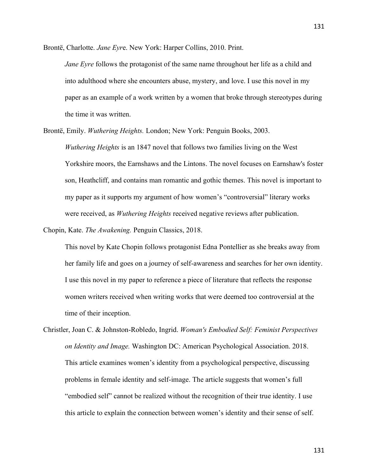Brontë, Charlotte. *Jane Eyr*e. New York: Harper Collins, 2010. Print.

*Jane Eyre* follows the protagonist of the same name throughout her life as a child and into adulthood where she encounters abuse, mystery, and love. I use this novel in my paper as an example of a work written by a women that broke through stereotypes during the time it was written.

Brontë, Emily. *Wuthering Heights.* London; New York: Penguin Books, 2003.

*Wuthering Heights* is an 1847 novel that follows two families living on the West Yorkshire moors, the Earnshaws and the Lintons. The novel focuses on Earnshaw's foster son, Heathcliff, and contains man romantic and gothic themes. This novel is important to my paper as it supports my argument of how women's "controversial" literary works were received, as *Wuthering Heights* received negative reviews after publication.

Chopin, Kate. *The Awakening.* Penguin Classics, 2018.

This novel by Kate Chopin follows protagonist Edna Pontellier as she breaks away from her family life and goes on a journey of self-awareness and searches for her own identity. I use this novel in my paper to reference a piece of literature that reflects the response women writers received when writing works that were deemed too controversial at the time of their inception.

Christler, Joan C. & Johnston-Robledo, Ingrid. *Woman's Embodied Self: Feminist Perspectives on Identity and Image.* Washington DC: American Psychological Association. 2018. This article examines women's identity from a psychological perspective, discussing problems in female identity and self-image. The article suggests that women's full "embodied self" cannot be realized without the recognition of their true identity. I use this article to explain the connection between women's identity and their sense of self.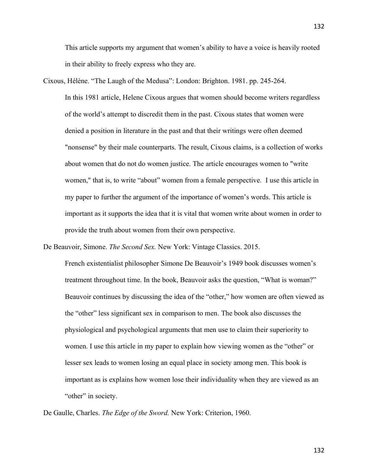This article supports my argument that women's ability to have a voice is heavily rooted in their ability to freely express who they are.

Cixous, Hélène. "The Laugh of the Medusa": London: Brighton. 1981. pp. 245-264. In this 1981 article, Helene Cixous argues that women should become writers regardless of the world's attempt to discredit them in the past. Cixous states that women were denied a position in literature in the past and that their writings were often deemed "nonsense" by their male counterparts. The result, Cixous claims, is a collection of works about women that do not do women justice. The article encourages women to "write women," that is, to write "about" women from a female perspective. I use this article in my paper to further the argument of the importance of women's words. This article is important as it supports the idea that it is vital that women write about women in order to provide the truth about women from their own perspective.

De Beauvoir, Simone. *The Second Sex.* New York: Vintage Classics. 2015.

French existentialist philosopher Simone De Beauvoir's 1949 book discusses women's treatment throughout time. In the book, Beauvoir asks the question, "What is woman?" Beauvoir continues by discussing the idea of the "other," how women are often viewed as the "other" less significant sex in comparison to men. The book also discusses the physiological and psychological arguments that men use to claim their superiority to women. I use this article in my paper to explain how viewing women as the "other" or lesser sex leads to women losing an equal place in society among men. This book is important as is explains how women lose their individuality when they are viewed as an "other" in society.

De Gaulle, Charles. *The Edge of the Sword.* New York: Criterion, 1960.

132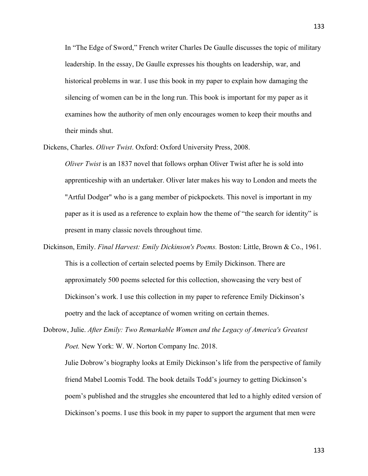In "The Edge of Sword," French writer Charles De Gaulle discusses the topic of military leadership. In the essay, De Gaulle expresses his thoughts on leadership, war, and historical problems in war. I use this book in my paper to explain how damaging the silencing of women can be in the long run. This book is important for my paper as it examines how the authority of men only encourages women to keep their mouths and their minds shut.

Dickens, Charles. *Oliver Twist*. Oxford: Oxford University Press, 2008.

*Oliver Twist* is an 1837 novel that follows orphan Oliver Twist after he is sold into apprenticeship with an undertaker. Oliver later makes his way to London and meets the "Artful Dodger" who is a gang member of pickpockets. This novel is important in my paper as it is used as a reference to explain how the theme of "the search for identity" is present in many classic novels throughout time.

Dickinson, Emily. *Final Harvest: Emily Dickinson's Poems.* Boston: Little, Brown & Co., 1961. This is a collection of certain selected poems by Emily Dickinson. There are approximately 500 poems selected for this collection, showcasing the very best of Dickinson's work. I use this collection in my paper to reference Emily Dickinson's poetry and the lack of acceptance of women writing on certain themes.

Dobrow, Julie. *After Emily: Two Remarkable Women and the Legacy of America's Greatest Poet.* New York: W. W. Norton Company Inc. 2018. Julie Dobrow's biography looks at Emily Dickinson's life from the perspective of family friend Mabel Loomis Todd. The book details Todd's journey to getting Dickinson's poem's published and the struggles she encountered that led to a highly edited version of Dickinson's poems. I use this book in my paper to support the argument that men were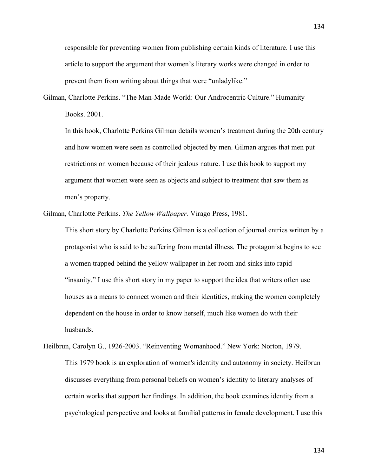responsible for preventing women from publishing certain kinds of literature. I use this article to support the argument that women's literary works were changed in order to prevent them from writing about things that were "unladylike."

Gilman, Charlotte Perkins. "The Man-Made World: Our Androcentric Culture." Humanity Books. 2001.

In this book, Charlotte Perkins Gilman details women's treatment during the 20th century and how women were seen as controlled objected by men. Gilman argues that men put restrictions on women because of their jealous nature. I use this book to support my argument that women were seen as objects and subject to treatment that saw them as men's property.

Gilman, Charlotte Perkins. *The Yellow Wallpaper.* Virago Press, 1981.

This short story by Charlotte Perkins Gilman is a collection of journal entries written by a protagonist who is said to be suffering from mental illness. The protagonist begins to see a women trapped behind the yellow wallpaper in her room and sinks into rapid "insanity." I use this short story in my paper to support the idea that writers often use houses as a means to connect women and their identities, making the women completely dependent on the house in order to know herself, much like women do with their husbands.

Heilbrun, Carolyn G., 1926-2003. "Reinventing Womanhood." New York: Norton, 1979. This 1979 book is an exploration of women's identity and autonomy in society. Heilbrun discusses everything from personal beliefs on women's identity to literary analyses of certain works that support her findings. In addition, the book examines identity from a psychological perspective and looks at familial patterns in female development. I use this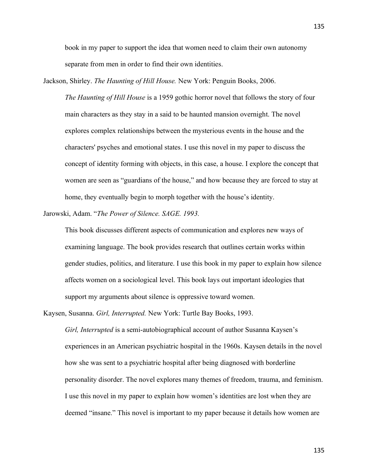135

book in my paper to support the idea that women need to claim their own autonomy separate from men in order to find their own identities.

Jackson, Shirley. *The Haunting of Hill House.* New York: Penguin Books, 2006.

*The Haunting of Hill House* is a 1959 gothic horror novel that follows the story of four main characters as they stay in a said to be haunted mansion overnight. The novel explores complex relationships between the mysterious events in the house and the characters' psyches and emotional states. I use this novel in my paper to discuss the concept of identity forming with objects, in this case, a house. I explore the concept that women are seen as "guardians of the house," and how because they are forced to stay at home, they eventually begin to morph together with the house's identity.

Jarowski, Adam. "*The Power of Silence. SAGE. 1993.*

This book discusses different aspects of communication and explores new ways of examining language. The book provides research that outlines certain works within gender studies, politics, and literature. I use this book in my paper to explain how silence affects women on a sociological level. This book lays out important ideologies that support my arguments about silence is oppressive toward women.

Kaysen, Susanna. *Girl, Interrupted.* New York: Turtle Bay Books, 1993.

*Girl, Interrupted* is a semi-autobiographical account of author Susanna Kaysen's experiences in an American psychiatric hospital in the 1960s. Kaysen details in the novel how she was sent to a psychiatric hospital after being diagnosed with borderline personality disorder. The novel explores many themes of freedom, trauma, and feminism. I use this novel in my paper to explain how women's identities are lost when they are deemed "insane." This novel is important to my paper because it details how women are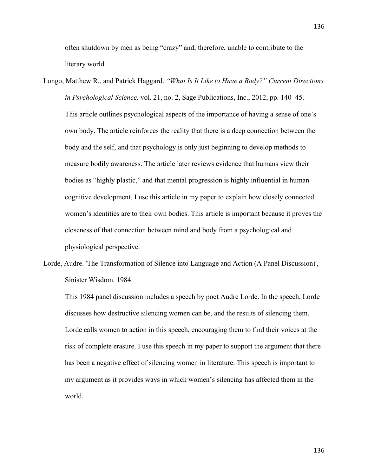often shutdown by men as being "crazy" and, therefore, unable to contribute to the literary world.

- Longo, Matthew R., and Patrick Haggard. *"What Is It Like to Have a Body?" Current Directions in Psychological Science,* vol. 21, no. 2, Sage Publications, Inc., 2012, pp. 140–45. This article outlines psychological aspects of the importance of having a sense of one's own body. The article reinforces the reality that there is a deep connection between the body and the self, and that psychology is only just beginning to develop methods to measure bodily awareness. The article later reviews evidence that humans view their bodies as "highly plastic," and that mental progression is highly influential in human cognitive development. I use this article in my paper to explain how closely connected women's identities are to their own bodies. This article is important because it proves the closeness of that connection between mind and body from a psychological and physiological perspective.
- Lorde, Audre. 'The Transformation of Silence into Language and Action (A Panel Discussion)', Sinister Wisdom. 1984.

This 1984 panel discussion includes a speech by poet Audre Lorde. In the speech, Lorde discusses how destructive silencing women can be, and the results of silencing them. Lorde calls women to action in this speech, encouraging them to find their voices at the risk of complete erasure. I use this speech in my paper to support the argument that there has been a negative effect of silencing women in literature. This speech is important to my argument as it provides ways in which women's silencing has affected them in the world.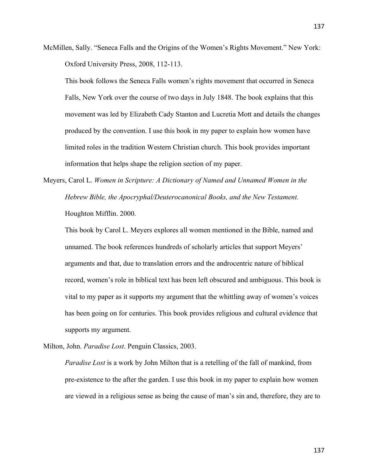McMillen, Sally. "Seneca Falls and the Origins of the Women's Rights Movement." New York: Oxford University Press, 2008, 112-113.

This book follows the Seneca Falls women's rights movement that occurred in Seneca Falls, New York over the course of two days in July 1848. The book explains that this movement was led by Elizabeth Cady Stanton and Lucretia Mott and details the changes produced by the convention. I use this book in my paper to explain how women have limited roles in the tradition Western Christian church. This book provides important information that helps shape the religion section of my paper.

Meyers, Carol L. *Women in Scripture: A Dictionary of Named and Unnamed Women in the Hebrew Bible, the Apocryphal/Deuterocanonical Books, and the New Testament.*  Houghton Mifflin. 2000.

This book by Carol L. Meyers explores all women mentioned in the Bible, named and unnamed. The book references hundreds of scholarly articles that support Meyers' arguments and that, due to translation errors and the androcentric nature of biblical record, women's role in biblical text has been left obscured and ambiguous. This book is vital to my paper as it supports my argument that the whittling away of women's voices has been going on for centuries. This book provides religious and cultural evidence that supports my argument.

Milton, John. *Paradise Lost*. Penguin Classics, 2003.

*Paradise Lost* is a work by John Milton that is a retelling of the fall of mankind, from pre-existence to the after the garden. I use this book in my paper to explain how women are viewed in a religious sense as being the cause of man's sin and, therefore, they are to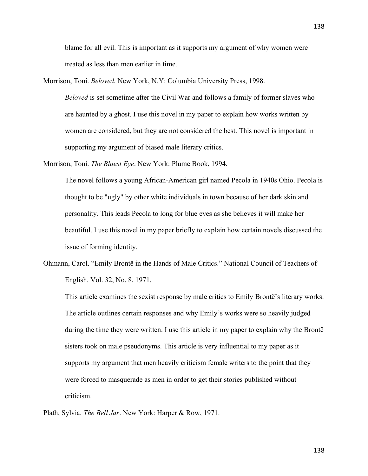blame for all evil. This is important as it supports my argument of why women were treated as less than men earlier in time.

Morrison, Toni. *Beloved.* New York, N.Y: Columbia University Press, 1998. *Beloved* is set sometime after the Civil War and follows a family of former slaves who are haunted by a ghost. I use this novel in my paper to explain how works written by women are considered, but they are not considered the best. This novel is important in supporting my argument of biased male literary critics.

Morrison, Toni. *The Bluest Eye*. New York: Plume Book, 1994.

The novel follows a young African-American girl named Pecola in 1940s Ohio. Pecola is thought to be "ugly" by other white individuals in town because of her dark skin and personality. This leads Pecola to long for blue eyes as she believes it will make her beautiful. I use this novel in my paper briefly to explain how certain novels discussed the issue of forming identity.

Ohmann, Carol. "Emily Brontë in the Hands of Male Critics." National Council of Teachers of English. Vol. 32, No. 8. 1971.

This article examines the sexist response by male critics to Emily Brontë's literary works. The article outlines certain responses and why Emily's works were so heavily judged during the time they were written. I use this article in my paper to explain why the Brontë sisters took on male pseudonyms. This article is very influential to my paper as it supports my argument that men heavily criticism female writers to the point that they were forced to masquerade as men in order to get their stories published without criticism.

Plath, Sylvia. *The Bell Jar*. New York: Harper & Row, 1971.

138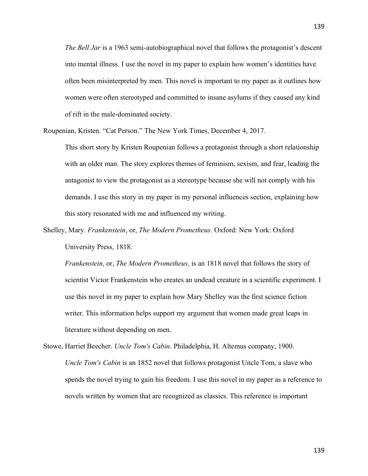*The Bell Jar* is a 1963 semi-autobiographical novel that follows the protagonist's descent into mental illness. I use the novel in my paper to explain how women's identities have often been misinterpreted by men. This novel is important to my paper as it outlines how women were often stereotyped and committed to insane asylums if they caused any kind of rift in the male-dominated society.

Roupenian, Kristen. "Cat Person." The New York Times, December 4, 2017.

This short story by Kristen Roupenian follows a protagonist through a short relationship with an older man. The story explores themes of feminism, sexism, and fear, leading the antagonist to view the protagonist as a stereotype because she will not comply with his demands. I use this story in my paper in my personal influences section, explaining how this story resonated with me and influenced my writing.

Shelley, Mary. *Frankenstein*, or, *The Modern Prometheus*. Oxford: New York: Oxford University Press, 1818.

*Frankenstein,* or, *The Modern Prometheus,* is an 1818 novel that follows the story of scientist Victor Frankenstein who creates an undead creature in a scientific experiment. I use this novel in my paper to explain how Mary Shelley was the first science fiction writer. This information helps support my argument that women made great leaps in literature without depending on men.

Stowe, Harriet Beecher. *Uncle Tom's Cabin*. Philadelphia, H. Altemus company, 1900. *Uncle Tom's Cabin* is an 1852 novel that follows protagonist Uncle Tom, a slave who spends the novel trying to gain his freedom. I use this novel in my paper as a reference to novels written by women that are recognized as classics. This reference is important